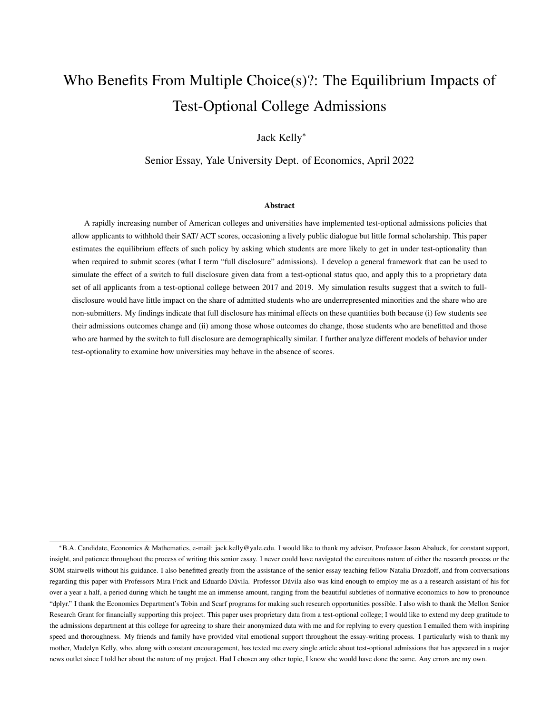# Who Benefits From Multiple Choice(s)?: The Equilibrium Impacts of Test-Optional College Admissions

Jack Kelly<sup>∗</sup>

Senior Essay, Yale University Dept. of Economics, April 2022

#### Abstract

A rapidly increasing number of American colleges and universities have implemented test-optional admissions policies that allow applicants to withhold their SAT/ ACT scores, occasioning a lively public dialogue but little formal scholarship. This paper estimates the equilibrium effects of such policy by asking which students are more likely to get in under test-optionality than when required to submit scores (what I term "full disclosure" admissions). I develop a general framework that can be used to simulate the effect of a switch to full disclosure given data from a test-optional status quo, and apply this to a proprietary data set of all applicants from a test-optional college between 2017 and 2019. My simulation results suggest that a switch to fulldisclosure would have little impact on the share of admitted students who are underrepresented minorities and the share who are non-submitters. My findings indicate that full disclosure has minimal effects on these quantities both because (i) few students see their admissions outcomes change and (ii) among those whose outcomes do change, those students who are benefitted and those who are harmed by the switch to full disclosure are demographically similar. I further analyze different models of behavior under test-optionality to examine how universities may behave in the absence of scores.

<sup>∗</sup>B.A. Candidate, Economics & Mathematics, e-mail: jack.kelly@yale.edu. I would like to thank my advisor, Professor Jason Abaluck, for constant support, insight, and patience throughout the process of writing this senior essay. I never could have navigated the curcuitous nature of either the research process or the SOM stairwells without his guidance. I also benefitted greatly from the assistance of the senior essay teaching fellow Natalia Drozdoff, and from conversations regarding this paper with Professors Mira Frick and Eduardo Dávila. Professor Dávila also was kind enough to employ me as a a research assistant of his for over a year a half, a period during which he taught me an immense amount, ranging from the beautiful subtleties of normative economics to how to pronounce "dplyr." I thank the Economics Department's Tobin and Scarf programs for making such research opportunities possible. I also wish to thank the Mellon Senior Research Grant for financially supporting this project. This paper uses proprietary data from a test-optional college; I would like to extend my deep gratitude to the admissions department at this college for agreeing to share their anonymized data with me and for replying to every question I emailed them with inspiring speed and thoroughness. My friends and family have provided vital emotional support throughout the essay-writing process. I particularly wish to thank my mother, Madelyn Kelly, who, along with constant encouragement, has texted me every single article about test-optional admissions that has appeared in a major news outlet since I told her about the nature of my project. Had I chosen any other topic, I know she would have done the same. Any errors are my own.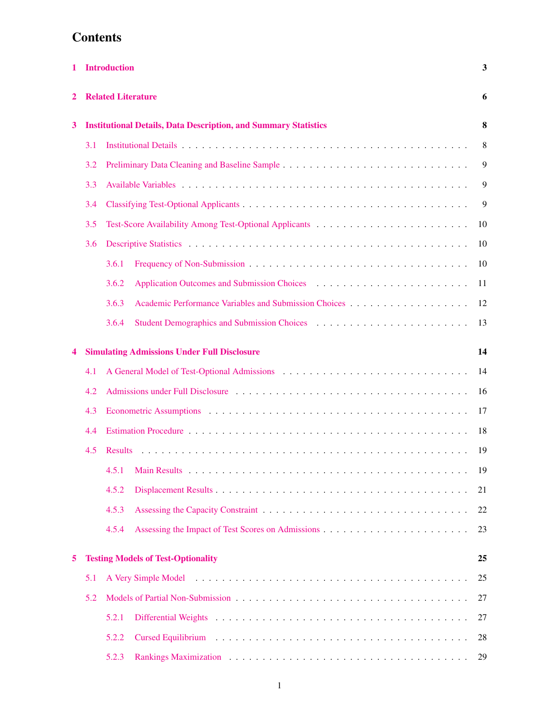# **Contents**

| 1 |     | <b>Introduction</b>                                                                                                                                                                                                                     | 3  |  |  |  |  |  |  |
|---|-----|-----------------------------------------------------------------------------------------------------------------------------------------------------------------------------------------------------------------------------------------|----|--|--|--|--|--|--|
| 2 |     | <b>Related Literature</b><br>6                                                                                                                                                                                                          |    |  |  |  |  |  |  |
| 3 |     | <b>Institutional Details, Data Description, and Summary Statistics</b><br>8                                                                                                                                                             |    |  |  |  |  |  |  |
|   | 3.1 |                                                                                                                                                                                                                                         | 8  |  |  |  |  |  |  |
|   | 3.2 |                                                                                                                                                                                                                                         | 9  |  |  |  |  |  |  |
|   | 3.3 |                                                                                                                                                                                                                                         | 9  |  |  |  |  |  |  |
|   | 3.4 |                                                                                                                                                                                                                                         | 9  |  |  |  |  |  |  |
|   | 3.5 | Test-Score Availability Among Test-Optional Applicants                                                                                                                                                                                  | 10 |  |  |  |  |  |  |
|   | 3.6 |                                                                                                                                                                                                                                         | 10 |  |  |  |  |  |  |
|   |     | 3.6.1                                                                                                                                                                                                                                   | 10 |  |  |  |  |  |  |
|   |     | 3.6.2<br>Application Outcomes and Submission Choices (e.g., e.g., e.g., e.g., e.g., e.g., e.g., e.g.                                                                                                                                    | 11 |  |  |  |  |  |  |
|   |     | 3.6.3                                                                                                                                                                                                                                   | 12 |  |  |  |  |  |  |
|   |     | Student Demographics and Submission Choices (Changel Charles Changel Changel Changel Changel Changel Changel Changel Changel Changel Changel Changel Changel Changel Changel Changel Changel Changel Changel Changel Changel C<br>3.6.4 | 13 |  |  |  |  |  |  |
| 4 |     | <b>Simulating Admissions Under Full Disclosure</b>                                                                                                                                                                                      | 14 |  |  |  |  |  |  |
|   | 4.1 | A General Model of Test-Optional Admissions                                                                                                                                                                                             | 14 |  |  |  |  |  |  |
|   | 4.2 | Admissions under Full Disclosure entertainment of the state of the Disclosure entertainment of the Administration of the Administration of the Administration of the Administration of the Administration of the Administratio          | 16 |  |  |  |  |  |  |
|   | 4.3 |                                                                                                                                                                                                                                         | 17 |  |  |  |  |  |  |
|   | 4.4 |                                                                                                                                                                                                                                         | 18 |  |  |  |  |  |  |
|   | 4.5 | <b>Results</b>                                                                                                                                                                                                                          | 19 |  |  |  |  |  |  |
|   |     | 4.5.1                                                                                                                                                                                                                                   | 19 |  |  |  |  |  |  |
|   |     | 4.5.2                                                                                                                                                                                                                                   | 21 |  |  |  |  |  |  |
|   |     | 4.5.3                                                                                                                                                                                                                                   | 22 |  |  |  |  |  |  |
|   |     | 4.5.4                                                                                                                                                                                                                                   | 23 |  |  |  |  |  |  |
| 5 |     | <b>Testing Models of Test-Optionality</b>                                                                                                                                                                                               | 25 |  |  |  |  |  |  |
|   | 5.1 |                                                                                                                                                                                                                                         | 25 |  |  |  |  |  |  |
|   | 5.2 |                                                                                                                                                                                                                                         | 27 |  |  |  |  |  |  |
|   |     | 5.2.1                                                                                                                                                                                                                                   | 27 |  |  |  |  |  |  |
|   |     | 5.2.2                                                                                                                                                                                                                                   | 28 |  |  |  |  |  |  |
|   |     | 5.2.3                                                                                                                                                                                                                                   | 29 |  |  |  |  |  |  |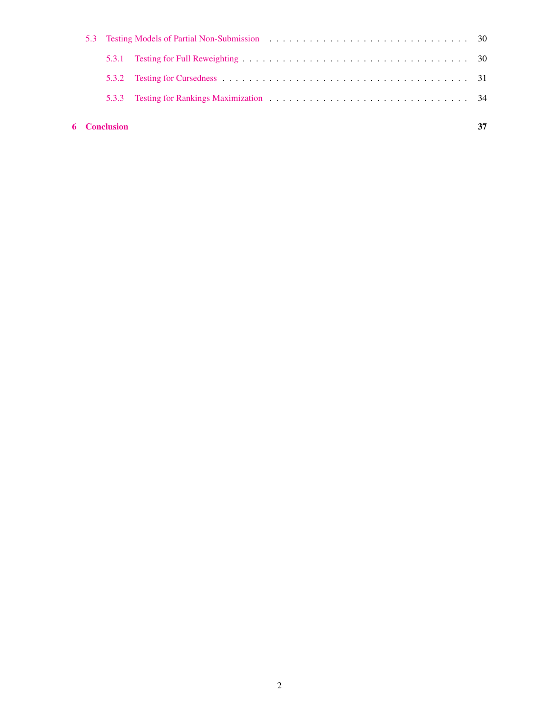|  | <b>6</b> Conclusion |                                                                                                                                                                                                                                |  |
|--|---------------------|--------------------------------------------------------------------------------------------------------------------------------------------------------------------------------------------------------------------------------|--|
|  | 5.3.3               | Testing for Rankings Maximization entertainment and the set of the set of the set of the set of the set of the set of the set of the set of the set of the set of the set of the set of the set of the set of the set of the s |  |
|  |                     |                                                                                                                                                                                                                                |  |
|  |                     |                                                                                                                                                                                                                                |  |
|  |                     | 5.3 Testing Models of Partial Non-Submission entertainment of the state of Partial Non-Submission entertainment of the state of the state of the state of the state of the state of the state of the state of the state of the |  |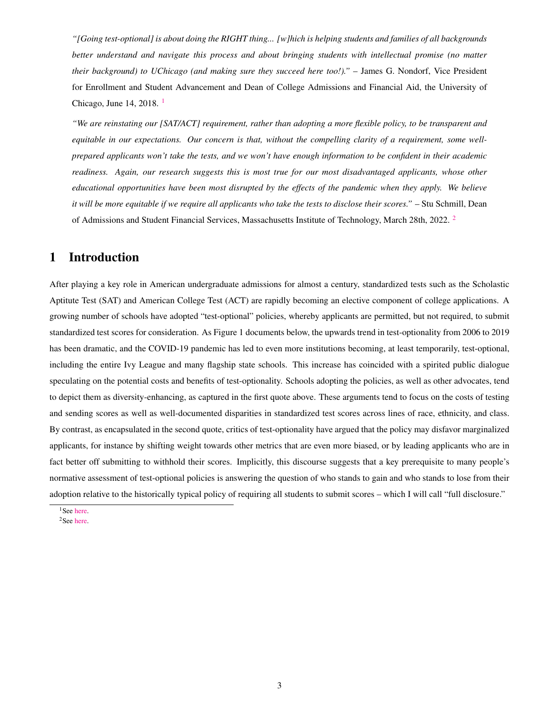*"[Going test-optional] is about doing the RIGHT thing... [w]hich is helping students and families of all backgrounds better understand and navigate this process and about bringing students with intellectual promise (no matter their background) to UChicago (and making sure they succeed here too!)."* – James G. Nondorf, Vice President for Enrollment and Student Advancement and Dean of College Admissions and Financial Aid, the University of Chicago, June 14, 2018. [1](#page-3-1)

*"We are reinstating our [SAT/ACT] requirement, rather than adopting a more flexible policy, to be transparent and equitable in our expectations. Our concern is that, without the compelling clarity of a requirement, some wellprepared applicants won't take the tests, and we won't have enough information to be confident in their academic readiness. Again, our research suggests this is most true for our most disadvantaged applicants, whose other educational opportunities have been most disrupted by the effects of the pandemic when they apply. We believe it will be more equitable if we require all applicants who take the tests to disclose their scores."* – Stu Schmill, Dean of Admissions and Student Financial Services, Massachusetts Institute of Technology, March 28th, 2022. [2](#page-3-2)

## <span id="page-3-0"></span>1 Introduction

After playing a key role in American undergraduate admissions for almost a century, standardized tests such as the Scholastic Aptitute Test (SAT) and American College Test (ACT) are rapidly becoming an elective component of college applications. A growing number of schools have adopted "test-optional" policies, whereby applicants are permitted, but not required, to submit standardized test scores for consideration. As Figure 1 documents below, the upwards trend in test-optionality from 2006 to 2019 has been dramatic, and the COVID-19 pandemic has led to even more institutions becoming, at least temporarily, test-optional, including the entire Ivy League and many flagship state schools. This increase has coincided with a spirited public dialogue speculating on the potential costs and benefits of test-optionality. Schools adopting the policies, as well as other advocates, tend to depict them as diversity-enhancing, as captured in the first quote above. These arguments tend to focus on the costs of testing and sending scores as well as well-documented disparities in standardized test scores across lines of race, ethnicity, and class. By contrast, as encapsulated in the second quote, critics of test-optionality have argued that the policy may disfavor marginalized applicants, for instance by shifting weight towards other metrics that are even more biased, or by leading applicants who are in fact better off submitting to withhold their scores. Implicitly, this discourse suggests that a key prerequisite to many people's normative assessment of test-optional policies is answering the question of who stands to gain and who stands to lose from their adoption relative to the historically typical policy of requiring all students to submit scores – which I will call "full disclosure."

<span id="page-3-2"></span><span id="page-3-1"></span><sup>&</sup>lt;sup>1</sup>See [here.](https://www.washingtonpost.com/local/education/a-shake-up-in-elite-admissions-u-chicago-drops-satact-testing-requirement/2018/06/13/442a5e14-6efd-11e8-bd50-b80389a4e569_story.html)

<sup>&</sup>lt;sup>2</sup>See [here.](https://mitadmissions.org/blogs/entry/we-are-reinstating-our-sat-act-requirement-for-future-admissions-cycles/)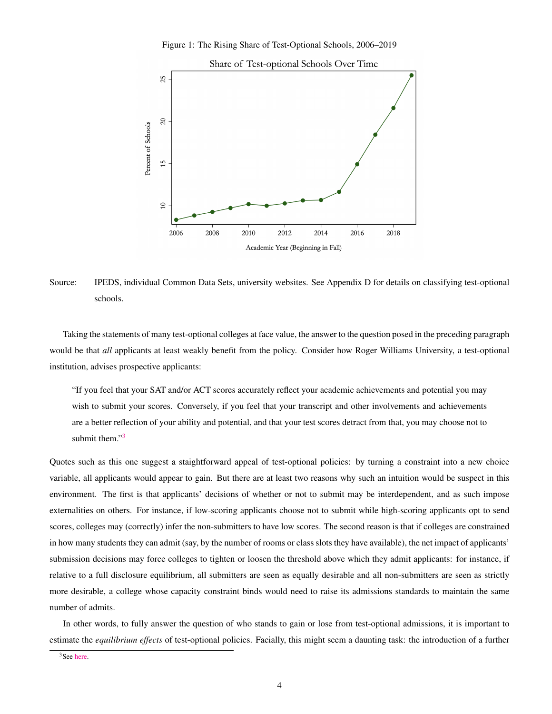Figure 1: The Rising Share of Test-Optional Schools, 2006–2019



Source: IPEDS, individual Common Data Sets, university websites. See Appendix D for details on classifying test-optional schools.

Taking the statements of many test-optional colleges at face value, the answer to the question posed in the preceding paragraph would be that *all* applicants at least weakly benefit from the policy. Consider how Roger Williams University, a test-optional institution, advises prospective applicants:

"If you feel that your SAT and/or ACT scores accurately reflect your academic achievements and potential you may wish to submit your scores. Conversely, if you feel that your transcript and other involvements and achievements are a better reflection of your ability and potential, and that your test scores detract from that, you may choose not to submit them."<sup>[3](#page-4-0)</sup>

Quotes such as this one suggest a staightforward appeal of test-optional policies: by turning a constraint into a new choice variable, all applicants would appear to gain. But there are at least two reasons why such an intuition would be suspect in this environment. The first is that applicants' decisions of whether or not to submit may be interdependent, and as such impose externalities on others. For instance, if low-scoring applicants choose not to submit while high-scoring applicants opt to send scores, colleges may (correctly) infer the non-submitters to have low scores. The second reason is that if colleges are constrained in how many students they can admit (say, by the number of rooms or class slots they have available), the net impact of applicants' submission decisions may force colleges to tighten or loosen the threshold above which they admit applicants: for instance, if relative to a full disclosure equilibrium, all submitters are seen as equally desirable and all non-submitters are seen as strictly more desirable, a college whose capacity constraint binds would need to raise its admissions standards to maintain the same number of admits.

In other words, to fully answer the question of who stands to gain or lose from test-optional admissions, it is important to estimate the *equilibrium effects* of test-optional policies. Facially, this might seem a daunting task: the introduction of a further

<span id="page-4-0"></span><sup>3</sup>See [here.](https://www.rwu.edu/undergraduate/admission-aid/first-year-applicants/standardized-test-optional-policy)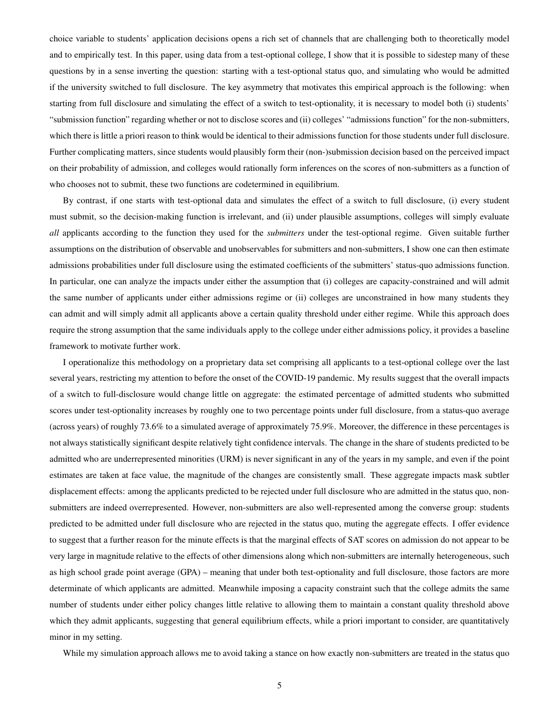choice variable to students' application decisions opens a rich set of channels that are challenging both to theoretically model and to empirically test. In this paper, using data from a test-optional college, I show that it is possible to sidestep many of these questions by in a sense inverting the question: starting with a test-optional status quo, and simulating who would be admitted if the university switched to full disclosure. The key asymmetry that motivates this empirical approach is the following: when starting from full disclosure and simulating the effect of a switch to test-optionality, it is necessary to model both (i) students' "submission function" regarding whether or not to disclose scores and (ii) colleges' "admissions function" for the non-submitters, which there is little a priori reason to think would be identical to their admissions function for those students under full disclosure. Further complicating matters, since students would plausibly form their (non-)submission decision based on the perceived impact on their probability of admission, and colleges would rationally form inferences on the scores of non-submitters as a function of who chooses not to submit, these two functions are codetermined in equilibrium.

By contrast, if one starts with test-optional data and simulates the effect of a switch to full disclosure, (i) every student must submit, so the decision-making function is irrelevant, and (ii) under plausible assumptions, colleges will simply evaluate *all* applicants according to the function they used for the *submitters* under the test-optional regime. Given suitable further assumptions on the distribution of observable and unobservables for submitters and non-submitters, I show one can then estimate admissions probabilities under full disclosure using the estimated coefficients of the submitters' status-quo admissions function. In particular, one can analyze the impacts under either the assumption that (i) colleges are capacity-constrained and will admit the same number of applicants under either admissions regime or (ii) colleges are unconstrained in how many students they can admit and will simply admit all applicants above a certain quality threshold under either regime. While this approach does require the strong assumption that the same individuals apply to the college under either admissions policy, it provides a baseline framework to motivate further work.

I operationalize this methodology on a proprietary data set comprising all applicants to a test-optional college over the last several years, restricting my attention to before the onset of the COVID-19 pandemic. My results suggest that the overall impacts of a switch to full-disclosure would change little on aggregate: the estimated percentage of admitted students who submitted scores under test-optionality increases by roughly one to two percentage points under full disclosure, from a status-quo average (across years) of roughly 73.6% to a simulated average of approximately 75.9%. Moreover, the difference in these percentages is not always statistically significant despite relatively tight confidence intervals. The change in the share of students predicted to be admitted who are underrepresented minorities (URM) is never significant in any of the years in my sample, and even if the point estimates are taken at face value, the magnitude of the changes are consistently small. These aggregate impacts mask subtler displacement effects: among the applicants predicted to be rejected under full disclosure who are admitted in the status quo, nonsubmitters are indeed overrepresented. However, non-submitters are also well-represented among the converse group: students predicted to be admitted under full disclosure who are rejected in the status quo, muting the aggregate effects. I offer evidence to suggest that a further reason for the minute effects is that the marginal effects of SAT scores on admission do not appear to be very large in magnitude relative to the effects of other dimensions along which non-submitters are internally heterogeneous, such as high school grade point average (GPA) – meaning that under both test-optionality and full disclosure, those factors are more determinate of which applicants are admitted. Meanwhile imposing a capacity constraint such that the college admits the same number of students under either policy changes little relative to allowing them to maintain a constant quality threshold above which they admit applicants, suggesting that general equilibrium effects, while a priori important to consider, are quantitatively minor in my setting.

While my simulation approach allows me to avoid taking a stance on how exactly non-submitters are treated in the status quo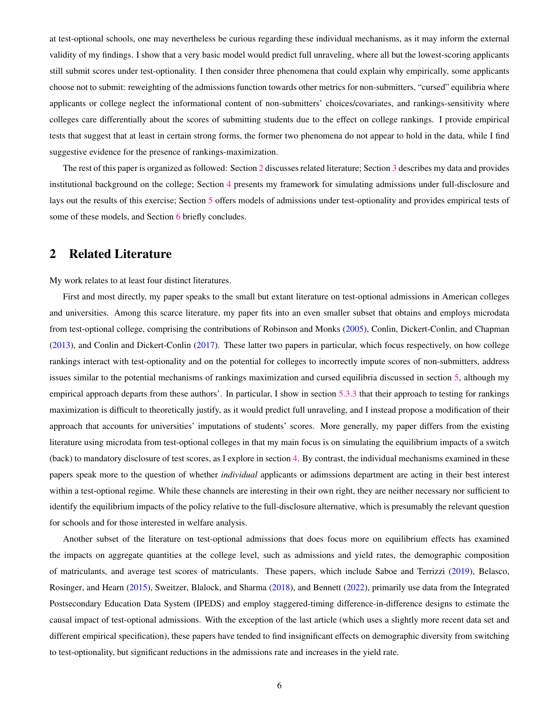at test-optional schools, one may nevertheless be curious regarding these individual mechanisms, as it may inform the external validity of my findings. I show that a very basic model would predict full unraveling, where all but the lowest-scoring applicants still submit scores under test-optionality. I then consider three phenomena that could explain why empirically, some applicants choose not to submit: reweighting of the admissions function towards other metrics for non-submitters, "cursed" equilibria where applicants or college neglect the informational content of non-submitters' choices/covariates, and rankings-sensitivity where colleges care differentially about the scores of submitting students due to the effect on college rankings. I provide empirical tests that suggest that at least in certain strong forms, the former two phenomena do not appear to hold in the data, while I find suggestive evidence for the presence of rankings-maximization.

The rest of this paper is organized as followed: Section [2](#page-6-0) discusses related literature; Section [3](#page-8-0) describes my data and provides institutional background on the college; Section [4](#page-14-0) presents my framework for simulating admissions under full-disclosure and lays out the results of this exercise; Section [5](#page-25-0) offers models of admissions under test-optionality and provides empirical tests of some of these models, and Section [6](#page-37-0) briefly concludes.

## <span id="page-6-0"></span>2 Related Literature

My work relates to at least four distinct literatures.

First and most directly, my paper speaks to the small but extant literature on test-optional admissions in American colleges and universities. Among this scarce literature, my paper fits into an even smaller subset that obtains and employs microdata from test-optional college, comprising the contributions of Robinson and Monks [\(2005\)](#page-40-0), Conlin, Dickert-Conlin, and Chapman [\(2013\)](#page-40-1), and Conlin and Dickert-Conlin [\(2017\)](#page-40-2). These latter two papers in particular, which focus respectively, on how college rankings interact with test-optionality and on the potential for colleges to incorrectly impute scores of non-submitters, address issues similar to the potential mechanisms of rankings maximization and cursed equilibria discussed in section [5,](#page-25-0) although my empirical approach departs from these authors'. In particular, I show in section [5.3.3](#page-34-0) that their approach to testing for rankings maximization is difficult to theoretically justify, as it would predict full unraveling, and I instead propose a modification of their approach that accounts for universities' imputations of students' scores. More generally, my paper differs from the existing literature using microdata from test-optional colleges in that my main focus is on simulating the equilibrium impacts of a switch (back) to mandatory disclosure of test scores, as I explore in section [4.](#page-14-0) By contrast, the individual mechanisms examined in these papers speak more to the question of whether *individual* applicants or adimssions department are acting in their best interest within a test-optional regime. While these channels are interesting in their own right, they are neither necessary nor sufficient to identify the equilibrium impacts of the policy relative to the full-disclosure alternative, which is presumably the relevant question for schools and for those interested in welfare analysis.

Another subset of the literature on test-optional admissions that does focus more on equilibrium effects has examined the impacts on aggregate quantities at the college level, such as admissions and yield rates, the demographic composition of matriculants, and average test scores of matriculants. These papers, which include Saboe and Terrizzi [\(2019\)](#page-41-0), Belasco, Rosinger, and Hearn [\(2015\)](#page-40-3), Sweitzer, Blalock, and Sharma [\(2018\)](#page-41-1), and Bennett [\(2022\)](#page-40-4), primarily use data from the Integrated Postsecondary Education Data System (IPEDS) and employ staggered-timing difference-in-difference designs to estimate the causal impact of test-optional admissions. With the exception of the last article (which uses a slightly more recent data set and different empirical specification), these papers have tended to find insignificant effects on demographic diversity from switching to test-optionality, but significant reductions in the admissions rate and increases in the yield rate.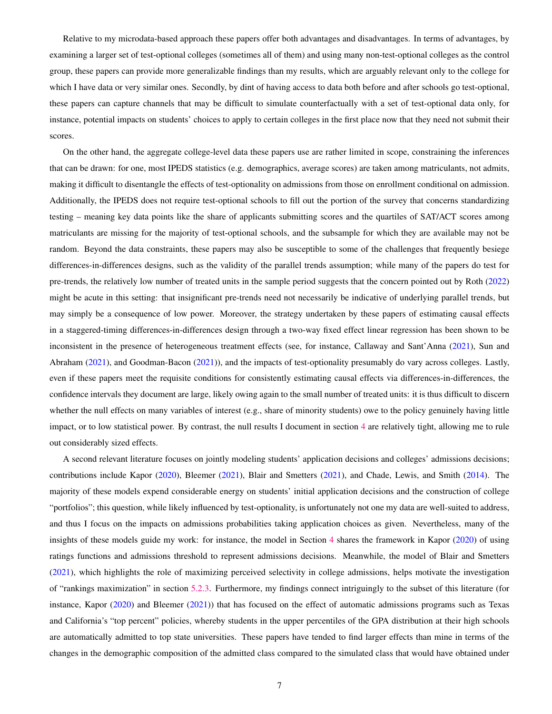Relative to my microdata-based approach these papers offer both advantages and disadvantages. In terms of advantages, by examining a larger set of test-optional colleges (sometimes all of them) and using many non-test-optional colleges as the control group, these papers can provide more generalizable findings than my results, which are arguably relevant only to the college for which I have data or very similar ones. Secondly, by dint of having access to data both before and after schools go test-optional, these papers can capture channels that may be difficult to simulate counterfactually with a set of test-optional data only, for instance, potential impacts on students' choices to apply to certain colleges in the first place now that they need not submit their scores.

On the other hand, the aggregate college-level data these papers use are rather limited in scope, constraining the inferences that can be drawn: for one, most IPEDS statistics (e.g. demographics, average scores) are taken among matriculants, not admits, making it difficult to disentangle the effects of test-optionality on admissions from those on enrollment conditional on admission. Additionally, the IPEDS does not require test-optional schools to fill out the portion of the survey that concerns standardizing testing – meaning key data points like the share of applicants submitting scores and the quartiles of SAT/ACT scores among matriculants are missing for the majority of test-optional schools, and the subsample for which they are available may not be random. Beyond the data constraints, these papers may also be susceptible to some of the challenges that frequently besiege differences-in-differences designs, such as the validity of the parallel trends assumption; while many of the papers do test for pre-trends, the relatively low number of treated units in the sample period suggests that the concern pointed out by Roth [\(2022\)](#page-40-5) might be acute in this setting: that insignificant pre-trends need not necessarily be indicative of underlying parallel trends, but may simply be a consequence of low power. Moreover, the strategy undertaken by these papers of estimating causal effects in a staggered-timing differences-in-differences design through a two-way fixed effect linear regression has been shown to be inconsistent in the presence of heterogeneous treatment effects (see, for instance, Callaway and Sant'Anna [\(2021\)](#page-40-6), Sun and Abraham [\(2021\)](#page-41-2), and Goodman-Bacon [\(2021\)](#page-40-7)), and the impacts of test-optionality presumably do vary across colleges. Lastly, even if these papers meet the requisite conditions for consistently estimating causal effects via differences-in-differences, the confidence intervals they document are large, likely owing again to the small number of treated units: it is thus difficult to discern whether the null effects on many variables of interest (e.g., share of minority students) owe to the policy genuinely having little impact, or to low statistical power. By contrast, the null results I document in section [4](#page-14-0) are relatively tight, allowing me to rule out considerably sized effects.

A second relevant literature focuses on jointly modeling students' application decisions and colleges' admissions decisions; contributions include Kapor [\(2020\)](#page-40-8), Bleemer [\(2021\)](#page-40-9), Blair and Smetters [\(2021\)](#page-40-10), and Chade, Lewis, and Smith [\(2014\)](#page-40-11). The majority of these models expend considerable energy on students' initial application decisions and the construction of college "portfolios"; this question, while likely influenced by test-optionality, is unfortunately not one my data are well-suited to address, and thus I focus on the impacts on admissions probabilities taking application choices as given. Nevertheless, many of the insights of these models guide my work: for instance, the model in Section [4](#page-14-0) shares the framework in Kapor [\(2020\)](#page-40-8) of using ratings functions and admissions threshold to represent admissions decisions. Meanwhile, the model of Blair and Smetters [\(2021\)](#page-40-10), which highlights the role of maximizing perceived selectivity in college admissions, helps motivate the investigation of "rankings maximization" in section [5.2.3.](#page-29-0) Furthermore, my findings connect intriguingly to the subset of this literature (for instance, Kapor [\(2020\)](#page-40-8) and Bleemer [\(2021\)](#page-40-9)) that has focused on the effect of automatic admissions programs such as Texas and California's "top percent" policies, whereby students in the upper percentiles of the GPA distribution at their high schools are automatically admitted to top state universities. These papers have tended to find larger effects than mine in terms of the changes in the demographic composition of the admitted class compared to the simulated class that would have obtained under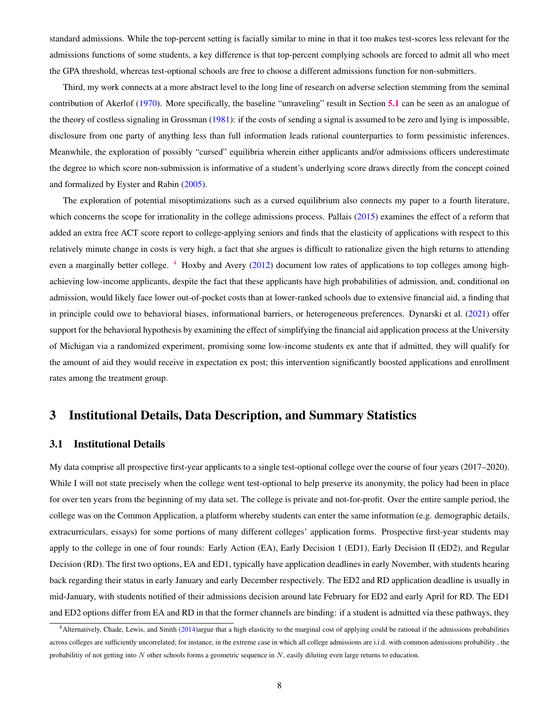standard admissions. While the top-percent setting is facially similar to mine in that it too makes test-scores less relevant for the admissions functions of some students, a key difference is that top-percent complying schools are forced to admit all who meet the GPA threshold, whereas test-optional schools are free to choose a different admissions function for non-submitters.

Third, my work connects at a more abstract level to the long line of research on adverse selection stemming from the seminal contribution of Akerlof [\(1970\)](#page-40-12). More specifically, the baseline "unraveling" result in Section [5.1](#page-25-1) can be seen as an analogue of the theory of costless signaling in Grossman [\(1981\)](#page-40-13): if the costs of sending a signal is assumed to be zero and lying is impossible, disclosure from one party of anything less than full information leads rational counterparties to form pessimistic inferences. Meanwhile, the exploration of possibly "cursed" equilibria wherein either applicants and/or admissions officers underestimate the degree to which score non-submission is informative of a student's underlying score draws directly from the concept coined and formalized by Eyster and Rabin [\(2005\)](#page-40-14).

The exploration of potential misoptimizations such as a cursed equilibrium also connects my paper to a fourth literature, which concerns the scope for irrationality in the college admissions process. Pallais [\(2015\)](#page-40-15) examines the effect of a reform that added an extra free ACT score report to college-applying seniors and finds that the elasticity of applications with respect to this relatively minute change in costs is very high, a fact that she argues is difficult to rationalize given the high returns to attending even a marginally better college. <sup>[4](#page-8-2)</sup> Hoxby and Avery [\(2012\)](#page-40-16) document low rates of applications to top colleges among highachieving low-income applicants, despite the fact that these applicants have high probabilities of admission, and, conditional on admission, would likely face lower out-of-pocket costs than at lower-ranked schools due to extensive financial aid, a finding that in principle could owe to behavioral biases, informational barriers, or heterogeneous preferences. Dynarski et al. [\(2021\)](#page-40-17) offer support for the behavioral hypothesis by examining the effect of simplifying the financial aid application process at the University of Michigan via a randomized experiment, promising some low-income students ex ante that if admitted, they will qualify for the amount of aid they would receive in expectation ex post; this intervention significantly boosted applications and enrollment rates among the treatment group.

## <span id="page-8-0"></span>3 Institutional Details, Data Description, and Summary Statistics

### <span id="page-8-1"></span>3.1 Institutional Details

My data comprise all prospective first-year applicants to a single test-optional college over the course of four years (2017–2020). While I will not state precisely when the college went test-optional to help preserve its anonymity, the policy had been in place for over ten years from the beginning of my data set. The college is private and not-for-profit. Over the entire sample period, the college was on the Common Application, a platform whereby students can enter the same information (e.g. demographic details, extracurriculars, essays) for some portions of many different colleges' application forms. Prospective first-year students may apply to the college in one of four rounds: Early Action (EA), Early Decision 1 (ED1), Early Decision II (ED2), and Regular Decision (RD). The first two options, EA and ED1, typically have application deadlines in early November, with students hearing back regarding their status in early January and early December respectively. The ED2 and RD application deadline is usually in mid-January, with students notified of their admissions decision around late February for ED2 and early April for RD. The ED1 and ED2 options differ from EA and RD in that the former channels are binding: if a student is admitted via these pathways, they

<span id="page-8-2"></span><sup>4</sup>Alternatively, Chade, Lewis, and Smith [\(2014\)](#page-40-11)argue that a high elasticity to the marginal cost of applying could be rational if the admissions probabilities across colleges are sufficiently uncorrelated; for instance, in the extreme case in which all college admissions are i.i.d. with common admissions probability , the probabilitiy of not getting into N other schools forms a geometric sequence in N, easily diluting even large returns to education.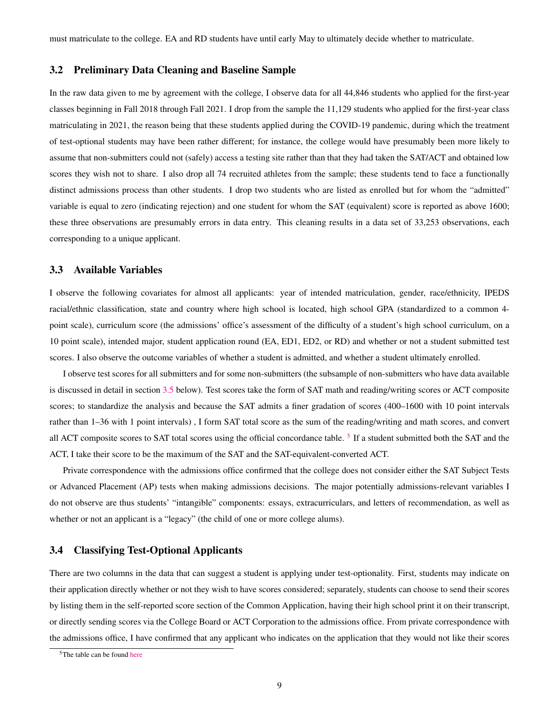must matriculate to the college. EA and RD students have until early May to ultimately decide whether to matriculate.

### <span id="page-9-0"></span>3.2 Preliminary Data Cleaning and Baseline Sample

In the raw data given to me by agreement with the college, I observe data for all 44,846 students who applied for the first-year classes beginning in Fall 2018 through Fall 2021. I drop from the sample the 11,129 students who applied for the first-year class matriculating in 2021, the reason being that these students applied during the COVID-19 pandemic, during which the treatment of test-optional students may have been rather different; for instance, the college would have presumably been more likely to assume that non-submitters could not (safely) access a testing site rather than that they had taken the SAT/ACT and obtained low scores they wish not to share. I also drop all 74 recruited athletes from the sample; these students tend to face a functionally distinct admissions process than other students. I drop two students who are listed as enrolled but for whom the "admitted" variable is equal to zero (indicating rejection) and one student for whom the SAT (equivalent) score is reported as above 1600; these three observations are presumably errors in data entry. This cleaning results in a data set of 33,253 observations, each corresponding to a unique applicant.

## <span id="page-9-1"></span>3.3 Available Variables

I observe the following covariates for almost all applicants: year of intended matriculation, gender, race/ethnicity, IPEDS racial/ethnic classification, state and country where high school is located, high school GPA (standardized to a common 4 point scale), curriculum score (the admissions' office's assessment of the difficulty of a student's high school curriculum, on a 10 point scale), intended major, student application round (EA, ED1, ED2, or RD) and whether or not a student submitted test scores. I also observe the outcome variables of whether a student is admitted, and whether a student ultimately enrolled.

I observe test scores for all submitters and for some non-submitters (the subsample of non-submitters who have data available is discussed in detail in section [3.5](#page-10-0) below). Test scores take the form of SAT math and reading/writing scores or ACT composite scores; to standardize the analysis and because the SAT admits a finer gradation of scores (400–1600 with 10 point intervals rather than 1–36 with 1 point intervals) , I form SAT total score as the sum of the reading/writing and math scores, and convert all ACT composite scores to SAT total scores using the official concordance table.<sup>[5](#page-9-3)</sup> If a student submitted both the SAT and the ACT, I take their score to be the maximum of the SAT and the SAT-equivalent-converted ACT.

Private correspondence with the admissions office confirmed that the college does not consider either the SAT Subject Tests or Advanced Placement (AP) tests when making admissions decisions. The major potentially admissions-relevant variables I do not observe are thus students' "intangible" components: essays, extracurriculars, and letters of recommendation, as well as whether or not an applicant is a "legacy" (the child of one or more college alums).

## <span id="page-9-2"></span>3.4 Classifying Test-Optional Applicants

There are two columns in the data that can suggest a student is applying under test-optionality. First, students may indicate on their application directly whether or not they wish to have scores considered; separately, students can choose to send their scores by listing them in the self-reported score section of the Common Application, having their high school print it on their transcript, or directly sending scores via the College Board or ACT Corporation to the admissions office. From private correspondence with the admissions office, I have confirmed that any applicant who indicates on the application that they would not like their scores

<span id="page-9-3"></span><sup>5</sup>The table can be found [here](https://www.act.org/content/dam/act/unsecured/documents/ACT-SAT-Concordance-Tables.pdf)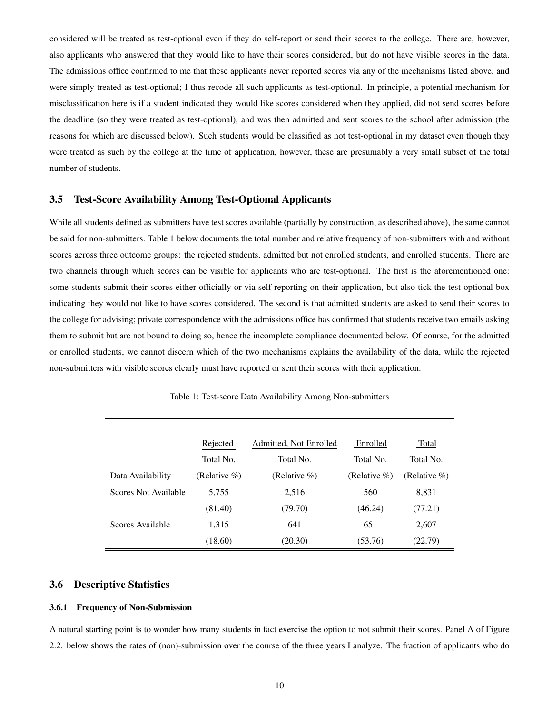considered will be treated as test-optional even if they do self-report or send their scores to the college. There are, however, also applicants who answered that they would like to have their scores considered, but do not have visible scores in the data. The admissions office confirmed to me that these applicants never reported scores via any of the mechanisms listed above, and were simply treated as test-optional; I thus recode all such applicants as test-optional. In principle, a potential mechanism for misclassification here is if a student indicated they would like scores considered when they applied, did not send scores before the deadline (so they were treated as test-optional), and was then admitted and sent scores to the school after admission (the reasons for which are discussed below). Such students would be classified as not test-optional in my dataset even though they were treated as such by the college at the time of application, however, these are presumably a very small subset of the total number of students.

### <span id="page-10-0"></span>3.5 Test-Score Availability Among Test-Optional Applicants

While all students defined as submitters have test scores available (partially by construction, as described above), the same cannot be said for non-submitters. Table 1 below documents the total number and relative frequency of non-submitters with and without scores across three outcome groups: the rejected students, admitted but not enrolled students, and enrolled students. There are two channels through which scores can be visible for applicants who are test-optional. The first is the aforementioned one: some students submit their scores either officially or via self-reporting on their application, but also tick the test-optional box indicating they would not like to have scores considered. The second is that admitted students are asked to send their scores to the college for advising; private correspondence with the admissions office has confirmed that students receive two emails asking them to submit but are not bound to doing so, hence the incomplete compliance documented below. Of course, for the admitted or enrolled students, we cannot discern which of the two mechanisms explains the availability of the data, while the rejected non-submitters with visible scores clearly must have reported or sent their scores with their application.

|                      | Rejected         | Admitted, Not Enrolled | Enrolled         | Total            |
|----------------------|------------------|------------------------|------------------|------------------|
|                      | Total No.        | Total No.              | Total No.        | Total No.        |
| Data Availability    | (Relative $\%$ ) | (Relative $\%$ )       | (Relative $\%$ ) | (Relative $\%$ ) |
| Scores Not Available | 5,755            | 2,516                  | 560              | 8,831            |
|                      | (81.40)          | (79.70)                | (46.24)          | (77.21)          |
| Scores Available     | 1,315            | 641                    | 651              | 2,607            |
|                      | (18.60)          | (20.30)                | (53.76)          | (22.79)          |

Table 1: Test-score Data Availability Among Non-submitters

## <span id="page-10-1"></span>3.6 Descriptive Statistics

#### <span id="page-10-2"></span>3.6.1 Frequency of Non-Submission

A natural starting point is to wonder how many students in fact exercise the option to not submit their scores. Panel A of Figure 2.2. below shows the rates of (non)-submission over the course of the three years I analyze. The fraction of applicants who do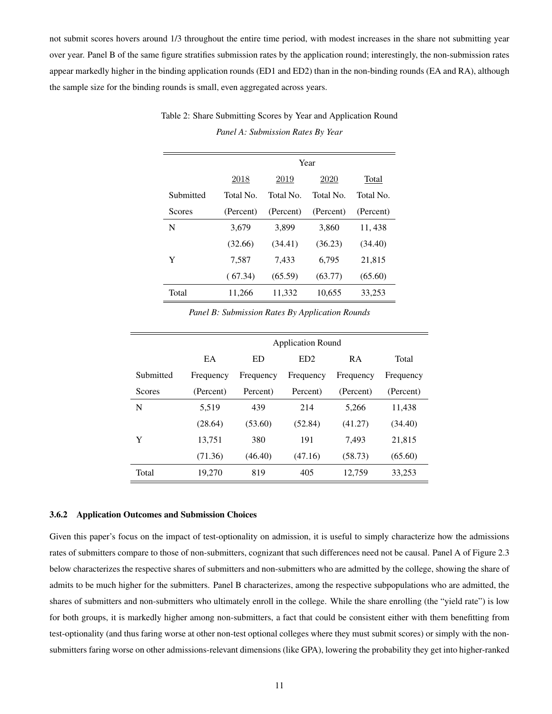not submit scores hovers around 1/3 throughout the entire time period, with modest increases in the share not submitting year over year. Panel B of the same figure stratifies submission rates by the application round; interestingly, the non-submission rates appear markedly higher in the binding application rounds (ED1 and ED2) than in the non-binding rounds (EA and RA), although the sample size for the binding rounds is small, even aggregated across years.

|           |           | Year      |           |           |  |  |
|-----------|-----------|-----------|-----------|-----------|--|--|
|           | 2018      | 2019      | 2020      | Total     |  |  |
| Submitted | Total No. | Total No. | Total No. | Total No. |  |  |
| Scores    | (Percent) | (Percent) | (Percent) | (Percent) |  |  |
| N         | 3.679     | 3.899     | 3,860     | 11, 438   |  |  |
|           | (32.66)   | (34.41)   | (36.23)   | (34.40)   |  |  |
| Y         | 7,587     | 7,433     | 6.795     | 21,815    |  |  |
|           | (67.34)   | (65.59)   | (63.77)   | (65.60)   |  |  |
| Total     | 11,266    | 11,332    | 10,655    | 33,253    |  |  |

Table 2: Share Submitting Scores by Year and Application Round *Panel A: Submission Rates By Year*

*Panel B: Submission Rates By Application Rounds*

|           | <b>Application Round</b> |           |                 |           |           |  |  |
|-----------|--------------------------|-----------|-----------------|-----------|-----------|--|--|
|           |                          |           |                 |           |           |  |  |
|           | EA                       | ED        | ED <sub>2</sub> | <b>RA</b> | Total     |  |  |
| Submitted | Frequency                | Frequency | Frequency       | Frequency | Frequency |  |  |
| Scores    | (Percent)                | Percent)  | Percent)        | (Percent) | (Percent) |  |  |
| N         | 5.519                    | 439       | 214             | 5,266     | 11,438    |  |  |
|           | (28.64)                  | (53.60)   | (52.84)         | (41.27)   | (34.40)   |  |  |
| Y         | 13,751                   | 380       | 191             | 7,493     | 21,815    |  |  |
|           | (71.36)                  | (46.40)   | (47.16)         | (58.73)   | (65.60)   |  |  |
| Total     | 19,270                   | 819       | 405             | 12,759    | 33,253    |  |  |

#### <span id="page-11-0"></span>3.6.2 Application Outcomes and Submission Choices

Given this paper's focus on the impact of test-optionality on admission, it is useful to simply characterize how the admissions rates of submitters compare to those of non-submitters, cognizant that such differences need not be causal. Panel A of Figure 2.3 below characterizes the respective shares of submitters and non-submitters who are admitted by the college, showing the share of admits to be much higher for the submitters. Panel B characterizes, among the respective subpopulations who are admitted, the shares of submitters and non-submitters who ultimately enroll in the college. While the share enrolling (the "yield rate") is low for both groups, it is markedly higher among non-submitters, a fact that could be consistent either with them benefitting from test-optionality (and thus faring worse at other non-test optional colleges where they must submit scores) or simply with the nonsubmitters faring worse on other admissions-relevant dimensions (like GPA), lowering the probability they get into higher-ranked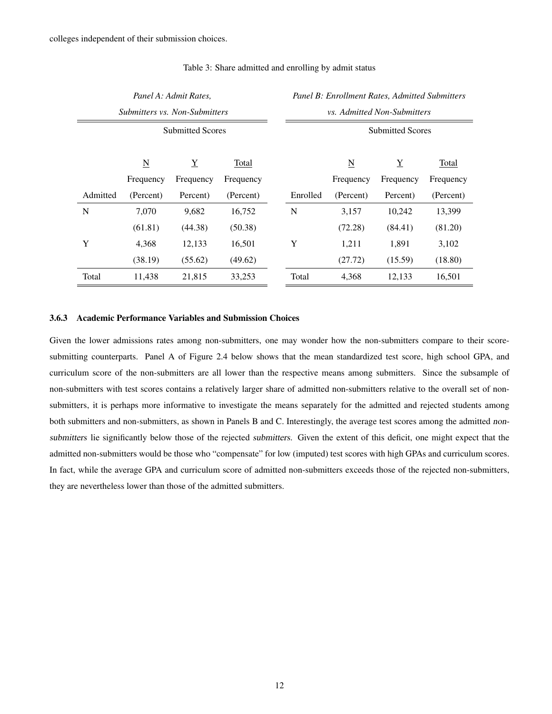|                         |                          | Panel A: Admit Rates,         |           |  | Panel B: Enrollment Rates, Admitted Submitters |                          |                 |           |  |
|-------------------------|--------------------------|-------------------------------|-----------|--|------------------------------------------------|--------------------------|-----------------|-----------|--|
|                         |                          | Submitters vs. Non-Submitters |           |  | <i>vs. Admitted Non-Submitters</i>             |                          |                 |           |  |
| <b>Submitted Scores</b> |                          |                               |           |  | <b>Submitted Scores</b>                        |                          |                 |           |  |
|                         | $\underline{\mathbf{N}}$ | $\underline{Y}$               | Total     |  |                                                | $\underline{\mathbf{N}}$ | $\underline{Y}$ | Total     |  |
|                         | Frequency                | Frequency                     | Frequency |  |                                                | Frequency                | Frequency       | Frequency |  |
| Admitted                | (Percent)                | Percent)                      | (Percent) |  | Enrolled                                       | (Percent)                | Percent)        | (Percent) |  |
| N                       | 7,070                    | 9,682                         | 16,752    |  | N                                              | 3,157                    | 10,242          | 13,399    |  |
|                         | (61.81)                  | (44.38)                       | (50.38)   |  |                                                | (72.28)                  | (84.41)         | (81.20)   |  |
| Y                       | 4,368                    | 12,133                        | 16,501    |  | Y                                              | 1,211                    | 1,891           | 3,102     |  |
|                         | (38.19)                  | (55.62)                       | (49.62)   |  |                                                | (27.72)                  | (15.59)         | (18.80)   |  |
| Total                   | 11,438                   | 21,815                        | 33,253    |  | Total                                          | 4,368                    | 12,133          | 16,501    |  |

#### Table 3: Share admitted and enrolling by admit status

#### <span id="page-12-0"></span>3.6.3 Academic Performance Variables and Submission Choices

Given the lower admissions rates among non-submitters, one may wonder how the non-submitters compare to their scoresubmitting counterparts. Panel A of Figure 2.4 below shows that the mean standardized test score, high school GPA, and curriculum score of the non-submitters are all lower than the respective means among submitters. Since the subsample of non-submitters with test scores contains a relatively larger share of admitted non-submitters relative to the overall set of nonsubmitters, it is perhaps more informative to investigate the means separately for the admitted and rejected students among both submitters and non-submitters, as shown in Panels B and C. Interestingly, the average test scores among the admitted nonsubmitters lie significantly below those of the rejected submitters. Given the extent of this deficit, one might expect that the admitted non-submitters would be those who "compensate" for low (imputed) test scores with high GPAs and curriculum scores. In fact, while the average GPA and curriculum score of admitted non-submitters exceeds those of the rejected non-submitters, they are nevertheless lower than those of the admitted submitters.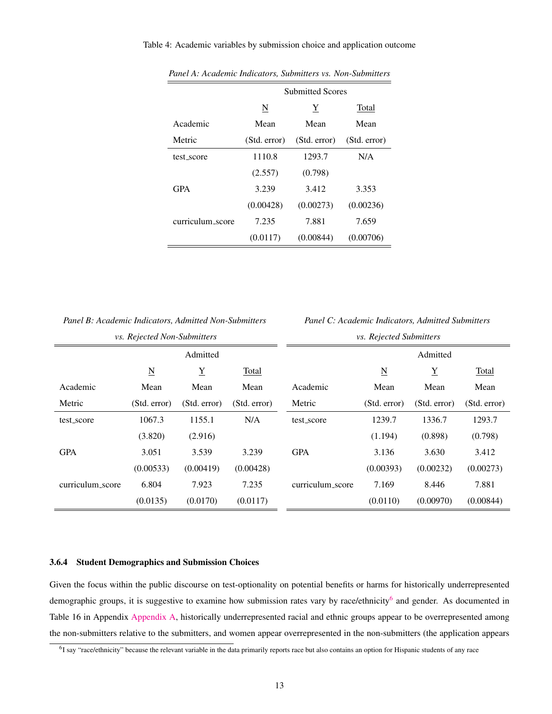#### Table 4: Academic variables by submission choice and application outcome

|                  | <b>Submitted Scores</b> |              |              |  |  |
|------------------|-------------------------|--------------|--------------|--|--|
|                  | N                       | Y            | Total        |  |  |
| Academic         | Mean                    | Mean         | Mean         |  |  |
| Metric           | (Std. error)            | (Std. error) | (Std. error) |  |  |
| test score       | 1110.8                  | 1293.7       | N/A          |  |  |
|                  | (2.557)                 | (0.798)      |              |  |  |
| <b>GPA</b>       | 3.239                   | 3.412        | 3.353        |  |  |
|                  | (0.00428)               | (0.00273)    | (0.00236)    |  |  |
| curriculum_score | 7.235                   | 7.881        | 7.659        |  |  |
|                  | (0.0117)                | (0.00844)    | (0.00706)    |  |  |

*Panel A: Academic Indicators, Submitters vs. Non-Submitters*

*Panel C: Academic Indicators, Admitted Submitters*

| <i>vs. Rejected Non-Submitters</i> |                          |                 |              |                  | <i>vs. Rejected Submitters</i> |                 |              |
|------------------------------------|--------------------------|-----------------|--------------|------------------|--------------------------------|-----------------|--------------|
|                                    |                          | Admitted        |              |                  |                                | Admitted        |              |
|                                    | $\underline{\mathbf{N}}$ | $\underline{Y}$ | Total        |                  | $\underline{\mathbf{N}}$       | $\underline{Y}$ | Total        |
| Academic                           | Mean                     | Mean            | Mean         | Academic         | Mean                           | Mean            | Mean         |
| Metric                             | (Std. error)             | (Std. error)    | (Std. error) | Metric           | (Std. error)                   | (Std. error)    | (Std. error) |
| test_score                         | 1067.3                   | 1155.1          | N/A          | test_score       | 1239.7                         | 1336.7          | 1293.7       |
|                                    | (3.820)                  | (2.916)         |              |                  | (1.194)                        | (0.898)         | (0.798)      |
| <b>GPA</b>                         | 3.051                    | 3.539           | 3.239        | <b>GPA</b>       | 3.136                          | 3.630           | 3.412        |
|                                    | (0.00533)                | (0.00419)       | (0.00428)    |                  | (0.00393)                      | (0.00232)       | (0.00273)    |
| curriculum_score                   | 6.804                    | 7.923           | 7.235        | curriculum_score | 7.169                          | 8.446           | 7.881        |
|                                    | (0.0135)                 | (0.0170)        | (0.0117)     |                  | (0.0110)                       | (0.00970)       | (0.00844)    |

#### <span id="page-13-0"></span>3.6.4 Student Demographics and Submission Choices

Given the focus within the public discourse on test-optionality on potential benefits or harms for historically underrepresented demographic groups, it is suggestive to examine how submission rates vary by race/ethnicity<sup>[6](#page-13-1)</sup> and gender. As documented in Table 16 in Appendix [Appendix A,](#page-42-0) historically underrepresented racial and ethnic groups appear to be overrepresented among the non-submitters relative to the submitters, and women appear overrepresented in the non-submitters (the application appears

<span id="page-13-1"></span><sup>&</sup>lt;sup>6</sup>I say "race/ethnicity" because the relevant variable in the data primarily reports race but also contains an option for Hispanic students of any race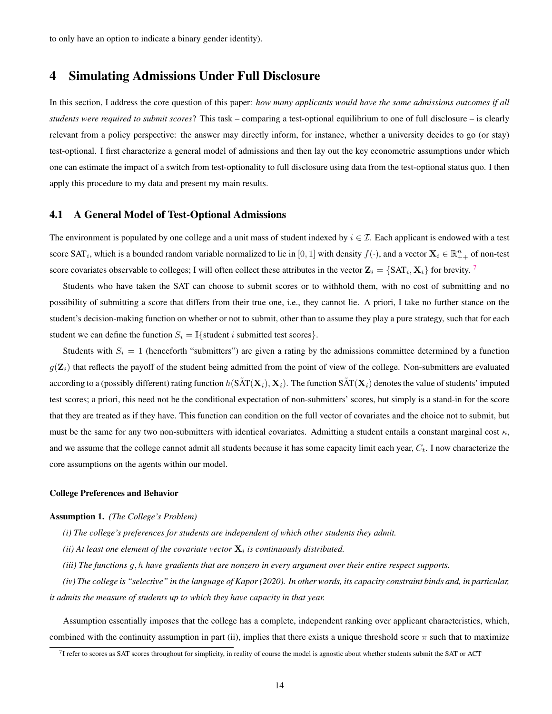## <span id="page-14-0"></span>4 Simulating Admissions Under Full Disclosure

In this section, I address the core question of this paper: *how many applicants would have the same admissions outcomes if all students were required to submit scores*? This task – comparing a test-optional equilibrium to one of full disclosure – is clearly relevant from a policy perspective: the answer may directly inform, for instance, whether a university decides to go (or stay) test-optional. I first characterize a general model of admissions and then lay out the key econometric assumptions under which one can estimate the impact of a switch from test-optionality to full disclosure using data from the test-optional status quo. I then apply this procedure to my data and present my main results.

#### <span id="page-14-1"></span>4.1 A General Model of Test-Optional Admissions

The environment is populated by one college and a unit mass of student indexed by  $i \in \mathcal{I}$ . Each applicant is endowed with a test score SAT<sub>i</sub>, which is a bounded random variable normalized to lie in [0, 1] with density  $f(\cdot)$ , and a vector  $\mathbf{X}_i \in \mathbb{R}_{++}^n$  of non-test score covariates observable to colleges; I will often collect these attributes in the vector  $\mathbf{Z}_i = \{SAT_i, \mathbf{X}_i\}$  for brevity. <sup>[7](#page-14-2)</sup>

Students who have taken the SAT can choose to submit scores or to withhold them, with no cost of submitting and no possibility of submitting a score that differs from their true one, i.e., they cannot lie. A priori, I take no further stance on the student's decision-making function on whether or not to submit, other than to assume they play a pure strategy, such that for each student we can define the function  $S_i = \mathbb{I}\{\text{student } i \text{ submitted test scores}\}.$ 

Students with  $S_i = 1$  (henceforth "submitters") are given a rating by the admissions committee determined by a function  $g(\mathbf{Z}_i)$  that reflects the payoff of the student being admitted from the point of view of the college. Non-submitters are evaluated according to a (possibly different) rating function  $h(SAT(\mathbf{X}_i), \mathbf{X}_i)$ . The function  $SAT(\mathbf{X}_i)$  denotes the value of students' imputed test scores; a priori, this need not be the conditional expectation of non-submitters' scores, but simply is a stand-in for the score that they are treated as if they have. This function can condition on the full vector of covariates and the choice not to submit, but must be the same for any two non-submitters with identical covariates. Admitting a student entails a constant marginal cost  $\kappa$ , and we assume that the college cannot admit all students because it has some capacity limit each year,  $C_t$ . I now characterize the core assumptions on the agents within our model.

#### College Preferences and Behavior

#### Assumption 1. *(The College's Problem)*

- *(i) The college's preferences for students are independent of which other students they admit.*
- (*ii*) At least one element of the covariate vector  $\mathbf{X}_i$  is continuously distributed.
- *(iii) The functions* g, h *have gradients that are nonzero in every argument over their entire respect supports.*

*(iv) The college is "selective" in the language of Kapor (2020). In other words, its capacity constraint binds and, in particular, it admits the measure of students up to which they have capacity in that year.*

Assumption essentially imposes that the college has a complete, independent ranking over applicant characteristics, which, combined with the continuity assumption in part (ii), implies that there exists a unique threshold score  $\pi$  such that to maximize

<span id="page-14-2"></span> $^{7}$ I refer to scores as SAT scores throughout for simplicity, in reality of course the model is agnostic about whether students submit the SAT or ACT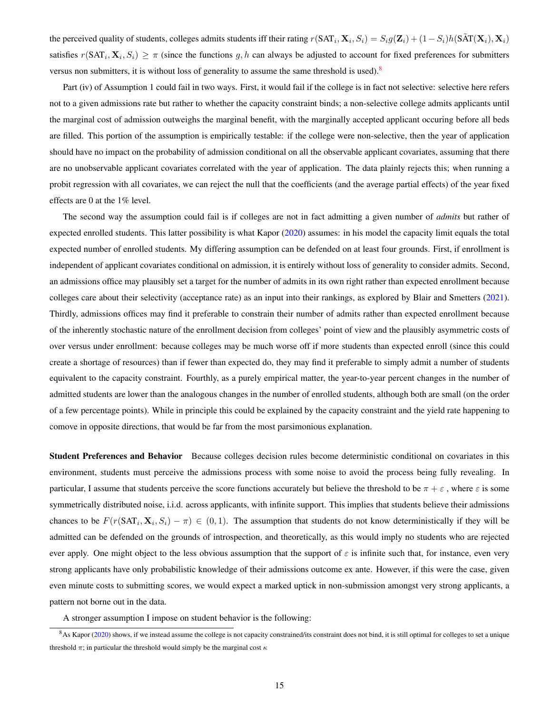the perceived quality of students, colleges admits students iff their rating  $r(SAT_i, X_i, S_i) = S_i g(\mathbf{Z}_i) + (1 - S_i)h(\tilde{SAT}(\mathbf{X}_i), \mathbf{X}_i)$ satisfies  $r(SAT_i, X_i, S_i) \geq \pi$  (since the functions g, h can always be adjusted to account for fixed preferences for submitters versus non submitters, it is without loss of generality to assume the same threshold is used).[8](#page-15-0)

Part (iv) of Assumption 1 could fail in two ways. First, it would fail if the college is in fact not selective: selective here refers not to a given admissions rate but rather to whether the capacity constraint binds; a non-selective college admits applicants until the marginal cost of admission outweighs the marginal benefit, with the marginally accepted applicant occuring before all beds are filled. This portion of the assumption is empirically testable: if the college were non-selective, then the year of application should have no impact on the probability of admission conditional on all the observable applicant covariates, assuming that there are no unobservable applicant covariates correlated with the year of application. The data plainly rejects this; when running a probit regression with all covariates, we can reject the null that the coefficients (and the average partial effects) of the year fixed effects are 0 at the 1% level.

The second way the assumption could fail is if colleges are not in fact admitting a given number of *admits* but rather of expected enrolled students. This latter possibility is what Kapor [\(2020\)](#page-40-8) assumes: in his model the capacity limit equals the total expected number of enrolled students. My differing assumption can be defended on at least four grounds. First, if enrollment is independent of applicant covariates conditional on admission, it is entirely without loss of generality to consider admits. Second, an admissions office may plausibly set a target for the number of admits in its own right rather than expected enrollment because colleges care about their selectivity (acceptance rate) as an input into their rankings, as explored by Blair and Smetters [\(2021\)](#page-40-10). Thirdly, admissions offices may find it preferable to constrain their number of admits rather than expected enrollment because of the inherently stochastic nature of the enrollment decision from colleges' point of view and the plausibly asymmetric costs of over versus under enrollment: because colleges may be much worse off if more students than expected enroll (since this could create a shortage of resources) than if fewer than expected do, they may find it preferable to simply admit a number of students equivalent to the capacity constraint. Fourthly, as a purely empirical matter, the year-to-year percent changes in the number of admitted students are lower than the analogous changes in the number of enrolled students, although both are small (on the order of a few percentage points). While in principle this could be explained by the capacity constraint and the yield rate happening to comove in opposite directions, that would be far from the most parsimonious explanation.

Student Preferences and Behavior Because colleges decision rules become deterministic conditional on covariates in this environment, students must perceive the admissions process with some noise to avoid the process being fully revealing. In particular, I assume that students perceive the score functions accurately but believe the threshold to be  $\pi + \varepsilon$ , where  $\varepsilon$  is some symmetrically distributed noise, i.i.d. across applicants, with infinite support. This implies that students believe their admissions chances to be  $F(r(SAT_i, X_i, S_i) - \pi) \in (0, 1)$ . The assumption that students do not know deterministically if they will be admitted can be defended on the grounds of introspection, and theoretically, as this would imply no students who are rejected ever apply. One might object to the less obvious assumption that the support of  $\varepsilon$  is infinite such that, for instance, even very strong applicants have only probabilistic knowledge of their admissions outcome ex ante. However, if this were the case, given even minute costs to submitting scores, we would expect a marked uptick in non-submission amongst very strong applicants, a pattern not borne out in the data.

<span id="page-15-0"></span>A stronger assumption I impose on student behavior is the following:

<sup>&</sup>lt;sup>8</sup>As Kapor [\(2020\)](#page-40-8) shows, if we instead assume the college is not capacity constrained/its constraint does not bind, it is still optimal for colleges to set a unique threshold  $\pi$ ; in particular the threshold would simply be the marginal cost  $\kappa$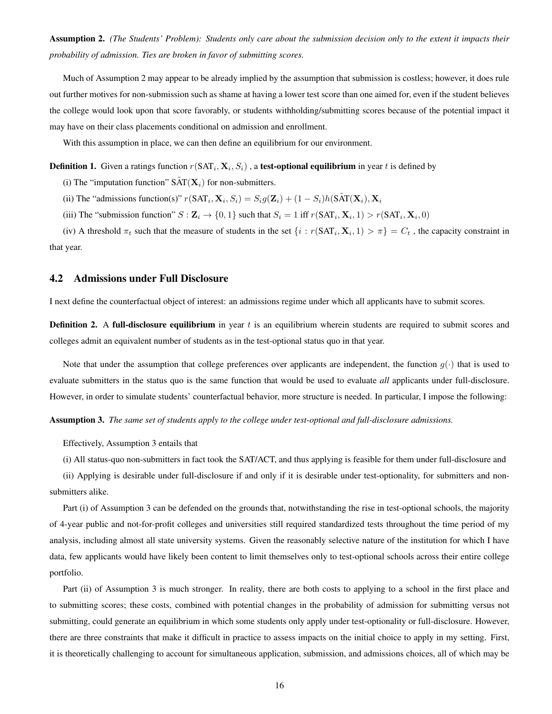Assumption 2. *(The Students' Problem): Students only care about the submission decision only to the extent it impacts their probability of admission. Ties are broken in favor of submitting scores.*

Much of Assumption 2 may appear to be already implied by the assumption that submission is costless; however, it does rule out further motives for non-submission such as shame at having a lower test score than one aimed for, even if the student believes the college would look upon that score favorably, or students withholding/submitting scores because of the potential impact it may have on their class placements conditional on admission and enrollment.

With this assumption in place, we can then define an equilibrium for our environment.

#### **Definition 1.** Given a ratings function  $r(SAT_i, X_i, S_i)$ , a **test-optional equilibrium** in year t is defined by

(i) The "imputation function"  $\tilde{SAT}(\mathbf{X}_i)$  for non-submitters.

(ii) The "admissions function(s)"  $r(SAT_i, X_i, S_i) = S_i g(Z_i) + (1 - S_i) h(SAT(X_i), X_i)$ 

(iii) The "submission function"  $S: \mathbf{Z}_i \to \{0,1\}$  such that  $S_i = 1$  iff  $r(SAT_i, \mathbf{X}_i, 1) > r(SAT_i, \mathbf{X}_i, 0)$ 

(iv) A threshold  $\pi_t$  such that the measure of students in the set  $\{i : r(SAT_i, X_i, 1) > \pi\} = C_t$ , the capacity constraint in that year.

### <span id="page-16-0"></span>4.2 Admissions under Full Disclosure

I next define the counterfactual object of interest: an admissions regime under which all applicants have to submit scores.

**Definition 2.** A **full-disclosure equilibrium** in year  $t$  is an equilibrium wherein students are required to submit scores and colleges admit an equivalent number of students as in the test-optional status quo in that year.

Note that under the assumption that college preferences over applicants are independent, the function  $q(\cdot)$  that is used to evaluate submitters in the status quo is the same function that would be used to evaluate *all* applicants under full-disclosure. However, in order to simulate students' counterfactual behavior, more structure is needed. In particular, I impose the following:

Assumption 3. *The same set of students apply to the college under test-optional and full-disclosure admissions.*

Effectively, Assumption 3 entails that

(i) All status-quo non-submitters in fact took the SAT/ACT, and thus applying is feasible for them under full-disclosure and

(ii) Applying is desirable under full-disclosure if and only if it is desirable under test-optionality, for submitters and nonsubmitters alike.

Part (i) of Assumption 3 can be defended on the grounds that, notwithstanding the rise in test-optional schools, the majority of 4-year public and not-for-profit colleges and universities still required standardized tests throughout the time period of my analysis, including almost all state university systems. Given the reasonably selective nature of the institution for which I have data, few applicants would have likely been content to limit themselves only to test-optional schools across their entire college portfolio.

Part (ii) of Assumption 3 is much stronger. In reality, there are both costs to applying to a school in the first place and to submitting scores; these costs, combined with potential changes in the probability of admission for submitting versus not submitting, could generate an equilibrium in which some students only apply under test-optionality or full-disclosure. However, there are three constraints that make it difficult in practice to assess impacts on the initial choice to apply in my setting. First, it is theoretically challenging to account for simultaneous application, submission, and admissions choices, all of which may be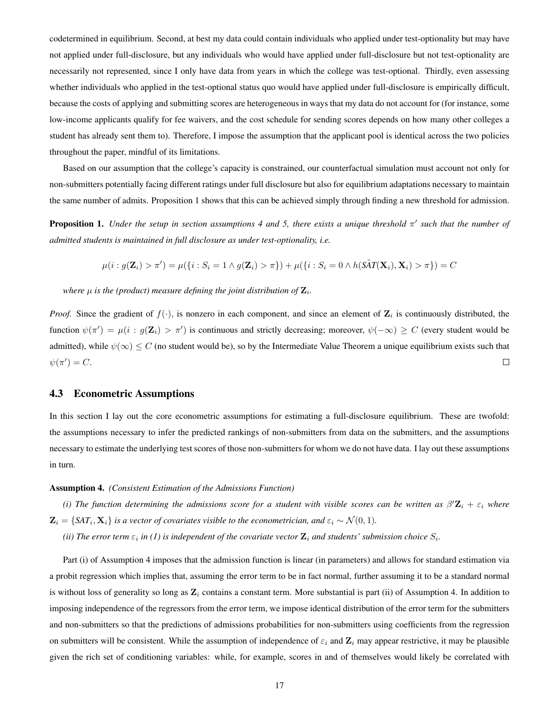codetermined in equilibrium. Second, at best my data could contain individuals who applied under test-optionality but may have not applied under full-disclosure, but any individuals who would have applied under full-disclosure but not test-optionality are necessarily not represented, since I only have data from years in which the college was test-optional. Thirdly, even assessing whether individuals who applied in the test-optional status quo would have applied under full-disclosure is empirically difficult, because the costs of applying and submitting scores are heterogeneous in ways that my data do not account for (for instance, some low-income applicants qualify for fee waivers, and the cost schedule for sending scores depends on how many other colleges a student has already sent them to). Therefore, I impose the assumption that the applicant pool is identical across the two policies throughout the paper, mindful of its limitations.

Based on our assumption that the college's capacity is constrained, our counterfactual simulation must account not only for non-submitters potentially facing different ratings under full disclosure but also for equilibrium adaptations necessary to maintain the same number of admits. Proposition 1 shows that this can be achieved simply through finding a new threshold for admission.

**Proposition 1.** Under the setup in section assumptions 4 and 5, there exists a unique threshold  $\pi'$  such that the number of *admitted students is maintained in full disclosure as under test-optionality, i.e.*

$$
\mu(i: g(\mathbf{Z}_i) > \pi') = \mu(\{i: S_i = 1 \land g(\mathbf{Z}_i) > \pi\}) + \mu(\{i: S_i = 0 \land h(\tilde{\text{SAT}}(\mathbf{X}_i), \mathbf{X}_i) > \pi\}) = C
$$

where  $\mu$  is the (product) measure defining the joint distribution of  $\mathbf{Z}_{i\cdot}$ 

*Proof.* Since the gradient of  $f(\cdot)$ , is nonzero in each component, and since an element of  $\mathbf{Z}_i$  is continuously distributed, the function  $\psi(\pi') = \mu(i : g(\mathbf{Z}_i) > \pi')$  is continuous and strictly decreasing; moreover,  $\psi(-\infty) \ge C$  (every student would be admitted), while  $\psi(\infty) \leq C$  (no student would be), so by the Intermediate Value Theorem a unique equilibrium exists such that  $\psi(\pi') = C.$  $\Box$ 

#### <span id="page-17-0"></span>4.3 Econometric Assumptions

In this section I lay out the core econometric assumptions for estimating a full-disclosure equilibrium. These are twofold: the assumptions necessary to infer the predicted rankings of non-submitters from data on the submitters, and the assumptions necessary to estimate the underlying test scores of those non-submitters for whom we do not have data. I lay out these assumptions in turn.

#### Assumption 4. *(Consistent Estimation of the Admissions Function)*

(i) The function determining the admissions score for a student with visible scores can be written as  $\beta' \mathbf{Z}_i + \varepsilon_i$  where  $\mathbf{Z}_i = \{SAT_i, \mathbf{X}_i\}$  is a vector of covariates visible to the econometrician, and  $\varepsilon_i \sim \mathcal{N}(0, 1)$ .

(*ii*) The error term  $\varepsilon_i$  in (1) is independent of the covariate vector  $\mathbf{Z}_i$  and students' submission choice  $S_i$ .

Part (i) of Assumption 4 imposes that the admission function is linear (in parameters) and allows for standard estimation via a probit regression which implies that, assuming the error term to be in fact normal, further assuming it to be a standard normal is without loss of generality so long as  $\mathbf{Z}_i$  contains a constant term. More substantial is part (ii) of Assumption 4. In addition to imposing independence of the regressors from the error term, we impose identical distribution of the error term for the submitters and non-submitters so that the predictions of admissions probabilities for non-submitters using coefficients from the regression on submitters will be consistent. While the assumption of independence of  $\varepsilon_i$  and  $\mathbf{Z}_i$  may appear restrictive, it may be plausible given the rich set of conditioning variables: while, for example, scores in and of themselves would likely be correlated with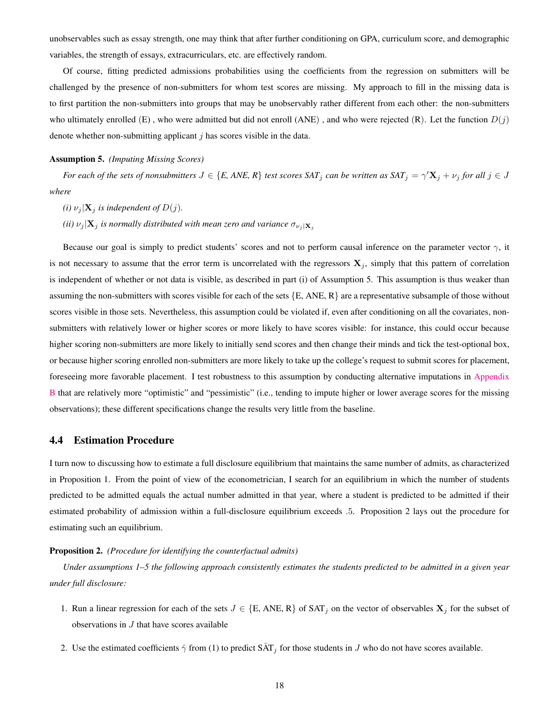unobservables such as essay strength, one may think that after further conditioning on GPA, curriculum score, and demographic variables, the strength of essays, extracurriculars, etc. are effectively random.

Of course, fitting predicted admissions probabilities using the coefficients from the regression on submitters will be challenged by the presence of non-submitters for whom test scores are missing. My approach to fill in the missing data is to first partition the non-submitters into groups that may be unobservably rather different from each other: the non-submitters who ultimately enrolled (E), who were admitted but did not enroll (ANE), and who were rejected (R). Let the function  $D(j)$ denote whether non-submitting applicant  $j$  has scores visible in the data.

#### Assumption 5. *(Imputing Missing Scores)*

*For each of the sets of nonsubmitters*  $J \in \{E, ANE, R\}$  *test scores*  $SAT_j$  *can be written as*  $SAT_j = \gamma' \mathbf{X}_j + \nu_j$  *for all*  $j \in J$ *where*

*(i)*  $\nu_j$  **X**<sub>*j*</sub> *is independent of*  $D(j)$ *.* 

*(ii)*  $\nu_j$  **X**<sub>*j*</sub> *is normally distributed with mean zero and variance*  $\sigma_{\nu_j}$  **x**<sub>*i*</sub>

Because our goal is simply to predict students' scores and not to perform causal inference on the parameter vector  $\gamma$ , it is not necessary to assume that the error term is uncorrelated with the regressors  $X_j$ , simply that this pattern of correlation is independent of whether or not data is visible, as described in part (i) of Assumption 5. This assumption is thus weaker than assuming the non-submitters with scores visible for each of the sets  $\{E, ANE, R\}$  are a representative subsample of those without scores visible in those sets. Nevertheless, this assumption could be violated if, even after conditioning on all the covariates, nonsubmitters with relatively lower or higher scores or more likely to have scores visible: for instance, this could occur because higher scoring non-submitters are more likely to initially send scores and then change their minds and tick the test-optional box, or because higher scoring enrolled non-submitters are more likely to take up the college's request to submit scores for placement, foreseeing more favorable placement. I test robustness to this assumption by conducting alternative imputations in [Appendix](#page-46-0) [B](#page-46-0) that are relatively more "optimistic" and "pessimistic" (i.e., tending to impute higher or lower average scores for the missing observations); these different specifications change the results very little from the baseline.

#### <span id="page-18-0"></span>4.4 Estimation Procedure

I turn now to discussing how to estimate a full disclosure equilibrium that maintains the same number of admits, as characterized in Proposition 1. From the point of view of the econometrician, I search for an equilibrium in which the number of students predicted to be admitted equals the actual number admitted in that year, where a student is predicted to be admitted if their estimated probability of admission within a full-disclosure equilibrium exceeds .5. Proposition 2 lays out the procedure for estimating such an equilibrium.

#### Proposition 2. *(Procedure for identifying the counterfactual admits)*

*Under assumptions 1–5 the following approach consistently estimates the students predicted to be admitted in a given year under full disclosure:*

- 1. Run a linear regression for each of the sets  $J \in \{E, ANE, R\}$  of SAT<sub>j</sub> on the vector of observables  $X_j$  for the subset of observations in  $J$  that have scores available
- 2. Use the estimated coefficients  $\hat{\gamma}$  from (1) to predict  $S\hat{A}T_j$  for those students in J who do not have scores available.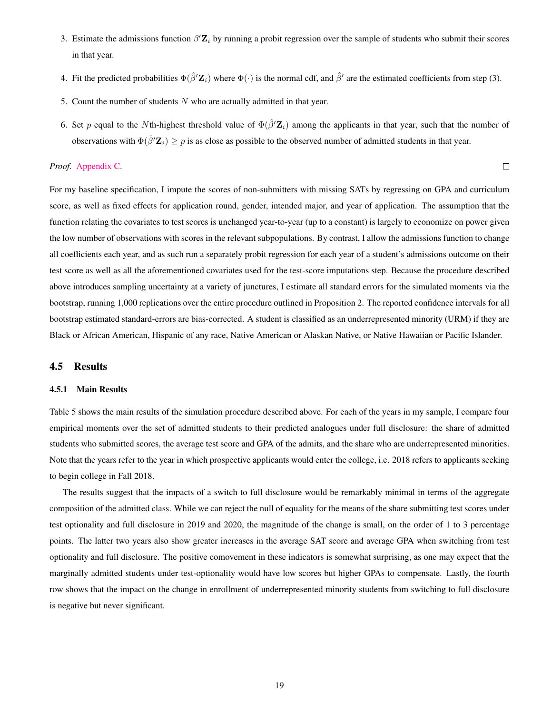- 3. Estimate the admissions function  $\beta' \mathbf{Z}_i$  by running a probit regression over the sample of students who submit their scores in that year.
- 4. Fit the predicted probabilities  $\Phi(\hat{\beta}' \mathbf{Z}_i)$  where  $\Phi(\cdot)$  is the normal cdf, and  $\hat{\beta}'$  are the estimated coefficients from step (3).
- 5. Count the number of students  $N$  who are actually admitted in that year.
- 6. Set p equal to the Nth-highest threshold value of  $\Phi(\hat{\beta}'\mathbf{Z}_i)$  among the applicants in that year, such that the number of observations with  $\Phi(\hat{\beta}'\mathbf{Z}_i) \geq p$  is as close as possible to the observed number of admitted students in that year.

 $\Box$ 

#### *Proof.* [Appendix C.](#page-47-0)

For my baseline specification, I impute the scores of non-submitters with missing SATs by regressing on GPA and curriculum score, as well as fixed effects for application round, gender, intended major, and year of application. The assumption that the function relating the covariates to test scores is unchanged year-to-year (up to a constant) is largely to economize on power given the low number of observations with scores in the relevant subpopulations. By contrast, I allow the admissions function to change all coefficients each year, and as such run a separately probit regression for each year of a student's admissions outcome on their test score as well as all the aforementioned covariates used for the test-score imputations step. Because the procedure described above introduces sampling uncertainty at a variety of junctures, I estimate all standard errors for the simulated moments via the bootstrap, running 1,000 replications over the entire procedure outlined in Proposition 2. The reported confidence intervals for all bootstrap estimated standard-errors are bias-corrected. A student is classified as an underrepresented minority (URM) if they are Black or African American, Hispanic of any race, Native American or Alaskan Native, or Native Hawaiian or Pacific Islander.

### <span id="page-19-0"></span>4.5 Results

#### <span id="page-19-1"></span>4.5.1 Main Results

Table 5 shows the main results of the simulation procedure described above. For each of the years in my sample, I compare four empirical moments over the set of admitted students to their predicted analogues under full disclosure: the share of admitted students who submitted scores, the average test score and GPA of the admits, and the share who are underrepresented minorities. Note that the years refer to the year in which prospective applicants would enter the college, i.e. 2018 refers to applicants seeking to begin college in Fall 2018.

The results suggest that the impacts of a switch to full disclosure would be remarkably minimal in terms of the aggregate composition of the admitted class. While we can reject the null of equality for the means of the share submitting test scores under test optionality and full disclosure in 2019 and 2020, the magnitude of the change is small, on the order of 1 to 3 percentage points. The latter two years also show greater increases in the average SAT score and average GPA when switching from test optionality and full disclosure. The positive comovement in these indicators is somewhat surprising, as one may expect that the marginally admitted students under test-optionality would have low scores but higher GPAs to compensate. Lastly, the fourth row shows that the impact on the change in enrollment of underrepresented minority students from switching to full disclosure is negative but never significant.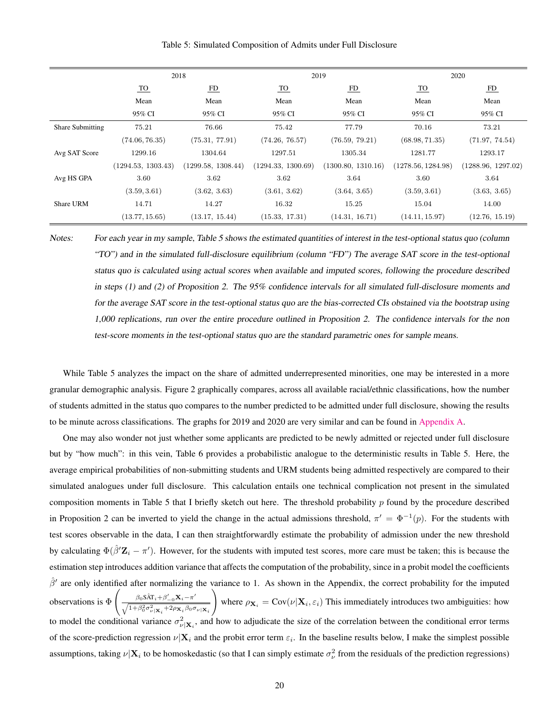|                         |                    | 2018               |                    | 2019               |                    | 2020               |
|-------------------------|--------------------|--------------------|--------------------|--------------------|--------------------|--------------------|
|                         | <u>TO</u>          | FD                 | <u>TO</u>          | FD                 | <u>TO</u>          | FD                 |
|                         | Mean               | Mean               | Mean               | Mean               | Mean               | Mean               |
|                         | 95% CI             | 95% CI             | 95% CI             | 95% CI             | 95% CI             | 95% CI             |
| <b>Share Submitting</b> | 75.21              | 76.66              | 75.42              | 77.79              | 70.16              | 73.21              |
|                         | (74.06, 76.35)     | (75.31, 77.91)     | (74.26, 76.57)     | (76.59, 79.21)     | (68.98, 71.35)     | (71.97, 74.54)     |
| Avg SAT Score           | 1299.16            | 1304.64            | 1297.51            | 1305.34            | 1281.77            | 1293.17            |
|                         | (1294.53, 1303.43) | (1299.58, 1308.44) | (1294.33, 1300.69) | (1300.80, 1310.16) | (1278.56, 1284.98) | (1288.96, 1297.02) |
| Avg HS GPA              | 3.60               | 3.62               | 3.62               | 3.64               | 3.60               | 3.64               |
|                         | (3.59, 3.61)       | (3.62, 3.63)       | (3.61, 3.62)       | (3.64, 3.65)       | (3.59, 3.61)       | (3.63, 3.65)       |
| Share URM               | 14.71              | 14.27              | 16.32              | 15.25              | 15.04              | 14.00              |
|                         | (13.77, 15.65)     | (13.17, 15.44)     | (15.33, 17.31)     | (14.31, 16.71)     | (14.11, 15.97)     | (12.76, 15.19)     |

Table 5: Simulated Composition of Admits under Full Disclosure

Notes: For each year in my sample, Table 5 shows the estimated quantities of interest in the test-optional status quo (column "TO") and in the simulated full-disclosure equilibrium (column "FD") The average SAT score in the test-optional status quo is calculated using actual scores when available and imputed scores, following the procedure described in steps (1) and (2) of Proposition 2. The 95% confidence intervals for all simulated full-disclosure moments and for the average SAT score in the test-optional status quo are the bias-corrected CIs obstained via the bootstrap using 1,000 replications, run over the entire procedure outlined in Proposition 2. The confidence intervals for the non test-score moments in the test-optional status quo are the standard parametric ones for sample means.

While Table 5 analyzes the impact on the share of admitted underrepresented minorities, one may be interested in a more granular demographic analysis. Figure 2 graphically compares, across all available racial/ethnic classifications, how the number of students admitted in the status quo compares to the number predicted to be admitted under full disclosure, showing the results to be minute across classifications. The graphs for 2019 and 2020 are very similar and can be found in [Appendix A.](#page-42-0)

One may also wonder not just whether some applicants are predicted to be newly admitted or rejected under full disclosure but by "how much": in this vein, Table 6 provides a probabilistic analogue to the deterministic results in Table 5. Here, the average empirical probabilities of non-submitting students and URM students being admitted respectively are compared to their simulated analogues under full disclosure. This calculation entails one technical complication not present in the simulated composition moments in Table 5 that I briefly sketch out here. The threshold probability  $p$  found by the procedure described in Proposition 2 can be inverted to yield the change in the actual admissions threshold,  $\pi' = \Phi^{-1}(p)$ . For the students with test scores observable in the data, I can then straightforwardly estimate the probability of admission under the new threshold by calculating  $\Phi(\hat{\beta}'\mathbf{Z}_i - \pi')$ . However, for the students with imputed test scores, more care must be taken; this is because the estimation step introduces addition variance that affects the computation of the probability, since in a probit model the coefficients  $\hat{\beta}'$  are only identified after normalizing the variance to 1. As shown in the Appendix, the correct probability for the imputed observations is Φ  $\int \beta_0 S \hat{A} T_i + \beta'_{-0} X_i - \pi'$  $\sqrt{1+\beta_0^2\sigma_{\nu|\mathbf{X}_i}^2+2\rho_{\mathbf{X}_i}\beta_0\sigma_{\nu|\mathbf{X}_i}}$  $\setminus$ where  $\rho_{\mathbf{X}_i} = \text{Cov}(\nu | \mathbf{X}_i, \varepsilon_i)$  This immediately introduces two ambiguities: how to model the conditional variance  $\sigma_{\nu|X_i}^2$ , and how to adjudicate the size of the correlation between the conditional error terms of the score-prediction regression  $\nu|X_i$  and the probit error term  $\varepsilon_i$ . In the baseline results below, I make the simplest possible assumptions, taking  $\nu|\mathbf{X}_i$  to be homoskedastic (so that I can simply estimate  $\sigma_\nu^2$  from the residuals of the prediction regressions)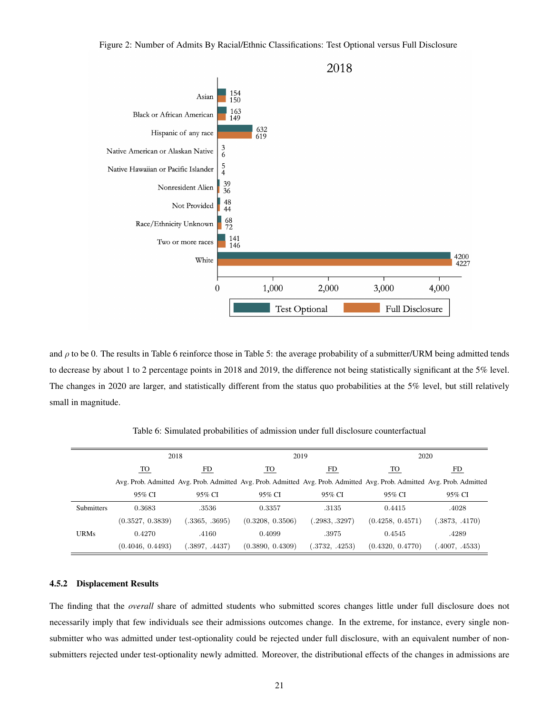

and  $\rho$  to be 0. The results in Table 6 reinforce those in Table 5: the average probability of a submitter/URM being admitted tends to decrease by about 1 to 2 percentage points in 2018 and 2019, the difference not being statistically significant at the 5% level. The changes in 2020 are larger, and statistically different from the status quo probabilities at the 5% level, but still relatively small in magnitude.

|             | 2018             |                | 2019                                                                                                                    |                | 2020             |                |
|-------------|------------------|----------------|-------------------------------------------------------------------------------------------------------------------------|----------------|------------------|----------------|
|             | TO               | FD             | <u>TO</u>                                                                                                               | FD             | <u>TO</u>        | FD.            |
|             |                  |                | Avg. Prob. Admitted Avg. Prob. Admitted Avg. Prob. Admitted Avg. Prob. Admitted Avg. Prob. Admitted Avg. Prob. Admitted |                |                  |                |
|             | 95% CI           | 95% CI         | 95% CI                                                                                                                  | 95% CI         | 95% CI           | 95% CI         |
| Submitters  | 0.3683           | .3536          | 0.3357                                                                                                                  | .3135          | 0.4415           | .4028          |
|             | (0.3527, 0.3839) | (.3365, .3695) | (0.3208, 0.3506)                                                                                                        | (.2983, .3297) | (0.4258, 0.4571) | (.3873, .4170) |
| <b>URMs</b> | 0.4270           | .4160          | 0.4099                                                                                                                  | .3975          | 0.4545           | .4289          |
|             | (0.4046, 0.4493) | (.3897, .4437) | (0.3890, 0.4309)                                                                                                        | (.3732, .4253) | (0.4320, 0.4770) | (4007, .4533)  |

Table 6: Simulated probabilities of admission under full disclosure counterfactual

### <span id="page-21-0"></span>4.5.2 Displacement Results

The finding that the *overall* share of admitted students who submitted scores changes little under full disclosure does not necessarily imply that few individuals see their admissions outcomes change. In the extreme, for instance, every single nonsubmitter who was admitted under test-optionality could be rejected under full disclosure, with an equivalent number of nonsubmitters rejected under test-optionality newly admitted. Moreover, the distributional effects of the changes in admissions are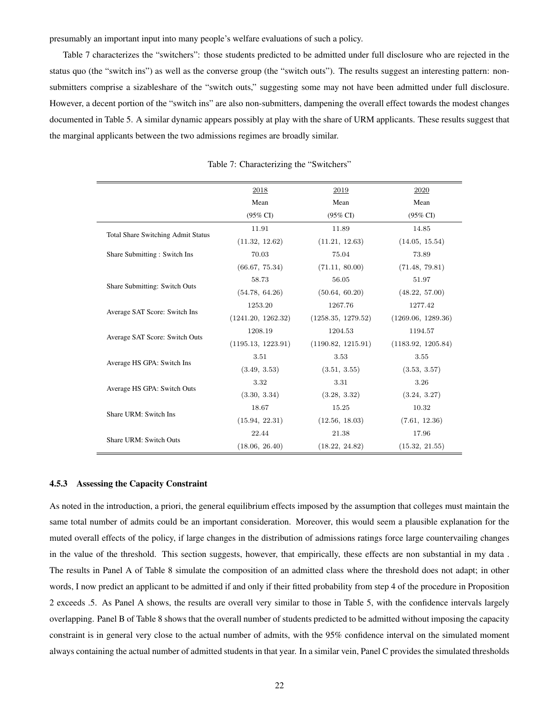presumably an important input into many people's welfare evaluations of such a policy.

Table 7 characterizes the "switchers": those students predicted to be admitted under full disclosure who are rejected in the status quo (the "switch ins") as well as the converse group (the "switch outs"). The results suggest an interesting pattern: nonsubmitters comprise a sizableshare of the "switch outs," suggesting some may not have been admitted under full disclosure. However, a decent portion of the "switch ins" are also non-submitters, dampening the overall effect towards the modest changes documented in Table 5. A similar dynamic appears possibly at play with the share of URM applicants. These results suggest that the marginal applicants between the two admissions regimes are broadly similar.

|                                           | 2018                | 2019                | 2020                |
|-------------------------------------------|---------------------|---------------------|---------------------|
|                                           | Mean                | Mean                | Mean                |
|                                           |                     |                     |                     |
|                                           | $(95\% \text{ CI})$ | $(95\% \text{ CI})$ | $(95\% \text{ CI})$ |
| <b>Total Share Switching Admit Status</b> | 11.91               | 11.89               | 14.85               |
|                                           | (11.32, 12.62)      | (11.21, 12.63)      | (14.05, 15.54)      |
| Share Submitting: Switch Ins              | 70.03               | 75.04               | 73.89               |
|                                           | (66.67, 75.34)      | (71.11, 80.00)      | (71.48, 79.81)      |
|                                           | 58.73               | 56.05               | 51.97               |
| Share Submitting: Switch Outs             | (54.78, 64.26)      | (50.64, 60.20)      | (48.22, 57.00)      |
|                                           | 1253.20             | 1267.76             | 1277.42             |
| Average SAT Score: Switch Ins             | (1241.20, 1262.32)  | (1258.35, 1279.52)  | (1269.06, 1289.36)  |
|                                           | 1208.19             | 1204.53             | 1194.57             |
| Average SAT Score: Switch Outs            | (1195.13, 1223.91)  | (1190.82, 1215.91)  | (1183.92, 1205.84)  |
|                                           | 3.51                | 3.53                | 3.55                |
| Average HS GPA: Switch Ins                | (3.49, 3.53)        | (3.51, 3.55)        | (3.53, 3.57)        |
|                                           | 3.32                | 3.31                | 3.26                |
| Average HS GPA: Switch Outs               | (3.30, 3.34)        | (3.28, 3.32)        | (3.24, 3.27)        |
|                                           | 18.67               | 15.25               | 10.32               |
| Share URM: Switch Ins                     | (15.94, 22.31)      | (12.56, 18.03)      | (7.61, 12.36)       |
|                                           | 22.44               | 21.38               | 17.96               |
| Share URM: Switch Outs                    | (18.06, 26.40)      | (18.22, 24.82)      | (15.32, 21.55)      |

Table 7: Characterizing the "Switchers"

#### <span id="page-22-0"></span>4.5.3 Assessing the Capacity Constraint

As noted in the introduction, a priori, the general equilibrium effects imposed by the assumption that colleges must maintain the same total number of admits could be an important consideration. Moreover, this would seem a plausible explanation for the muted overall effects of the policy, if large changes in the distribution of admissions ratings force large countervailing changes in the value of the threshold. This section suggests, however, that empirically, these effects are non substantial in my data. The results in Panel A of Table 8 simulate the composition of an admitted class where the threshold does not adapt; in other words, I now predict an applicant to be admitted if and only if their fitted probability from step 4 of the procedure in Proposition 2 exceeds .5. As Panel A shows, the results are overall very similar to those in Table 5, with the confidence intervals largely overlapping. Panel B of Table 8 shows that the overall number of students predicted to be admitted without imposing the capacity constraint is in general very close to the actual number of admits, with the 95% confidence interval on the simulated moment always containing the actual number of admitted students in that year. In a similar vein, Panel C provides the simulated thresholds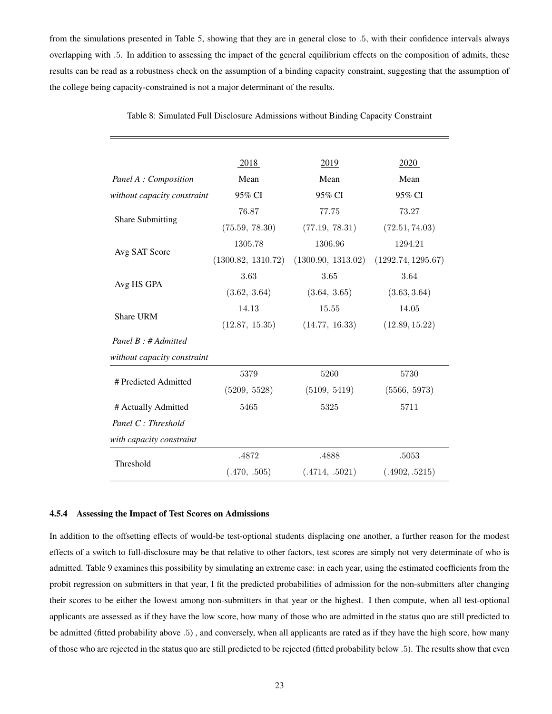from the simulations presented in Table 5, showing that they are in general close to .5, with their confidence intervals always overlapping with .5. In addition to assessing the impact of the general equilibrium effects on the composition of admits, these results can be read as a robustness check on the assumption of a binding capacity constraint, suggesting that the assumption of the college being capacity-constrained is not a major determinant of the results.

|                               | 2018               | 2019               | 2020               |
|-------------------------------|--------------------|--------------------|--------------------|
| Mean<br>Panel A : Composition |                    | Mean               | Mean               |
| without capacity constraint   | 95% CI             | 95% CI             | 95% CI             |
|                               | 76.87              | 77.75              | 73.27              |
| <b>Share Submitting</b>       | (75.59, 78.30)     | (77.19, 78.31)     | (72.51, 74.03)     |
|                               | 1305.78            | 1306.96            | 1294.21            |
| Avg SAT Score                 | (1300.82, 1310.72) | (1300.90, 1313.02) | (1292.74, 1295.67) |
|                               | 3.63               | 3.65               | 3.64               |
| Avg HS GPA                    | (3.62, 3.64)       | (3.64, 3.65)       | (3.63, 3.64)       |
| <b>Share URM</b>              | 14.13              | 15.55              | 14.05              |
|                               | (12.87, 15.35)     | (14.77, 16.33)     | (12.89, 15.22)     |
| Panel $B : H$ Admitted        |                    |                    |                    |
| without capacity constraint   |                    |                    |                    |
| # Predicted Admitted          | 5379               | 5260               | 5730               |
|                               | (5209, 5528)       | (5109, 5419)       | (5566, 5973)       |
| # Actually Admitted           | 5465               | 5325               | 5711               |
| Panel C: Threshold            |                    |                    |                    |
| with capacity constraint      |                    |                    |                    |
|                               | .4872              | .4888              | .5053              |
| Threshold                     | (.470, .505)       | (.4714, .5021)     | (.4902, .5215)     |

Table 8: Simulated Full Disclosure Admissions without Binding Capacity Constraint

#### <span id="page-23-0"></span>4.5.4 Assessing the Impact of Test Scores on Admissions

In addition to the offsetting effects of would-be test-optional students displacing one another, a further reason for the modest effects of a switch to full-disclosure may be that relative to other factors, test scores are simply not very determinate of who is admitted. Table 9 examines this possibility by simulating an extreme case: in each year, using the estimated coefficients from the probit regression on submitters in that year, I fit the predicted probabilities of admission for the non-submitters after changing their scores to be either the lowest among non-submitters in that year or the highest. I then compute, when all test-optional applicants are assessed as if they have the low score, how many of those who are admitted in the status quo are still predicted to be admitted (fitted probability above .5) , and conversely, when all applicants are rated as if they have the high score, how many of those who are rejected in the status quo are still predicted to be rejected (fitted probability below .5). The results show that even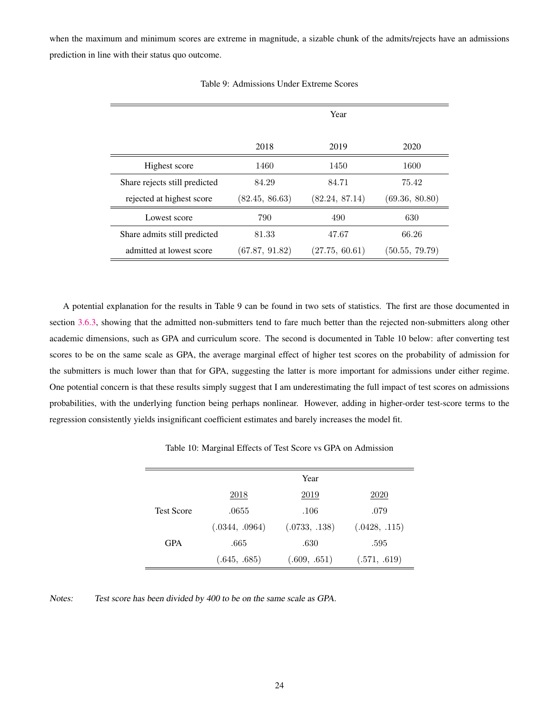when the maximum and minimum scores are extreme in magnitude, a sizable chunk of the admits/rejects have an admissions prediction in line with their status quo outcome.

|                               |                | Year           |                |
|-------------------------------|----------------|----------------|----------------|
|                               | 2018           | 2019           | 2020           |
| Highest score                 | 1460           | 1450           | 1600           |
| Share rejects still predicted | 84.29          | 84.71          | 75.42          |
| rejected at highest score     | (82.45, 86.63) | (82.24, 87.14) | (69.36, 80.80) |
| Lowest score                  | 790            | 490            | 630            |
| Share admits still predicted  | 81.33          | 47.67          | 66.26          |
| admitted at lowest score      | (67.87, 91.82) | (27.75, 60.61) | (50.55, 79.79) |

Table 9: Admissions Under Extreme Scores

A potential explanation for the results in Table 9 can be found in two sets of statistics. The first are those documented in section [3.6.3,](#page-12-0) showing that the admitted non-submitters tend to fare much better than the rejected non-submitters along other academic dimensions, such as GPA and curriculum score. The second is documented in Table 10 below: after converting test scores to be on the same scale as GPA, the average marginal effect of higher test scores on the probability of admission for the submitters is much lower than that for GPA, suggesting the latter is more important for admissions under either regime. One potential concern is that these results simply suggest that I am underestimating the full impact of test scores on admissions probabilities, with the underlying function being perhaps nonlinear. However, adding in higher-order test-score terms to the regression consistently yields insignificant coefficient estimates and barely increases the model fit.

Table 10: Marginal Effects of Test Score vs GPA on Admission

|                   |                | Year          |               |
|-------------------|----------------|---------------|---------------|
|                   | 2018           | 2019          | 2020          |
| <b>Test Score</b> | .0655          | .106          | .079          |
|                   | (.0344, .0964) | (.0733, .138) | (.0428, .115) |
| <b>GPA</b>        | .665           | .630          | .595          |
|                   | (.645, .685)   | (.609, .651)  | (.571, .619)  |

Notes: Test score has been divided by 400 to be on the same scale as GPA.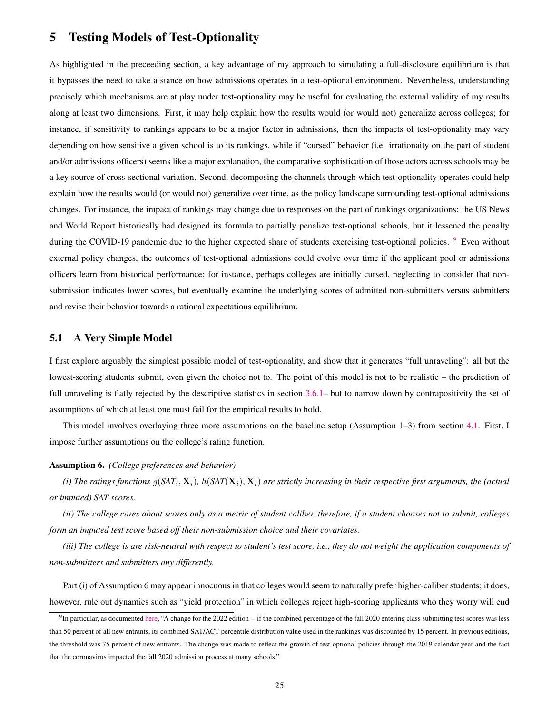## <span id="page-25-0"></span>5 Testing Models of Test-Optionality

As highlighted in the preceeding section, a key advantage of my approach to simulating a full-disclosure equilibrium is that it bypasses the need to take a stance on how admissions operates in a test-optional environment. Nevertheless, understanding precisely which mechanisms are at play under test-optionality may be useful for evaluating the external validity of my results along at least two dimensions. First, it may help explain how the results would (or would not) generalize across colleges; for instance, if sensitivity to rankings appears to be a major factor in admissions, then the impacts of test-optionality may vary depending on how sensitive a given school is to its rankings, while if "cursed" behavior (i.e. irrationaity on the part of student and/or admissions officers) seems like a major explanation, the comparative sophistication of those actors across schools may be a key source of cross-sectional variation. Second, decomposing the channels through which test-optionality operates could help explain how the results would (or would not) generalize over time, as the policy landscape surrounding test-optional admissions changes. For instance, the impact of rankings may change due to responses on the part of rankings organizations: the US News and World Report historically had designed its formula to partially penalize test-optional schools, but it lessened the penalty during the COVID-1[9](#page-25-2) pandemic due to the higher expected share of students exercising test-optional policies.  $9\degree$  Even without external policy changes, the outcomes of test-optional admissions could evolve over time if the applicant pool or admissions officers learn from historical performance; for instance, perhaps colleges are initially cursed, neglecting to consider that nonsubmission indicates lower scores, but eventually examine the underlying scores of admitted non-submitters versus submitters and revise their behavior towards a rational expectations equilibrium.

## <span id="page-25-1"></span>5.1 A Very Simple Model

I first explore arguably the simplest possible model of test-optionality, and show that it generates "full unraveling": all but the lowest-scoring students submit, even given the choice not to. The point of this model is not to be realistic – the prediction of full unraveling is flatly rejected by the descriptive statistics in section [3.6.1–](#page-10-2) but to narrow down by contrapositivity the set of assumptions of which at least one must fail for the empirical results to hold.

This model involves overlaying three more assumptions on the baseline setup (Assumption 1–3) from section [4.1.](#page-14-1) First, I impose further assumptions on the college's rating function.

#### Assumption 6. *(College preferences and behavior)*

(i) The ratings functions  $g(SAT_i, X_i)$ ,  $h(\tilde{SAT}(X_i), X_i)$  are strictly increasing in their respective first arguments, the (actual *or imputed) SAT scores.*

*(ii) The college cares about scores only as a metric of student caliber, therefore, if a student chooses not to submit, colleges form an imputed test score based off their non-submission choice and their covariates.*

*(iii) The college is are risk-neutral with respect to student's test score, i.e., they do not weight the application components of non-submitters and submitters any differently.*

Part (i) of Assumption 6 may appear innocuous in that colleges would seem to naturally prefer higher-caliber students; it does, however, rule out dynamics such as "yield protection" in which colleges reject high-scoring applicants who they worry will end

<span id="page-25-2"></span> $^{9}$ In particular, as documented [here,](https://feed.georgetown.edu/access-affordability/sat-act-u-s-news-makes-minor-changes-study-shows-who-submitted-test-scores-last-year/) "A change for the 2022 edition  $-$  if the combined percentage of the fall 2020 entering class submitting test scores was less than 50 percent of all new entrants, its combined SAT/ACT percentile distribution value used in the rankings was discounted by 15 percent. In previous editions, the threshold was 75 percent of new entrants. The change was made to reflect the growth of test-optional policies through the 2019 calendar year and the fact that the coronavirus impacted the fall 2020 admission process at many schools."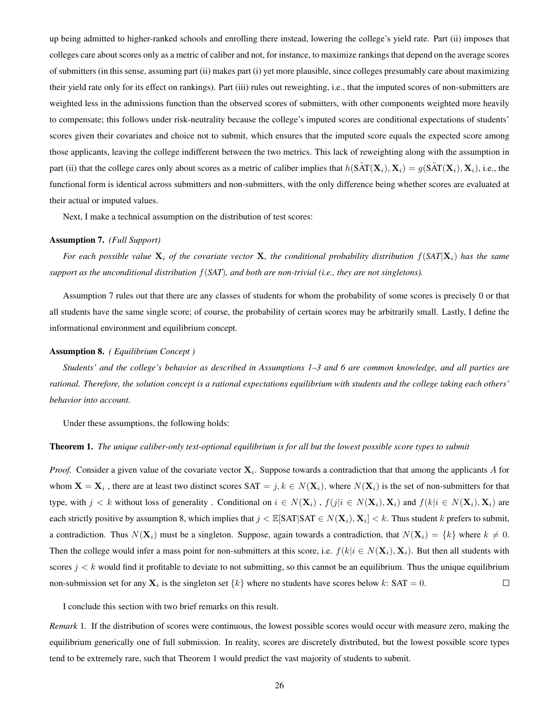up being admitted to higher-ranked schools and enrolling there instead, lowering the college's yield rate. Part (ii) imposes that colleges care about scores only as a metric of caliber and not, for instance, to maximize rankings that depend on the average scores of submitters (in this sense, assuming part (ii) makes part (i) yet more plausible, since colleges presumably care about maximizing their yield rate only for its effect on rankings). Part (iii) rules out reweighting, i.e., that the imputed scores of non-submitters are weighted less in the admissions function than the observed scores of submitters, with other components weighted more heavily to compensate; this follows under risk-neutrality because the college's imputed scores are conditional expectations of students' scores given their covariates and choice not to submit, which ensures that the imputed score equals the expected score among those applicants, leaving the college indifferent between the two metrics. This lack of reweighting along with the assumption in part (ii) that the college cares only about scores as a metric of caliber implies that  $h(\tilde{SAT}(X_i), X_i) = g(\tilde{SAT}(X_i), X_i)$ , i.e., the functional form is identical across submitters and non-submitters, with the only difference being whether scores are evaluated at their actual or imputed values.

Next, I make a technical assumption on the distribution of test scores:

#### Assumption 7. *(Full Support)*

For each possible value  $X_i$  of the covariate vector X, the conditional probability distribution  $f(SAT|X_i)$  has the same *support as the unconditional distribution* f(*SAT*)*, and both are non-trivial (i.e., they are not singletons).*

Assumption 7 rules out that there are any classes of students for whom the probability of some scores is precisely 0 or that all students have the same single score; of course, the probability of certain scores may be arbitrarily small. Lastly, I define the informational environment and equilibrium concept.

#### Assumption 8. *( Equilibrium Concept )*

*Students' and the college's behavior as described in Assumptions 1–3 and 6 are common knowledge, and all parties are rational. Therefore, the solution concept is a rational expectations equilibrium with students and the college taking each others' behavior into account.*

Under these assumptions, the following holds:

#### Theorem 1. *The unique caliber-only test-optional equilibrium is for all but the lowest possible score types to submit*

*Proof.* Consider a given value of the covariate vector  $X_i$ . Suppose towards a contradiction that that among the applicants A for whom  $X = X_i$ , there are at least two distinct scores  $SAT = j, k \in N(X_i)$ , where  $N(X_i)$  is the set of non-submitters for that type, with  $j < k$  without loss of generality. Conditional on  $i \in N(\mathbf{X}_i)$ ,  $f(j|i \in N(\mathbf{X}_i), \mathbf{X}_i)$  and  $f(k|i \in N(\mathbf{X}_i), \mathbf{X}_i)$  are each strictly positive by assumption 8, which implies that  $j < \mathbb{E}[SAT|SAT \in N(\mathbf{X}_i), \mathbf{X}_i] < k$ . Thus student  $k$  prefers to submit, a contradiction. Thus  $N(\mathbf{X}_i)$  must be a singleton. Suppose, again towards a contradiction, that  $N(\mathbf{X}_i) = \{k\}$  where  $k \neq 0$ . Then the college would infer a mass point for non-submitters at this score, i.e.  $f(k|i \in N(\mathbf{X}_i), \mathbf{X}_i)$ . But then all students with scores  $j < k$  would find it profitable to deviate to not submitting, so this cannot be an equilibrium. Thus the unique equilibrium non-submission set for any  $X_i$  is the singleton set  $\{k\}$  where no students have scores below k: SAT = 0.  $\Box$ 

I conclude this section with two brief remarks on this result.

*Remark* 1*.* If the distribution of scores were continuous, the lowest possible scores would occur with measure zero, making the equilibrium generically one of full submission. In reality, scores are discretely distributed, but the lowest possible score types tend to be extremely rare, such that Theorem 1 would predict the vast majority of students to submit.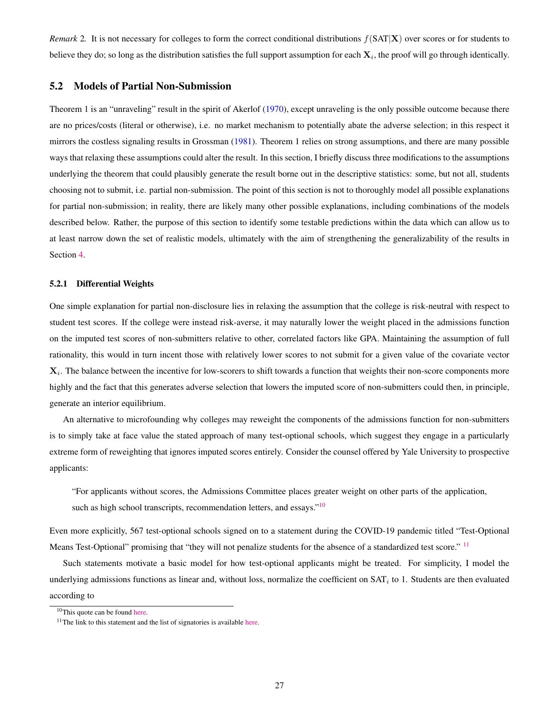*Remark* 2. It is not necessary for colleges to form the correct conditional distributions  $f(SAT|X)$  over scores or for students to believe they do; so long as the distribution satisfies the full support assumption for each  $\mathbf{X}_i$ , the proof will go through identically.

## <span id="page-27-0"></span>5.2 Models of Partial Non-Submission

Theorem 1 is an "unraveling" result in the spirit of Akerlof [\(1970\)](#page-40-12), except unraveling is the only possible outcome because there are no prices/costs (literal or otherwise), i.e. no market mechanism to potentially abate the adverse selection; in this respect it mirrors the costless signaling results in Grossman [\(1981\)](#page-40-13). Theorem 1 relies on strong assumptions, and there are many possible ways that relaxing these assumptions could alter the result. In this section, I briefly discuss three modifications to the assumptions underlying the theorem that could plausibly generate the result borne out in the descriptive statistics: some, but not all, students choosing not to submit, i.e. partial non-submission. The point of this section is not to thoroughly model all possible explanations for partial non-submission; in reality, there are likely many other possible explanations, including combinations of the models described below. Rather, the purpose of this section to identify some testable predictions within the data which can allow us to at least narrow down the set of realistic models, ultimately with the aim of strengthening the generalizability of the results in Section [4.](#page-14-0)

#### <span id="page-27-1"></span>5.2.1 Differential Weights

One simple explanation for partial non-disclosure lies in relaxing the assumption that the college is risk-neutral with respect to student test scores. If the college were instead risk-averse, it may naturally lower the weight placed in the admissions function on the imputed test scores of non-submitters relative to other, correlated factors like GPA. Maintaining the assumption of full rationality, this would in turn incent those with relatively lower scores to not submit for a given value of the covariate vector  $\mathbf{X}_i$ . The balance between the incentive for low-scorers to shift towards a function that weights their non-score components more highly and the fact that this generates adverse selection that lowers the imputed score of non-submitters could then, in principle, generate an interior equilibrium.

An alternative to microfounding why colleges may reweight the components of the admissions function for non-submitters is to simply take at face value the stated approach of many test-optional schools, which suggest they engage in a particularly extreme form of reweighting that ignores imputed scores entirely. Consider the counsel offered by Yale University to prospective applicants:

"For applicants without scores, the Admissions Committee places greater weight on other parts of the application, such as high school transcripts, recommendation letters, and essays."<sup>[10](#page-27-2)</sup>

Even more explicitly, 567 test-optional schools signed on to a statement during the COVID-19 pandemic titled "Test-Optional Means Test-Optional" promising that "they will not penalize students for the absence of a standardized test score." <sup>[11](#page-27-3)</sup>

Such statements motivate a basic model for how test-optional applicants might be treated. For simplicity, I model the underlying admissions functions as linear and, without loss, normalize the coefficient on  $SAT<sub>i</sub>$  to 1. Students are then evaluated according to

<span id="page-27-3"></span><span id="page-27-2"></span> $10$ This quote can be found [here.](https://admissions.yale.edu/standardized-testing)

 $11$ The link to this statement and the list of signatories is available [here.](https://www.nacacnet.org/news--publications/newsroom/test-optional-means-test-optional/)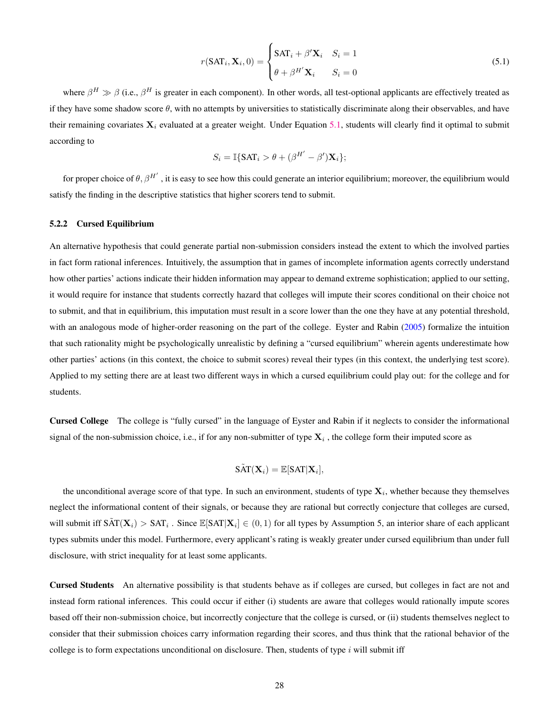<span id="page-28-1"></span>
$$
r(SAT_i, \mathbf{X}_i, 0) = \begin{cases} SAT_i + \beta' \mathbf{X}_i & S_i = 1 \\ \theta + \beta^{H'} \mathbf{X}_i & S_i = 0 \end{cases}
$$
(5.1)

where  $\beta^H \gg \beta$  (i.e.,  $\beta^H$  is greater in each component). In other words, all test-optional applicants are effectively treated as if they have some shadow score  $\theta$ , with no attempts by universities to statistically discriminate along their observables, and have their remaining covariates  $X_i$  evaluated at a greater weight. Under Equation [5.1,](#page-28-1) students will clearly find it optimal to submit according to

$$
S_i = \mathbb{I}\{\text{SAT}_i > \theta + (\beta^{H'} - \beta')\mathbf{X}_i\};
$$

for proper choice of  $\theta$ ,  $\beta^{H'}$  , it is easy to see how this could generate an interior equilibrium; moreover, the equilibrium would satisfy the finding in the descriptive statistics that higher scorers tend to submit.

#### <span id="page-28-0"></span>5.2.2 Cursed Equilibrium

An alternative hypothesis that could generate partial non-submission considers instead the extent to which the involved parties in fact form rational inferences. Intuitively, the assumption that in games of incomplete information agents correctly understand how other parties' actions indicate their hidden information may appear to demand extreme sophistication; applied to our setting, it would require for instance that students correctly hazard that colleges will impute their scores conditional on their choice not to submit, and that in equilibrium, this imputation must result in a score lower than the one they have at any potential threshold, with an analogous mode of higher-order reasoning on the part of the college. Eyster and Rabin [\(2005\)](#page-40-14) formalize the intuition that such rationality might be psychologically unrealistic by defining a "cursed equilibrium" wherein agents underestimate how other parties' actions (in this context, the choice to submit scores) reveal their types (in this context, the underlying test score). Applied to my setting there are at least two different ways in which a cursed equilibrium could play out: for the college and for students.

Cursed College The college is "fully cursed" in the language of Eyster and Rabin if it neglects to consider the informational signal of the non-submission choice, i.e., if for any non-submitter of type  $X_i$  , the college form their imputed score as

$$
\tilde{\mathrm{SAT}}(\mathbf{X}_i) = \mathbb{E}[\mathrm{SAT}|\mathbf{X}_i],
$$

the unconditional average score of that type. In such an environment, students of type  $X_i$ , whether because they themselves neglect the informational content of their signals, or because they are rational but correctly conjecture that colleges are cursed, will submit iff  $\tilde{SAT}(X_i) > SAT_i$ . Since  $\mathbb{E}[SAT|X_i] \in (0,1)$  for all types by Assumption 5, an interior share of each applicant types submits under this model. Furthermore, every applicant's rating is weakly greater under cursed equilibrium than under full disclosure, with strict inequality for at least some applicants.

Cursed Students An alternative possibility is that students behave as if colleges are cursed, but colleges in fact are not and instead form rational inferences. This could occur if either (i) students are aware that colleges would rationally impute scores based off their non-submission choice, but incorrectly conjecture that the college is cursed, or (ii) students themselves neglect to consider that their submission choices carry information regarding their scores, and thus think that the rational behavior of the college is to form expectations unconditional on disclosure. Then, students of type  $i$  will submit iff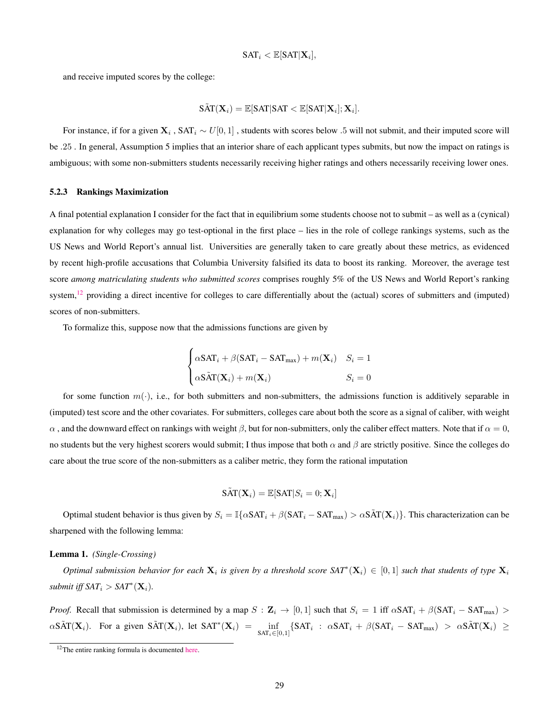$$
\mathsf{SAT}_i < \mathbb{E}[\mathsf{SAT}|\mathbf{X}_i],
$$

and receive imputed scores by the college:

$$
\tilde{\text{SAT}}(\mathbf{X}_i) = \mathbb{E}[\text{SAT}|\text{SAT} < \mathbb{E}[\text{SAT}|\mathbf{X}_i]; \mathbf{X}_i].
$$

For instance, if for a given  $X_i$ ,  $SAT_i \sim U[0, 1]$ , students with scores below .5 will not submit, and their imputed score will be .25 . In general, Assumption 5 implies that an interior share of each applicant types submits, but now the impact on ratings is ambiguous; with some non-submitters students necessarily receiving higher ratings and others necessarily receiving lower ones.

#### <span id="page-29-0"></span>5.2.3 Rankings Maximization

A final potential explanation I consider for the fact that in equilibrium some students choose not to submit – as well as a (cynical) explanation for why colleges may go test-optional in the first place – lies in the role of college rankings systems, such as the US News and World Report's annual list. Universities are generally taken to care greatly about these metrics, as evidenced by recent high-profile accusations that Columbia University falsified its data to boost its ranking. Moreover, the average test score *among matriculating students who submitted scores* comprises roughly 5% of the US News and World Report's ranking system,  $^{12}$  $^{12}$  $^{12}$  providing a direct incentive for colleges to care differentially about the (actual) scores of submitters and (imputed) scores of non-submitters.

To formalize this, suppose now that the admissions functions are given by

$$
\begin{cases}\n\alpha\text{SAT}_i + \beta(\text{SAT}_i - \text{SAT}_{\text{max}}) + m(\mathbf{X}_i) & S_i = 1 \\
\alpha\text{SAT}(\mathbf{X}_i) + m(\mathbf{X}_i) & S_i = 0\n\end{cases}
$$

for some function  $m(\cdot)$ , i.e., for both submitters and non-submitters, the admissions function is additively separable in (imputed) test score and the other covariates. For submitters, colleges care about both the score as a signal of caliber, with weight  $\alpha$ , and the downward effect on rankings with weight  $\beta$ , but for non-submitters, only the caliber effect matters. Note that if  $\alpha = 0$ , no students but the very highest scorers would submit; I thus impose that both  $\alpha$  and  $\beta$  are strictly positive. Since the colleges do care about the true score of the non-submitters as a caliber metric, they form the rational imputation

$$
\tilde{\text{SAT}}(\mathbf{X}_i) = \mathbb{E}[\text{SAT}|S_i=0;\mathbf{X}_i]
$$

Optimal student behavior is thus given by  $S_i = \mathbb{I}\{\alpha \text{SAT}_i + \beta(\text{SAT}_i - \text{SAT}_{max}) > \alpha \text{SAT}(X_i)\}\)$ . This characterization can be sharpened with the following lemma:

#### Lemma 1. *(Single-Crossing)*

*Optimal submission behavior for each*  $X_i$  is given by a threshold score  $SAT^*(X_i) ∈ [0,1]$  such that students of type  $X_i$  $submit$  iff  $SAT_i > SAT^*(\mathbf{X}_i)$ .

*Proof.* Recall that submission is determined by a map  $S : \mathbb{Z}_i \to [0,1]$  such that  $S_i = 1$  iff  $\alpha \text{SAT}_i + \beta (\text{SAT}_i - \text{SAT}_{\text{max}}) >$  $\alpha$ SÃT( $\mathbf{X}_i$ ). For a given SÃT( $\mathbf{X}_i$ ), let SAT<sup>\*</sup>( $\mathbf{X}_i$ ) =  $\inf_{\text{SAT}_i \in [0,1]} \{ \text{SAT}_i : \alpha \text{SAT}_i + \beta (\text{SAT}_i - \text{SAT}_{\text{max}}) > \alpha \text{SAT}( \mathbf{X}_i ) \ge \alpha \text{SAT}( \mathbf{X}_i ) \}$ 

<span id="page-29-1"></span><sup>&</sup>lt;sup>12</sup>The entire ranking formula is documented [here.](https://www.usnews.com/education/best-colleges/articles/how-us-news-calculated-the-rankings)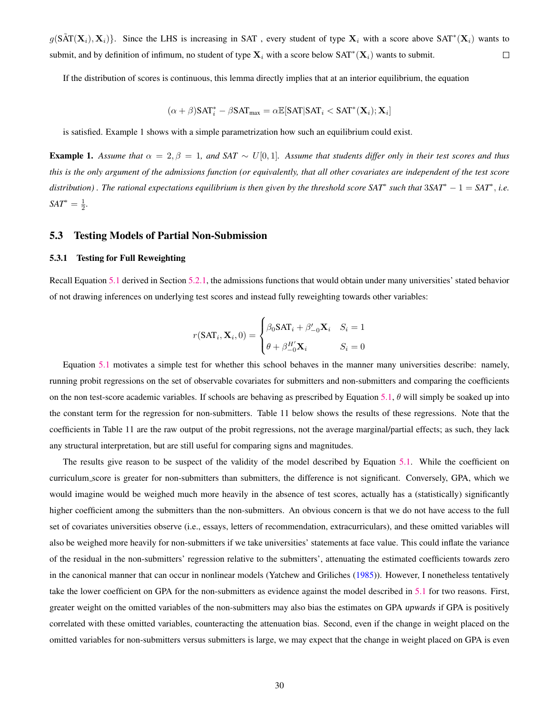$g(\tilde{SAT}(X_i), X_i)$ . Since the LHS is increasing in SAT, every student of type  $X_i$  with a score above SAT<sup>\*</sup> $(X_i)$  wants to submit, and by definition of infimum, no student of type  $\mathbf{X}_i$  with a score below  $SAT^*(\mathbf{X}_i)$  wants to submit.  $\Box$ 

If the distribution of scores is continuous, this lemma directly implies that at an interior equilibrium, the equation

$$
(\alpha+\beta)\mathsf{SAT}^*_i - \beta \mathsf{SAT}_{\max} = \alpha \mathbb{E}[\mathsf{SAT}|\mathsf{SAT}_i < \mathsf{SAT}^*(\mathbf{X}_i); \mathbf{X}_i]
$$

is satisfied. Example 1 shows with a simple parametrization how such an equilibrium could exist.

Example 1. Assume that  $\alpha = 2, \beta = 1$ , and SAT  $\sim U[0, 1]$ . Assume that students differ only in their test scores and thus *this is the only argument of the admissions function (or equivalently, that all other covariates are independent of the test score distribution) . The rational expectations equilibrium is then given by the threshold score SAT*<sup>∗</sup> *such that* 3*SAT*<sup>∗</sup> − 1 = *SAT*<sup>∗</sup> , *i.e.*  $SAT^* = \frac{1}{2}$ .

#### <span id="page-30-0"></span>5.3 Testing Models of Partial Non-Submission

### <span id="page-30-1"></span>5.3.1 Testing for Full Reweighting

Recall Equation [5.1](#page-28-1) derived in Section [5.2.1,](#page-27-1) the admissions functions that would obtain under many universities' stated behavior of not drawing inferences on underlying test scores and instead fully reweighting towards other variables:

$$
r(SAT_i, \mathbf{X}_i, 0) = \begin{cases} \beta_0 SAT_i + \beta'_{-0} \mathbf{X}_i & S_i = 1 \\ \theta + \beta_{-0}^{H'} \mathbf{X}_i & S_i = 0 \end{cases}
$$

Equation [5.1](#page-28-1) motivates a simple test for whether this school behaves in the manner many universities describe: namely, running probit regressions on the set of observable covariates for submitters and non-submitters and comparing the coefficients on the non test-score academic variables. If schools are behaving as prescribed by Equation [5.1,](#page-28-1)  $\theta$  will simply be soaked up into the constant term for the regression for non-submitters. Table 11 below shows the results of these regressions. Note that the coefficients in Table 11 are the raw output of the probit regressions, not the average marginal/partial effects; as such, they lack any structural interpretation, but are still useful for comparing signs and magnitudes.

The results give reason to be suspect of the validity of the model described by Equation [5.1.](#page-28-1) While the coefficient on curriculum score is greater for non-submitters than submitters, the difference is not significant. Conversely, GPA, which we would imagine would be weighed much more heavily in the absence of test scores, actually has a (statistically) significantly higher coefficient among the submitters than the non-submitters. An obvious concern is that we do not have access to the full set of covariates universities observe (i.e., essays, letters of recommendation, extracurriculars), and these omitted variables will also be weighed more heavily for non-submitters if we take universities' statements at face value. This could inflate the variance of the residual in the non-submitters' regression relative to the submitters', attenuating the estimated coefficients towards zero in the canonical manner that can occur in nonlinear models (Yatchew and Griliches [\(1985\)](#page-41-3)). However, I nonetheless tentatively take the lower coefficient on GPA for the non-submitters as evidence against the model described in [5.1](#page-28-1) for two reasons. First, greater weight on the omitted variables of the non-submitters may also bias the estimates on GPA upwards if GPA is positively correlated with these omitted variables, counteracting the attenuation bias. Second, even if the change in weight placed on the omitted variables for non-submitters versus submitters is large, we may expect that the change in weight placed on GPA is even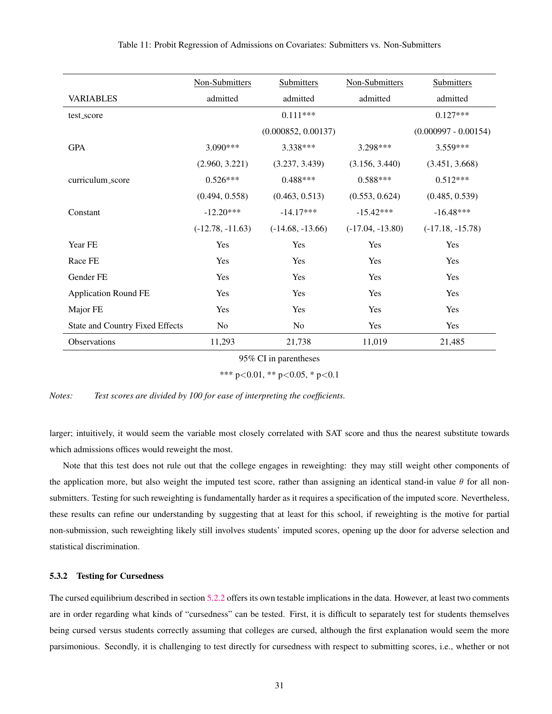|                                        | Non-Submitters     | Submitters          | Non-Submitters     | Submitters             |
|----------------------------------------|--------------------|---------------------|--------------------|------------------------|
| <b>VARIABLES</b>                       | admitted           | admitted            | admitted           | admitted               |
| test_score                             |                    | $0.111***$          |                    | $0.127***$             |
|                                        |                    | (0.000852, 0.00137) |                    | $(0.000997 - 0.00154)$ |
| <b>GPA</b>                             | $3.090***$         | 3.338 ***           | 3.298***           | 3.559***               |
|                                        | (2.960, 3.221)     | (3.237, 3.439)      | (3.156, 3.440)     | (3.451, 3.668)         |
| curriculum_score                       | $0.526***$         | $0.488***$          | $0.588***$         | $0.512***$             |
|                                        | (0.494, 0.558)     | (0.463, 0.513)      | (0.553, 0.624)     | (0.485, 0.539)         |
| Constant                               | $-12.20***$        | $-14.17***$         | $-15.42***$        | $-16.48***$            |
|                                        | $(-12.78, -11.63)$ | $(-14.68, -13.66)$  | $(-17.04, -13.80)$ | $(-17.18, -15.78)$     |
| Year FE                                | Yes                | Yes                 | Yes                | Yes                    |
| Race FE                                | Yes                | Yes                 | Yes                | Yes                    |
| Gender FE                              | Yes                | Yes                 | Yes                | Yes                    |
| <b>Application Round FE</b>            | Yes                | Yes                 | Yes                | Yes                    |
| Major FE                               | Yes                | Yes                 | Yes                | Yes                    |
| <b>State and Country Fixed Effects</b> | No                 | N <sub>o</sub>      | Yes                | Yes                    |
| Observations                           | 11,293             | 21,738              | 11,019             | 21,485                 |
| $05\%$ CI in paraprhesses              |                    |                     |                    |                        |

95% CI in parentheses

\*\*\* p<0.01, \*\* p<0.05, \* p<0.1

*Notes: Test scores are divided by 100 for ease of interpreting the coefficients.*

larger; intuitively, it would seem the variable most closely correlated with SAT score and thus the nearest substitute towards which admissions offices would reweight the most.

Note that this test does not rule out that the college engages in reweighting: they may still weight other components of the application more, but also weight the imputed test score, rather than assigning an identical stand-in value  $\theta$  for all nonsubmitters. Testing for such reweighting is fundamentally harder as it requires a specification of the imputed score. Nevertheless, these results can refine our understanding by suggesting that at least for this school, if reweighting is the motive for partial non-submission, such reweighting likely still involves students' imputed scores, opening up the door for adverse selection and statistical discrimination.

#### <span id="page-31-0"></span>5.3.2 Testing for Cursedness

The cursed equilibrium described in section [5.2.2](#page-28-0) offers its own testable implications in the data. However, at least two comments are in order regarding what kinds of "cursedness" can be tested. First, it is difficult to separately test for students themselves being cursed versus students correctly assuming that colleges are cursed, although the first explanation would seem the more parsimonious. Secondly, it is challenging to test directly for cursedness with respect to submitting scores, i.e., whether or not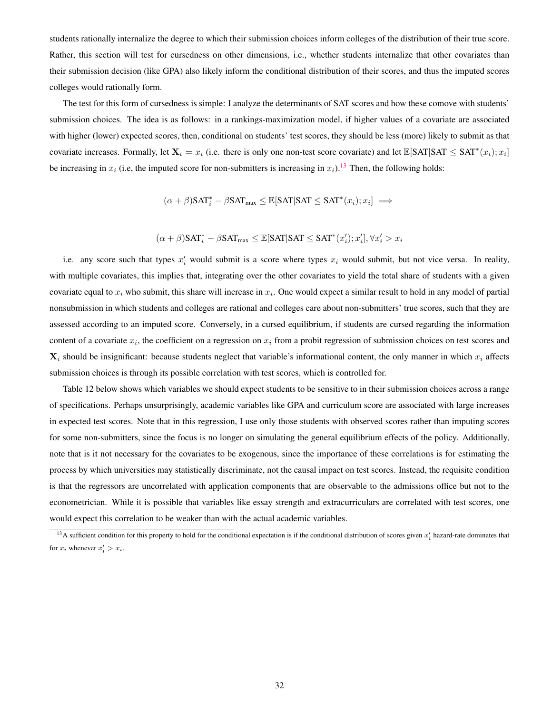students rationally internalize the degree to which their submission choices inform colleges of the distribution of their true score. Rather, this section will test for cursedness on other dimensions, i.e., whether students internalize that other covariates than their submission decision (like GPA) also likely inform the conditional distribution of their scores, and thus the imputed scores colleges would rationally form.

The test for this form of cursedness is simple: I analyze the determinants of SAT scores and how these comove with students' submission choices. The idea is as follows: in a rankings-maximization model, if higher values of a covariate are associated with higher (lower) expected scores, then, conditional on students' test scores, they should be less (more) likely to submit as that covariate increases. Formally, let  $X_i = x_i$  (i.e. there is only one non-test score covariate) and let  $\mathbb{E}[\text{SAT}|\text{SAT} \leq \text{SAT}^*(x_i); x_i]$ be increasing in  $x_i$  (i.e, the imputed score for non-submitters is increasing in  $x_i$ ).<sup>[13](#page-32-0)</sup> Then, the following holds:

$$
(\alpha + \beta) SAT_i^* - \beta SAT_{max} \leq \mathbb{E}[SAT|SAT \leq SAT^*(x_i); x_i] \implies
$$

$$
(\alpha + \beta) \text{SAT}_{i}^{*} - \beta \text{SAT}_{\text{max}} \leq \mathbb{E}[\text{SAT}|\text{SAT} \leq \text{SAT}^{*}(x'_{i}); x'_{i}], \forall x'_{i} > x_{i}
$$

i.e. any score such that types  $x'_i$  would submit is a score where types  $x_i$  would submit, but not vice versa. In reality, with multiple covariates, this implies that, integrating over the other covariates to yield the total share of students with a given covariate equal to  $x_i$  who submit, this share will increase in  $x_i$ . One would expect a similar result to hold in any model of partial nonsubmission in which students and colleges are rational and colleges care about non-submitters' true scores, such that they are assessed according to an imputed score. Conversely, in a cursed equilibrium, if students are cursed regarding the information content of a covariate  $x_i$ , the coefficient on a regression on  $x_i$  from a probit regression of submission choices on test scores and  $X_i$  should be insignificant: because students neglect that variable's informational content, the only manner in which  $x_i$  affects submission choices is through its possible correlation with test scores, which is controlled for.

Table 12 below shows which variables we should expect students to be sensitive to in their submission choices across a range of specifications. Perhaps unsurprisingly, academic variables like GPA and curriculum score are associated with large increases in expected test scores. Note that in this regression, I use only those students with observed scores rather than imputing scores for some non-submitters, since the focus is no longer on simulating the general equilibrium effects of the policy. Additionally, note that is it not necessary for the covariates to be exogenous, since the importance of these correlations is for estimating the process by which universities may statistically discriminate, not the causal impact on test scores. Instead, the requisite condition is that the regressors are uncorrelated with application components that are observable to the admissions office but not to the econometrician. While it is possible that variables like essay strength and extracurriculars are correlated with test scores, one would expect this correlation to be weaker than with the actual academic variables.

<span id="page-32-0"></span><sup>&</sup>lt;sup>13</sup>A sufficient condition for this property to hold for the conditional expectation is if the conditional distribution of scores given  $x_i'$  hazard-rate dominates that for  $x_i$  whenever  $x'_i > x_i$ .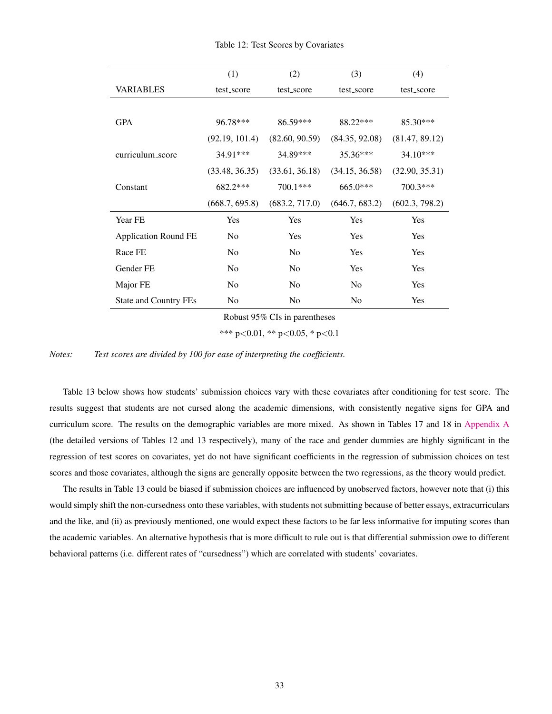|                              | (1)            | (2)            | (3)            | (4)            |
|------------------------------|----------------|----------------|----------------|----------------|
| VARIABLES                    | test_score     | test_score     | test_score     | test_score     |
|                              |                |                |                |                |
| <b>GPA</b>                   | 96.78***       | 86.59***       | 88.22***       | 85.30***       |
|                              | (92.19, 101.4) | (82.60, 90.59) | (84.35, 92.08) | (81.47, 89.12) |
| curriculum_score             | 34.91***       | 34.89***       | 35.36***       | $34.10***$     |
|                              | (33.48, 36.35) | (33.61, 36.18) | (34.15, 36.58) | (32.90, 35.31) |
| Constant                     | 682.2***       | 700.1***       | $665.0***$     | 700.3***       |
|                              | (668.7, 695.8) | (683.2, 717.0) | (646.7, 683.2) | (602.3, 798.2) |
| Year FE                      | Yes            | Yes            | Yes            | Yes            |
| <b>Application Round FE</b>  | N <sub>0</sub> | <b>Yes</b>     | Yes            | <b>Yes</b>     |
| Race FE                      | N <sub>0</sub> | N <sub>0</sub> | Yes            | <b>Yes</b>     |
| Gender FE                    | N <sub>0</sub> | N <sub>0</sub> | Yes            | Yes            |
| Major FE                     | N <sub>0</sub> | N <sub>0</sub> | N <sub>0</sub> | <b>Yes</b>     |
| <b>State and Country FEs</b> | N <sub>0</sub> | N <sub>0</sub> | No             | Yes            |

Table 12: Test Scores by Covariates

Robust 95% CIs in parentheses

\*\*\* p<0.01, \*\* p<0.05, \* p<0.1

*Notes: Test scores are divided by 100 for ease of interpreting the coefficients.*

Table 13 below shows how students' submission choices vary with these covariates after conditioning for test score. The results suggest that students are not cursed along the academic dimensions, with consistently negative signs for GPA and curriculum score. The results on the demographic variables are more mixed. As shown in Tables 17 and 18 in [Appendix A](#page-42-0) (the detailed versions of Tables 12 and 13 respectively), many of the race and gender dummies are highly significant in the regression of test scores on covariates, yet do not have significant coefficients in the regression of submission choices on test scores and those covariates, although the signs are generally opposite between the two regressions, as the theory would predict.

The results in Table 13 could be biased if submission choices are influenced by unobserved factors, however note that (i) this would simply shift the non-cursedness onto these variables, with students not submitting because of better essays, extracurriculars and the like, and (ii) as previously mentioned, one would expect these factors to be far less informative for imputing scores than the academic variables. An alternative hypothesis that is more difficult to rule out is that differential submission owe to different behavioral patterns (i.e. different rates of "cursedness") which are correlated with students' covariates.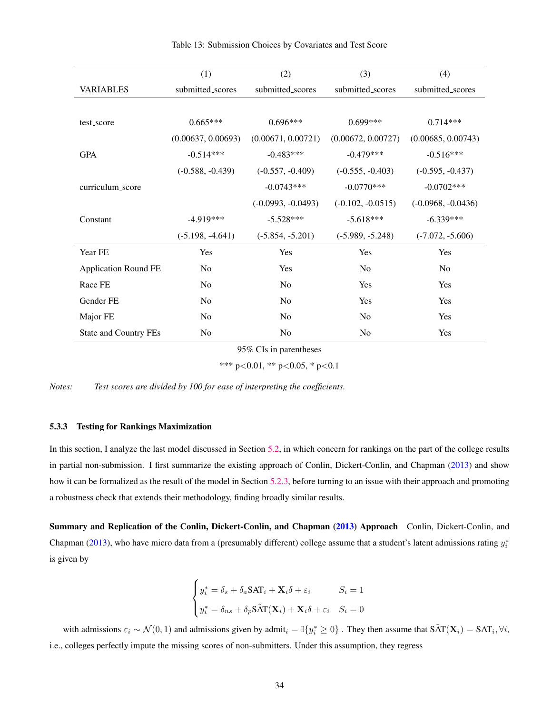|                              | (1)                | (2)                  | (3)                 | (4)                  |
|------------------------------|--------------------|----------------------|---------------------|----------------------|
| <b>VARIABLES</b>             | submitted_scores   | submitted_scores     | submitted_scores    | submitted_scores     |
|                              |                    |                      |                     |                      |
| test_score                   | $0.665***$         | $0.696***$           | $0.699***$          | $0.714***$           |
|                              | (0.00637, 0.00693) | (0.00671, 0.00721)   | (0.00672, 0.00727)  | (0.00685, 0.00743)   |
| <b>GPA</b>                   | $-0.514***$        | $-0.483***$          | $-0.479***$         | $-0.516***$          |
|                              | $(-0.588, -0.439)$ | $(-0.557, -0.409)$   | $(-0.555, -0.403)$  | $(-0.595, -0.437)$   |
| curriculum_score             |                    | $-0.0743***$         | $-0.0770***$        | $-0.0702$ ***        |
|                              |                    | $(-0.0993, -0.0493)$ | $(-0.102, -0.0515)$ | $(-0.0968, -0.0436)$ |
| Constant                     | $-4.919***$        | $-5.528***$          | $-5.618***$         | $-6.339***$          |
|                              | $(-5.198, -4.641)$ | $(-5.854, -5.201)$   | $(-5.989, -5.248)$  | $(-7.072, -5.606)$   |
| Year FE                      | Yes                | Yes                  | Yes                 | Yes                  |
| <b>Application Round FE</b>  | N <sub>0</sub>     | Yes                  | N <sub>0</sub>      | N <sub>0</sub>       |
| Race FE                      | N <sub>0</sub>     | No                   | Yes                 | Yes                  |
| Gender FE                    | N <sub>0</sub>     | N <sub>0</sub>       | Yes                 | Yes                  |
| Major FE                     | No                 | N <sub>0</sub>       | N <sub>0</sub>      | Yes                  |
| <b>State and Country FEs</b> | N <sub>0</sub>     | N <sub>0</sub>       | N <sub>o</sub>      | Yes                  |

Table 13: Submission Choices by Covariates and Test Score

95% CIs in parentheses

\*\*\* p<0.01, \*\* p<0.05, \* p<0.1

*Notes: Test scores are divided by 100 for ease of interpreting the coefficients.*

#### <span id="page-34-0"></span>5.3.3 Testing for Rankings Maximization

In this section, I analyze the last model discussed in Section [5.2,](#page-27-0) in which concern for rankings on the part of the college results in partial non-submission. I first summarize the existing approach of Conlin, Dickert-Conlin, and Chapman [\(2013\)](#page-40-1) and show how it can be formalized as the result of the model in Section [5.2.3,](#page-29-0) before turning to an issue with their approach and promoting a robustness check that extends their methodology, finding broadly similar results.

Summary and Replication of the Conlin, Dickert-Conlin, and Chapman [\(2013\)](#page-40-1) Approach Conlin, Dickert-Conlin, and Chapman [\(2013\)](#page-40-1), who have micro data from a (presumably different) college assume that a student's latent admissions rating  $y_i^*$ is given by

$$
\begin{cases} y_i^* = \delta_s + \delta_a \text{SAT}_i + \mathbf{X}_i \delta + \varepsilon_i & S_i = 1 \\ y_i^* = \delta_{ns} + \delta_p \text{SAT}(\mathbf{X}_i) + \mathbf{X}_i \delta + \varepsilon_i & S_i = 0 \end{cases}
$$

with admissions  $\varepsilon_i \sim \mathcal{N}(0, 1)$  and admissions given by admit<sub>i</sub> =  $\mathbb{I}\{y_i^* \geq 0\}$ . They then assume that  $\tilde{SAT}(\mathbf{X}_i) = SAT_i, \forall i$ , i.e., colleges perfectly impute the missing scores of non-submitters. Under this assumption, they regress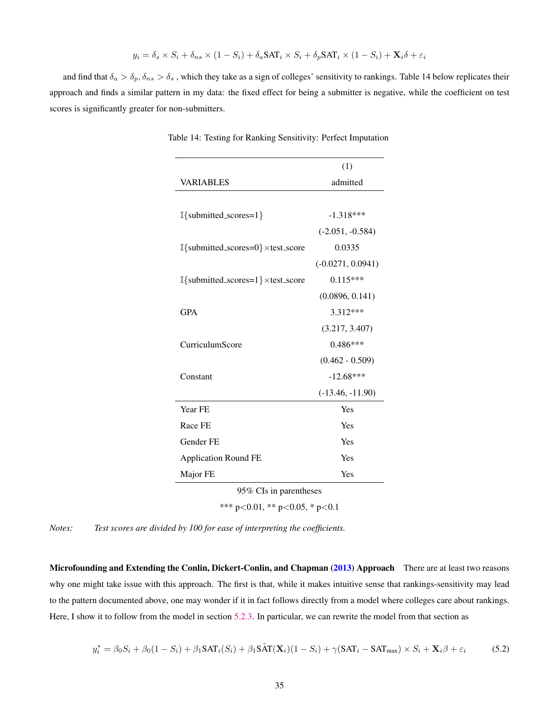$$
y_i = \delta_s \times S_i + \delta_{ns} \times (1 - S_i) + \delta_a \text{SAT}_i \times S_i + \delta_p \text{SAT}_i \times (1 - S_i) + \mathbf{X}_i \delta + \varepsilon_i
$$

and find that  $\delta_a > \delta_p$ ,  $\delta_{ns} > \delta_s$ , which they take as a sign of colleges' sensitivity to rankings. Table 14 below replicates their approach and finds a similar pattern in my data: the fixed effect for being a submitter is negative, while the coefficient on test scores is significantly greater for non-submitters.

|                                                                     | (1)                 |  |  |
|---------------------------------------------------------------------|---------------------|--|--|
| <b>VARIABLES</b>                                                    | admitted            |  |  |
|                                                                     |                     |  |  |
| $\mathbb{I}\{\text{submitted\_scores=1}\}\$                         | $-1.318***$         |  |  |
|                                                                     | $(-2.051, -0.584)$  |  |  |
| $\mathbb{I}\{\text{submitted\_scores=0}\}\times \text{test\_score}$ | 0.0335              |  |  |
|                                                                     | $(-0.0271, 0.0941)$ |  |  |
| $\mathbb{I}\{\text{submitted\_scores=1}\}\times \text{test\_score}$ | $0.115***$          |  |  |
|                                                                     | (0.0896, 0.141)     |  |  |
| <b>GPA</b>                                                          | 3.312***            |  |  |
|                                                                     | (3.217, 3.407)      |  |  |
| CurriculumScore                                                     | $0.486***$          |  |  |
|                                                                     | $(0.462 - 0.509)$   |  |  |
| Constant                                                            | $-12.68***$         |  |  |
|                                                                     | $(-13.46, -11.90)$  |  |  |
| Year FE                                                             | Yes                 |  |  |
| Race FE                                                             | Yes                 |  |  |
| Gender FE                                                           | Yes                 |  |  |
| <b>Application Round FE</b>                                         | Yes                 |  |  |
| Major FE                                                            | Yes                 |  |  |
| 95% CIs in parentheses                                              |                     |  |  |
| *** p<0.01, ** p<0.05, * p<0.1                                      |                     |  |  |

Table 14: Testing for Ranking Sensitivity: Perfect Imputation

*Notes: Test scores are divided by 100 for ease of interpreting the coefficients.*

Microfounding and Extending the Conlin, Dickert-Conlin, and Chapman [\(2013\)](#page-40-1) Approach There are at least two reasons why one might take issue with this approach. The first is that, while it makes intuitive sense that rankings-sensitivity may lead to the pattern documented above, one may wonder if it in fact follows directly from a model where colleges care about rankings. Here, I show it to follow from the model in section [5.2.3.](#page-29-0) In particular, we can rewrite the model from that section as

$$
y_i^* = \beta_0 S_i + \beta_0 (1 - S_i) + \beta_1 \text{SAT}_i(S_i) + \beta_1 \text{SAT}(\mathbf{X}_i)(1 - S_i) + \gamma (\text{SAT}_i - \text{SAT}_{\text{max}}) \times S_i + \mathbf{X}_i \beta + \varepsilon_i \tag{5.2}
$$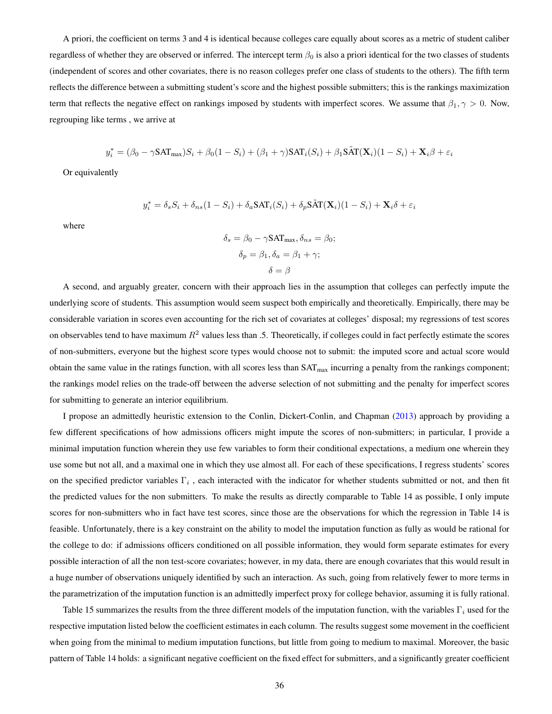A priori, the coefficient on terms 3 and 4 is identical because colleges care equally about scores as a metric of student caliber regardless of whether they are observed or inferred. The intercept term  $\beta_0$  is also a priori identical for the two classes of students (independent of scores and other covariates, there is no reason colleges prefer one class of students to the others). The fifth term reflects the difference between a submitting student's score and the highest possible submitters; this is the rankings maximization term that reflects the negative effect on rankings imposed by students with imperfect scores. We assume that  $\beta_1$ ,  $\gamma > 0$ . Now, regrouping like terms , we arrive at

$$
y_i^* = (\beta_0 - \gamma \mathsf{SAT}_{\max}) S_i + \beta_0 (1-S_i) + (\beta_1 + \gamma) \mathsf{SAT}_i(S_i) + \beta_1 \mathsf{SAT}(\mathbf{X}_i) (1-S_i) + \mathbf{X}_i \beta + \varepsilon_i
$$

Or equivalently

$$
y_i^* = \delta_s S_i + \delta_{ns} (1 - S_i) + \delta_a \text{SAT}_i(S_i) + \delta_p \text{SAT}(\mathbf{X}_i) (1 - S_i) + \mathbf{X}_i \delta + \varepsilon_i
$$

where

$$
\delta_s = \beta_0 - \gamma \mathsf{SAT}_{\max}, \delta_{ns} = \beta_0;
$$

$$
\delta_p = \beta_1, \delta_a = \beta_1 + \gamma;
$$

$$
\delta = \beta
$$

A second, and arguably greater, concern with their approach lies in the assumption that colleges can perfectly impute the underlying score of students. This assumption would seem suspect both empirically and theoretically. Empirically, there may be considerable variation in scores even accounting for the rich set of covariates at colleges' disposal; my regressions of test scores on observables tend to have maximum  $R^2$  values less than .5. Theoretically, if colleges could in fact perfectly estimate the scores of non-submitters, everyone but the highest score types would choose not to submit: the imputed score and actual score would obtain the same value in the ratings function, with all scores less than  $SAT<sub>max</sub>$  incurring a penalty from the rankings component; the rankings model relies on the trade-off between the adverse selection of not submitting and the penalty for imperfect scores for submitting to generate an interior equilibrium.

I propose an admittedly heuristic extension to the Conlin, Dickert-Conlin, and Chapman [\(2013\)](#page-40-1) approach by providing a few different specifications of how admissions officers might impute the scores of non-submitters; in particular, I provide a minimal imputation function wherein they use few variables to form their conditional expectations, a medium one wherein they use some but not all, and a maximal one in which they use almost all. For each of these specifications, I regress students' scores on the specified predictor variables  $\Gamma_i$ , each interacted with the indicator for whether students submitted or not, and then fit the predicted values for the non submitters. To make the results as directly comparable to Table 14 as possible, I only impute scores for non-submitters who in fact have test scores, since those are the observations for which the regression in Table 14 is feasible. Unfortunately, there is a key constraint on the ability to model the imputation function as fully as would be rational for the college to do: if admissions officers conditioned on all possible information, they would form separate estimates for every possible interaction of all the non test-score covariates; however, in my data, there are enough covariates that this would result in a huge number of observations uniquely identified by such an interaction. As such, going from relatively fewer to more terms in the parametrization of the imputation function is an admittedly imperfect proxy for college behavior, assuming it is fully rational.

Table 15 summarizes the results from the three different models of the imputation function, with the variables  $\Gamma_i$  used for the respective imputation listed below the coefficient estimates in each column. The results suggest some movement in the coefficient when going from the minimal to medium imputation functions, but little from going to medium to maximal. Moreover, the basic pattern of Table 14 holds: a significant negative coefficient on the fixed effect for submitters, and a significantly greater coefficient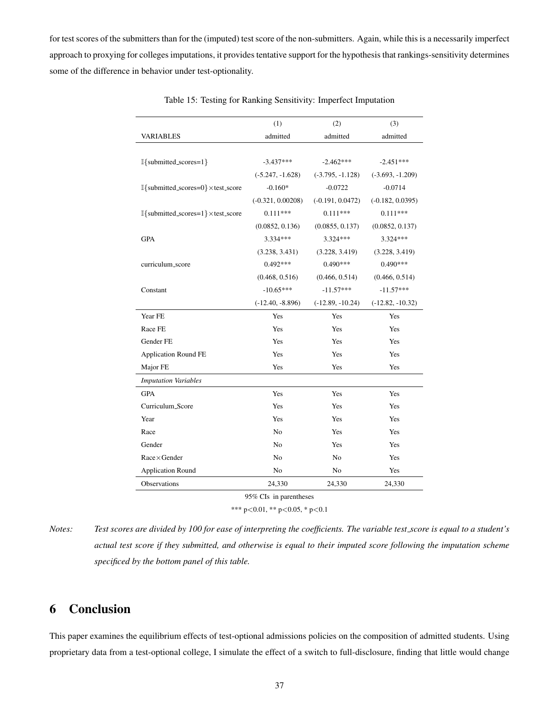for test scores of the submitters than for the (imputed) test score of the non-submitters. Again, while this is a necessarily imperfect approach to proxying for colleges imputations, it provides tentative support for the hypothesis that rankings-sensitivity determines some of the difference in behavior under test-optionality.

|                                                                     | (1)                 | (2)                | (3)                |
|---------------------------------------------------------------------|---------------------|--------------------|--------------------|
| <b>VARIABLES</b>                                                    | admitted            | admitted           | admitted           |
|                                                                     |                     |                    |                    |
| I{submitted_scores=1}                                               | $-3.437***$         | $-2.462***$        | $-2.451***$        |
|                                                                     | $(-5.247, -1.628)$  | $(-3.795, -1.128)$ | $(-3.693, -1.209)$ |
| I{submitted_scores=0} × test_score                                  | $-0.160*$           | $-0.0722$          | $-0.0714$          |
|                                                                     | $(-0.321, 0.00208)$ | $(-0.191, 0.0472)$ | $(-0.182, 0.0395)$ |
| $\mathbb{I}\{\text{submitted\_scores=1}\}\times \text{test\_score}$ | $0.111***$          | $0.111***$         | $0.111***$         |
|                                                                     | (0.0852, 0.136)     | (0.0855, 0.137)    | (0.0852, 0.137)    |
| <b>GPA</b>                                                          | 3.334 ***           | 3.324 ***          | $3.324***$         |
|                                                                     | (3.238, 3.431)      | (3.228, 3.419)     | (3.228, 3.419)     |
| curriculum_score                                                    | $0.492***$          | $0.490***$         | $0.490***$         |
|                                                                     | (0.468, 0.516)      | (0.466, 0.514)     | (0.466, 0.514)     |
| Constant                                                            | $-10.65***$         | $-11.57***$        | $-11.57***$        |
|                                                                     | $(-12.40, -8.896)$  | $(-12.89, -10.24)$ | $(-12.82, -10.32)$ |
| Year FE                                                             | Yes                 | Yes                | Yes                |
| Race FE                                                             | Yes                 | Yes                | Yes                |
| Gender FE                                                           | Yes                 | Yes                | Yes                |
| <b>Application Round FE</b>                                         | Yes                 | Yes                | Yes                |
| Major FE                                                            | Yes                 | Yes                | Yes                |
| <b>Imputation Variables</b>                                         |                     |                    |                    |
| <b>GPA</b>                                                          | Yes                 | Yes                | Yes                |
| Curriculum_Score                                                    | Yes                 | Yes                | Yes                |
| Year                                                                | Yes                 | Yes                | Yes                |
| Race                                                                | No                  | Yes                | Yes                |
| Gender                                                              | N <sub>0</sub>      | Yes                | Yes                |
| $Race \times Gender$                                                | No                  | No                 | Yes                |
| <b>Application Round</b>                                            | No                  | No                 | Yes                |
| Observations                                                        | 24,330              | 24,330             | 24,330             |
|                                                                     |                     |                    |                    |

Table 15: Testing for Ranking Sensitivity: Imperfect Imputation

95% CIs in parentheses

\*\*\* p<0.01, \*\* p<0.05, \* p<0.1

*Notes:* Test scores are divided by 100 for ease of interpreting the coefficients. The variable test\_score is equal to a student's *actual test score if they submitted, and otherwise is equal to their imputed score following the imputation scheme specificed by the bottom panel of this table.*

## <span id="page-37-0"></span>6 Conclusion

This paper examines the equilibrium effects of test-optional admissions policies on the composition of admitted students. Using proprietary data from a test-optional college, I simulate the effect of a switch to full-disclosure, finding that little would change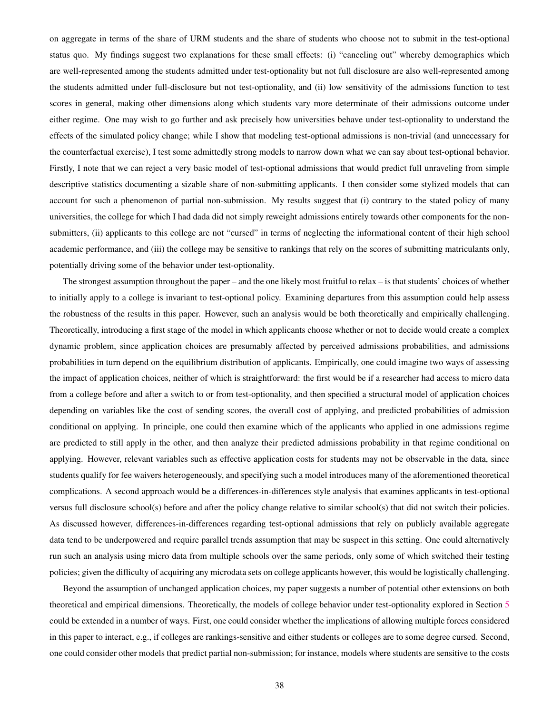on aggregate in terms of the share of URM students and the share of students who choose not to submit in the test-optional status quo. My findings suggest two explanations for these small effects: (i) "canceling out" whereby demographics which are well-represented among the students admitted under test-optionality but not full disclosure are also well-represented among the students admitted under full-disclosure but not test-optionality, and (ii) low sensitivity of the admissions function to test scores in general, making other dimensions along which students vary more determinate of their admissions outcome under either regime. One may wish to go further and ask precisely how universities behave under test-optionality to understand the effects of the simulated policy change; while I show that modeling test-optional admissions is non-trivial (and unnecessary for the counterfactual exercise), I test some admittedly strong models to narrow down what we can say about test-optional behavior. Firstly, I note that we can reject a very basic model of test-optional admissions that would predict full unraveling from simple descriptive statistics documenting a sizable share of non-submitting applicants. I then consider some stylized models that can account for such a phenomenon of partial non-submission. My results suggest that (i) contrary to the stated policy of many universities, the college for which I had dada did not simply reweight admissions entirely towards other components for the nonsubmitters, (ii) applicants to this college are not "cursed" in terms of neglecting the informational content of their high school academic performance, and (iii) the college may be sensitive to rankings that rely on the scores of submitting matriculants only, potentially driving some of the behavior under test-optionality.

The strongest assumption throughout the paper – and the one likely most fruitful to relax – is that students' choices of whether to initially apply to a college is invariant to test-optional policy. Examining departures from this assumption could help assess the robustness of the results in this paper. However, such an analysis would be both theoretically and empirically challenging. Theoretically, introducing a first stage of the model in which applicants choose whether or not to decide would create a complex dynamic problem, since application choices are presumably affected by perceived admissions probabilities, and admissions probabilities in turn depend on the equilibrium distribution of applicants. Empirically, one could imagine two ways of assessing the impact of application choices, neither of which is straightforward: the first would be if a researcher had access to micro data from a college before and after a switch to or from test-optionality, and then specified a structural model of application choices depending on variables like the cost of sending scores, the overall cost of applying, and predicted probabilities of admission conditional on applying. In principle, one could then examine which of the applicants who applied in one admissions regime are predicted to still apply in the other, and then analyze their predicted admissions probability in that regime conditional on applying. However, relevant variables such as effective application costs for students may not be observable in the data, since students qualify for fee waivers heterogeneously, and specifying such a model introduces many of the aforementioned theoretical complications. A second approach would be a differences-in-differences style analysis that examines applicants in test-optional versus full disclosure school(s) before and after the policy change relative to similar school(s) that did not switch their policies. As discussed however, differences-in-differences regarding test-optional admissions that rely on publicly available aggregate data tend to be underpowered and require parallel trends assumption that may be suspect in this setting. One could alternatively run such an analysis using micro data from multiple schools over the same periods, only some of which switched their testing policies; given the difficulty of acquiring any microdata sets on college applicants however, this would be logistically challenging.

Beyond the assumption of unchanged application choices, my paper suggests a number of potential other extensions on both theoretical and empirical dimensions. Theoretically, the models of college behavior under test-optionality explored in Section [5](#page-25-0) could be extended in a number of ways. First, one could consider whether the implications of allowing multiple forces considered in this paper to interact, e.g., if colleges are rankings-sensitive and either students or colleges are to some degree cursed. Second, one could consider other models that predict partial non-submission; for instance, models where students are sensitive to the costs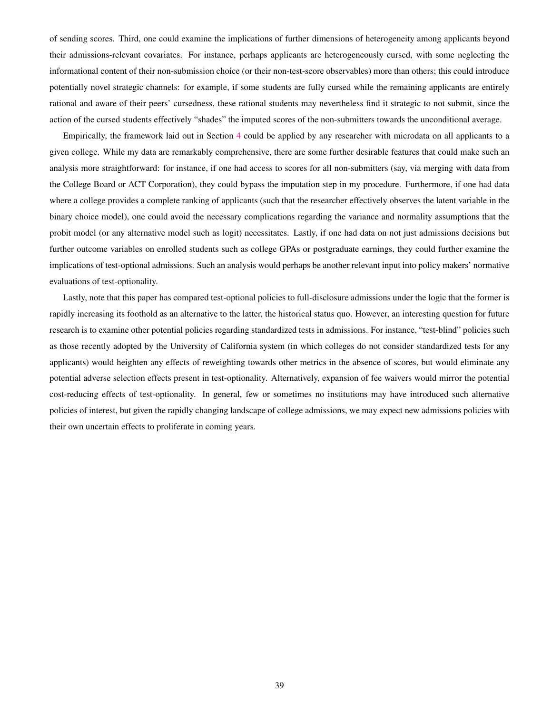of sending scores. Third, one could examine the implications of further dimensions of heterogeneity among applicants beyond their admissions-relevant covariates. For instance, perhaps applicants are heterogeneously cursed, with some neglecting the informational content of their non-submission choice (or their non-test-score observables) more than others; this could introduce potentially novel strategic channels: for example, if some students are fully cursed while the remaining applicants are entirely rational and aware of their peers' cursedness, these rational students may nevertheless find it strategic to not submit, since the action of the cursed students effectively "shades" the imputed scores of the non-submitters towards the unconditional average.

Empirically, the framework laid out in Section [4](#page-14-0) could be applied by any researcher with microdata on all applicants to a given college. While my data are remarkably comprehensive, there are some further desirable features that could make such an analysis more straightforward: for instance, if one had access to scores for all non-submitters (say, via merging with data from the College Board or ACT Corporation), they could bypass the imputation step in my procedure. Furthermore, if one had data where a college provides a complete ranking of applicants (such that the researcher effectively observes the latent variable in the binary choice model), one could avoid the necessary complications regarding the variance and normality assumptions that the probit model (or any alternative model such as logit) necessitates. Lastly, if one had data on not just admissions decisions but further outcome variables on enrolled students such as college GPAs or postgraduate earnings, they could further examine the implications of test-optional admissions. Such an analysis would perhaps be another relevant input into policy makers' normative evaluations of test-optionality.

Lastly, note that this paper has compared test-optional policies to full-disclosure admissions under the logic that the former is rapidly increasing its foothold as an alternative to the latter, the historical status quo. However, an interesting question for future research is to examine other potential policies regarding standardized tests in admissions. For instance, "test-blind" policies such as those recently adopted by the University of California system (in which colleges do not consider standardized tests for any applicants) would heighten any effects of reweighting towards other metrics in the absence of scores, but would eliminate any potential adverse selection effects present in test-optionality. Alternatively, expansion of fee waivers would mirror the potential cost-reducing effects of test-optionality. In general, few or sometimes no institutions may have introduced such alternative policies of interest, but given the rapidly changing landscape of college admissions, we may expect new admissions policies with their own uncertain effects to proliferate in coming years.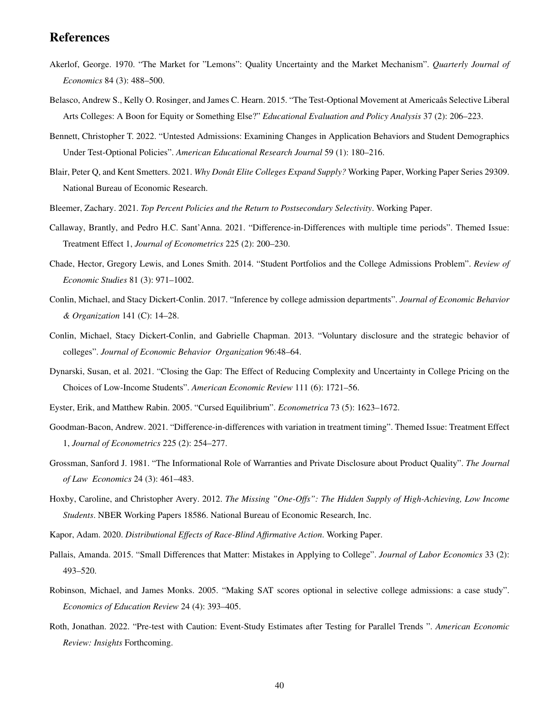## **References**

- <span id="page-40-12"></span>Akerlof, George. 1970. "The Market for "Lemons": Quality Uncertainty and the Market Mechanism". *Quarterly Journal of Economics* 84 (3): 488–500.
- <span id="page-40-3"></span>Belasco, Andrew S., Kelly O. Rosinger, and James C. Hearn. 2015. "The Test-Optional Movement at Americaas Selective Liberal Arts Colleges: A Boon for Equity or Something Else?" *Educational Evaluation and Policy Analysis* 37 (2): 206–223.
- <span id="page-40-4"></span>Bennett, Christopher T. 2022. "Untested Admissions: Examining Changes in Application Behaviors and Student Demographics Under Test-Optional Policies". *American Educational Research Journal* 59 (1): 180–216.
- <span id="page-40-10"></span>Blair, Peter Q, and Kent Smetters. 2021. *Why Donât Elite Colleges Expand Supply?* Working Paper, Working Paper Series 29309. National Bureau of Economic Research.
- <span id="page-40-9"></span>Bleemer, Zachary. 2021. *Top Percent Policies and the Return to Postsecondary Selectivity*. Working Paper.
- <span id="page-40-6"></span>Callaway, Brantly, and Pedro H.C. Sant'Anna. 2021. "Difference-in-Differences with multiple time periods". Themed Issue: Treatment Effect 1, *Journal of Econometrics* 225 (2): 200–230.
- <span id="page-40-11"></span>Chade, Hector, Gregory Lewis, and Lones Smith. 2014. "Student Portfolios and the College Admissions Problem". *Review of Economic Studies* 81 (3): 971–1002.
- <span id="page-40-2"></span>Conlin, Michael, and Stacy Dickert-Conlin. 2017. "Inference by college admission departments". *Journal of Economic Behavior & Organization* 141 (C): 14–28.
- <span id="page-40-1"></span>Conlin, Michael, Stacy Dickert-Conlin, and Gabrielle Chapman. 2013. "Voluntary disclosure and the strategic behavior of colleges". *Journal of Economic Behavior Organization* 96:48–64.
- <span id="page-40-17"></span>Dynarski, Susan, et al. 2021. "Closing the Gap: The Effect of Reducing Complexity and Uncertainty in College Pricing on the Choices of Low-Income Students". *American Economic Review* 111 (6): 1721–56.
- <span id="page-40-14"></span>Eyster, Erik, and Matthew Rabin. 2005. "Cursed Equilibrium". *Econometrica* 73 (5): 1623–1672.
- <span id="page-40-7"></span>Goodman-Bacon, Andrew. 2021. "Difference-in-differences with variation in treatment timing". Themed Issue: Treatment Effect 1, *Journal of Econometrics* 225 (2): 254–277.
- <span id="page-40-13"></span>Grossman, Sanford J. 1981. "The Informational Role of Warranties and Private Disclosure about Product Quality". *The Journal of Law Economics* 24 (3): 461–483.
- <span id="page-40-16"></span>Hoxby, Caroline, and Christopher Avery. 2012. *The Missing "One-Offs": The Hidden Supply of High-Achieving, Low Income Students*. NBER Working Papers 18586. National Bureau of Economic Research, Inc.
- <span id="page-40-8"></span>Kapor, Adam. 2020. *Distributional Effects of Race-Blind Affirmative Action*. Working Paper.
- <span id="page-40-15"></span>Pallais, Amanda. 2015. "Small Differences that Matter: Mistakes in Applying to College". *Journal of Labor Economics* 33 (2): 493–520.
- <span id="page-40-0"></span>Robinson, Michael, and James Monks. 2005. "Making SAT scores optional in selective college admissions: a case study". *Economics of Education Review* 24 (4): 393–405.
- <span id="page-40-5"></span>Roth, Jonathan. 2022. "Pre-test with Caution: Event-Study Estimates after Testing for Parallel Trends ". *American Economic Review: Insights* Forthcoming.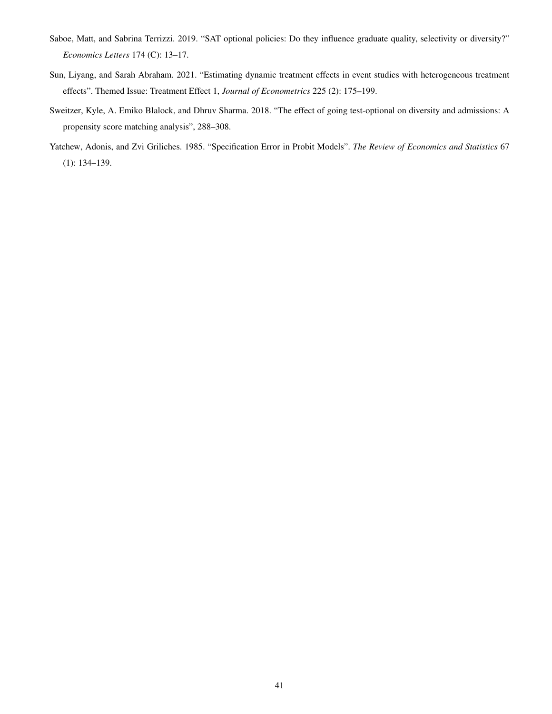- <span id="page-41-0"></span>Saboe, Matt, and Sabrina Terrizzi. 2019. "SAT optional policies: Do they influence graduate quality, selectivity or diversity?" *Economics Letters* 174 (C): 13–17.
- <span id="page-41-2"></span>Sun, Liyang, and Sarah Abraham. 2021. "Estimating dynamic treatment effects in event studies with heterogeneous treatment effects". Themed Issue: Treatment Effect 1, *Journal of Econometrics* 225 (2): 175–199.
- <span id="page-41-1"></span>Sweitzer, Kyle, A. Emiko Blalock, and Dhruv Sharma. 2018. "The effect of going test-optional on diversity and admissions: A propensity score matching analysis", 288–308.
- <span id="page-41-3"></span>Yatchew, Adonis, and Zvi Griliches. 1985. "Specification Error in Probit Models". *The Review of Economics and Statistics* 67 (1): 134–139.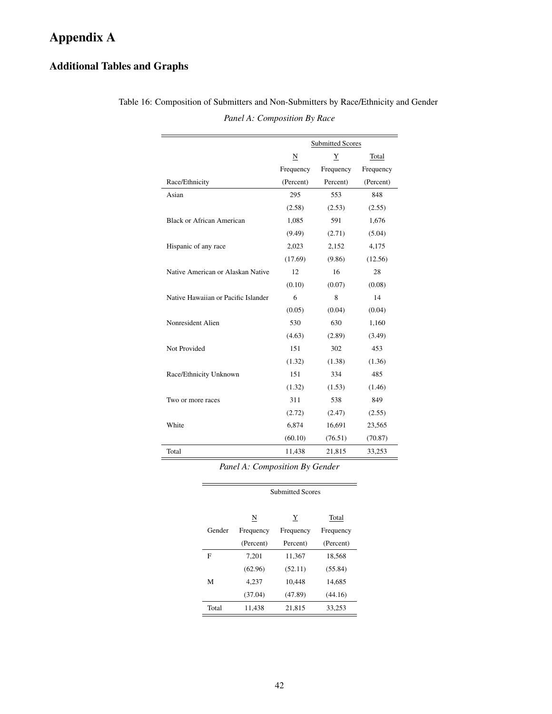# <span id="page-42-0"></span>Appendix A

## Additional Tables and Graphs

|                                     | <b>Submitted Scores</b>      |           |           |
|-------------------------------------|------------------------------|-----------|-----------|
|                                     | $\overline{\mathbf{N}}$<br>Y |           | Total     |
|                                     | Frequency                    | Frequency | Frequency |
| Race/Ethnicity                      | (Percent)                    | Percent)  | (Percent) |
| Asian                               | 295                          | 553       | 848       |
|                                     | (2.58)                       | (2.53)    | (2.55)    |
| <b>Black or African American</b>    | 1,085                        | 591       | 1,676     |
|                                     | (9.49)                       | (2.71)    | (5.04)    |
| Hispanic of any race                | 2,023                        | 2,152     | 4,175     |
|                                     | (17.69)                      | (9.86)    | (12.56)   |
| Native American or Alaskan Native   | 12                           | 16        | 28        |
|                                     | (0.10)                       | (0.07)    | (0.08)    |
| Native Hawaiian or Pacific Islander | 6                            | 8         | 14        |
|                                     | (0.05)                       | (0.04)    | (0.04)    |
| Nonresident Alien                   | 530                          | 630       | 1,160     |
|                                     | (4.63)                       | (2.89)    | (3.49)    |
| Not Provided                        | 151                          | 302       | 453       |
|                                     | (1.32)                       | (1.38)    | (1.36)    |
| Race/Ethnicity Unknown              | 151                          | 334       | 485       |
|                                     | (1.32)                       | (1.53)    | (1.46)    |
| Two or more races                   | 311                          | 538       | 849       |
|                                     | (2.72)                       | (2.47)    | (2.55)    |
| White                               | 6,874                        | 16,691    | 23,565    |
|                                     | (60.10)                      | (76.51)   | (70.87)   |
| Total                               | 11,438                       | 21,815    | 33,253    |

Table 16: Composition of Submitters and Non-Submitters by Race/Ethnicity and Gender *Panel A: Composition By Race*

*Panel A: Composition By Gender*

Submitted Scores

|        | N         | Y         | Total     |
|--------|-----------|-----------|-----------|
| Gender | Frequency | Frequency | Frequency |
|        | (Percent) | Percent)  | (Percent) |
| F      | 7.201     | 11.367    | 18.568    |
|        | (62.96)   | (52.11)   | (55.84)   |
| M      | 4.237     | 10.448    | 14.685    |
|        | (37.04)   | (47.89)   | (44.16)   |
| Total  | 11,438    | 21,815    | 33,253    |
|        |           |           |           |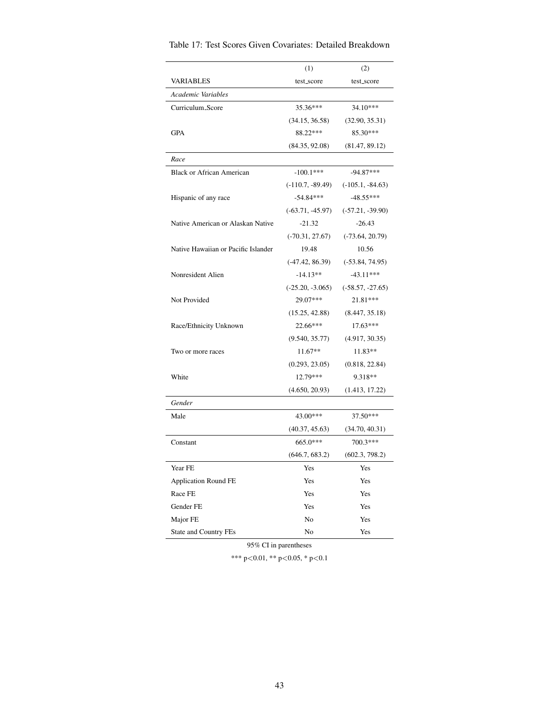|                                     | (1)                | (2)                |
|-------------------------------------|--------------------|--------------------|
| <b>VARIABLES</b>                    | test_score         | test_score         |
| Academic Variables                  |                    |                    |
| Curriculum_Score                    | 35.36***           | 34.10***           |
|                                     | (34.15, 36.58)     | (32.90, 35.31)     |
| GPA                                 | 88.22***           | 85.30***           |
|                                     | (84.35, 92.08)     | (81.47, 89.12)     |
| Race                                |                    |                    |
| <b>Black or African American</b>    | $-100.1***$        | $-94.87***$        |
|                                     | $(-110.7, -89.49)$ | $(-105.1, -84.63)$ |
| Hispanic of any race                | $-54.84***$        | $-48.55***$        |
|                                     | $(-63.71, -45.97)$ | $(-57.21, -39.90)$ |
| Native American or Alaskan Native   | $-21.32$           | $-26.43$           |
|                                     | $(-70.31, 27.67)$  | $(-73.64, 20.79)$  |
| Native Hawaiian or Pacific Islander | 19.48              | 10.56              |
|                                     | $(-47.42, 86.39)$  | $(-53.84, 74.95)$  |
| Nonresident Alien                   | $-14.13**$         | $-43.11***$        |
|                                     | $(-25.20, -3.065)$ | $(-58.57, -27.65)$ |
| Not Provided                        | 29.07***           | 21.81***           |
|                                     | (15.25, 42.88)     | (8.447, 35.18)     |
| Race/Ethnicity Unknown              | 22.66***           | $17.63***$         |
|                                     | (9.540, 35.77)     | (4.917, 30.35)     |
| Two or more races                   | $11.67**$          | $11.83**$          |
|                                     | (0.293, 23.05)     | (0.818, 22.84)     |
| White                               | 12.79***           | 9.318**            |
|                                     | (4.650, 20.93)     | (1.413, 17.22)     |
| Gender                              |                    |                    |
| Male                                | 43.00***           | 37.50***           |
|                                     | (40.37, 45.63)     | (34.70, 40.31)     |
| Constant                            | $665.0***$         | 700.3***           |
|                                     | (646.7, 683.2)     | (602.3, 798.2)     |
| Year FE                             | Yes                | Yes                |
| <b>Application Round FE</b>         | Yes                | Yes                |
| Race FE                             | Yes                | Yes                |
| Gender FE                           | Yes                | Yes                |
| Major FE                            | No                 | Yes                |
| State and Country FEs               | No                 | Yes                |

Table 17: Test Scores Given Covariates: Detailed Breakdown

95% CI in parentheses

\*\*\* p<0.01, \*\* p<0.05, \* p<0.1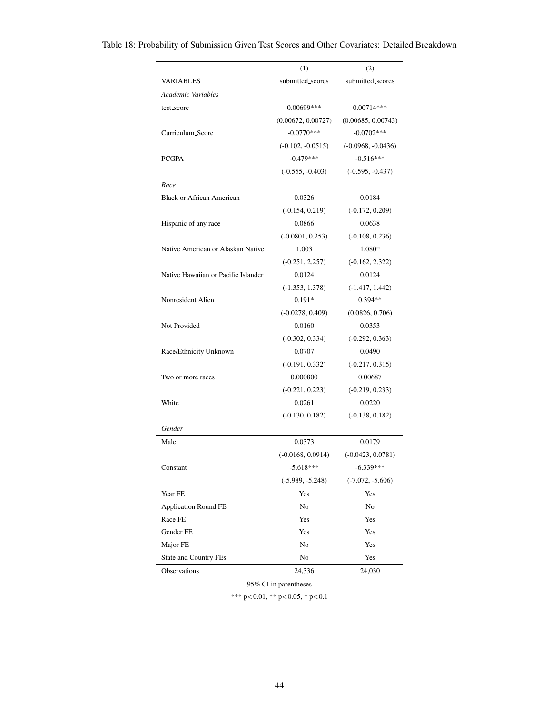|                                     | (1)                 | (2)                  |
|-------------------------------------|---------------------|----------------------|
| VARIABLES                           | submitted_scores    | submitted_scores     |
| Academic Variables                  |                     |                      |
| test_score                          | $0.00699***$        | $0.00714***$         |
|                                     | (0.00672, 0.00727)  | (0.00685, 0.00743)   |
| Curriculum_Score                    | $-0.0770***$        | $-0.0702$ ***        |
|                                     | $(-0.102, -0.0515)$ | $(-0.0968, -0.0436)$ |
| <b>PCGPA</b>                        | $-0.479***$         | $-0.516***$          |
|                                     | $(-0.555, -0.403)$  | $(-0.595, -0.437)$   |
| Race                                |                     |                      |
| <b>Black or African American</b>    | 0.0326              | 0.0184               |
|                                     | $(-0.154, 0.219)$   | $(-0.172, 0.209)$    |
| Hispanic of any race                | 0.0866              | 0.0638               |
|                                     | $(-0.0801, 0.253)$  | $(-0.108, 0.236)$    |
| Native American or Alaskan Native   | 1.003               | 1.080*               |
|                                     | $(-0.251, 2.257)$   | $(-0.162, 2.322)$    |
| Native Hawaiian or Pacific Islander | 0.0124              | 0.0124               |
|                                     | $(-1.353, 1.378)$   | $(-1.417, 1.442)$    |
| Nonresident Alien                   | $0.191*$            | $0.394**$            |
|                                     | $(-0.0278, 0.409)$  | (0.0826, 0.706)      |
| Not Provided                        | 0.0160              | 0.0353               |
|                                     | $(-0.302, 0.334)$   | $(-0.292, 0.363)$    |
| Race/Ethnicity Unknown              | 0.0707              | 0.0490               |
|                                     | $(-0.191, 0.332)$   | $(-0.217, 0.315)$    |
| Two or more races                   | 0.000800            | 0.00687              |
|                                     | $(-0.221, 0.223)$   | $(-0.219, 0.233)$    |
| White                               | 0.0261              | 0.0220               |
|                                     | $(-0.130, 0.182)$   | $(-0.138, 0.182)$    |
| Gender                              |                     |                      |
| Male                                | 0.0373              | 0.0179               |
|                                     | $(-0.0168, 0.0914)$ | $(-0.0423, 0.0781)$  |
| Constant                            | $-5.618***$         | $-6.339***$          |
|                                     | $(-5.989, -5.248)$  | $(-7.072, -5.606)$   |
| Year FE                             | Yes                 | Yes                  |
| <b>Application Round FE</b>         | No                  | No                   |
| Race FE                             | Yes                 | Yes                  |
| Gender FE                           | Yes                 | Yes                  |
| Major FE                            | No                  | Yes                  |
| State and Country FEs               | No                  | Yes                  |
| Observations                        | 24,336              | 24,030               |

Table 18: Probability of Submission Given Test Scores and Other Covariates: Detailed Breakdown

95% CI in parentheses

\*\*\* p<0.01, \*\* p<0.05, \* p<0.1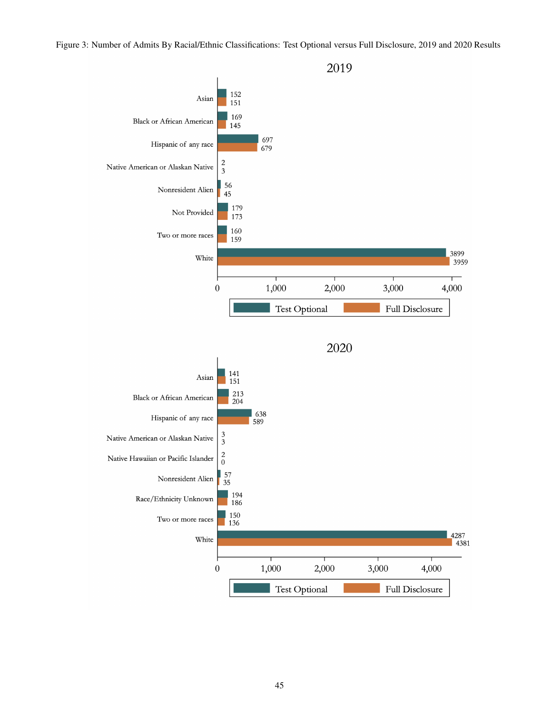Figure 3: Number of Admits By Racial/Ethnic Classifications: Test Optional versus Full Disclosure, 2019 and 2020 Results

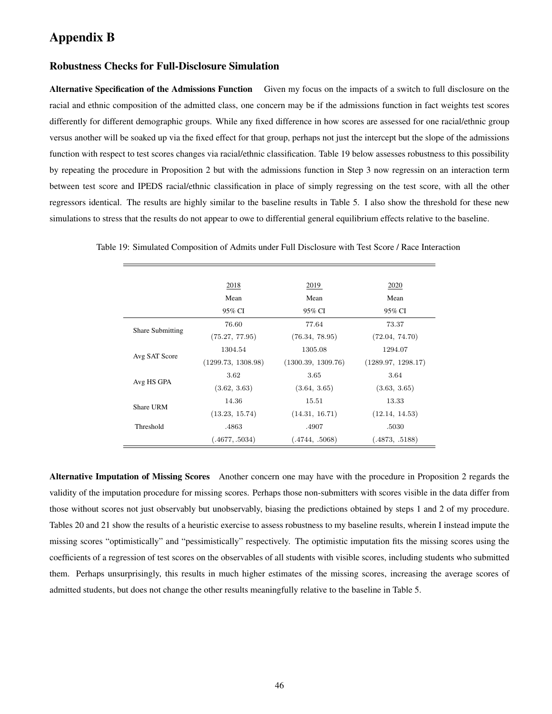## <span id="page-46-0"></span>Appendix B

### Robustness Checks for Full-Disclosure Simulation

Alternative Specification of the Admissions Function Given my focus on the impacts of a switch to full disclosure on the racial and ethnic composition of the admitted class, one concern may be if the admissions function in fact weights test scores differently for different demographic groups. While any fixed difference in how scores are assessed for one racial/ethnic group versus another will be soaked up via the fixed effect for that group, perhaps not just the intercept but the slope of the admissions function with respect to test scores changes via racial/ethnic classification. Table 19 below assesses robustness to this possibility by repeating the procedure in Proposition 2 but with the admissions function in Step 3 now regressin on an interaction term between test score and IPEDS racial/ethnic classification in place of simply regressing on the test score, with all the other regressors identical. The results are highly similar to the baseline results in Table 5. I also show the threshold for these new simulations to stress that the results do not appear to owe to differential general equilibrium effects relative to the baseline.

|                         | 2018               | 2019               | 2020               |
|-------------------------|--------------------|--------------------|--------------------|
|                         | Mean<br>95% CI     | Mean<br>95% CI     | Mean<br>95% CI     |
|                         |                    |                    |                    |
| <b>Share Submitting</b> | 76.60              | 77.64              | 73.37              |
|                         | (75.27, 77.95)     | (76.34, 78.95)     | (72.04, 74.70)     |
| Avg SAT Score           | 1304.54            | 1305.08            | 1294.07            |
|                         | (1299.73, 1308.98) | (1300.39, 1309.76) | (1289.97, 1298.17) |
|                         | 3.62               | 3.65               | 3.64               |
| Avg HS GPA              | (3.62, 3.63)       | (3.64, 3.65)       | (3.63, 3.65)       |
| Share URM               | 14.36              | 15.51              | 13.33              |
|                         | (13.23, 15.74)     | (14.31, 16.71)     | (12.14, 14.53)     |
| Threshold               | .4863              | .4907              | .5030              |
|                         | (.4677, .5034)     | (.4744, .5068)     | (.4873, .5188)     |

Table 19: Simulated Composition of Admits under Full Disclosure with Test Score / Race Interaction

Alternative Imputation of Missing Scores Another concern one may have with the procedure in Proposition 2 regards the validity of the imputation procedure for missing scores. Perhaps those non-submitters with scores visible in the data differ from those without scores not just observably but unobservably, biasing the predictions obtained by steps 1 and 2 of my procedure. Tables 20 and 21 show the results of a heuristic exercise to assess robustness to my baseline results, wherein I instead impute the missing scores "optimistically" and "pessimistically" respectively. The optimistic imputation fits the missing scores using the coefficients of a regression of test scores on the observables of all students with visible scores, including students who submitted them. Perhaps unsurprisingly, this results in much higher estimates of the missing scores, increasing the average scores of admitted students, but does not change the other results meaningfully relative to the baseline in Table 5.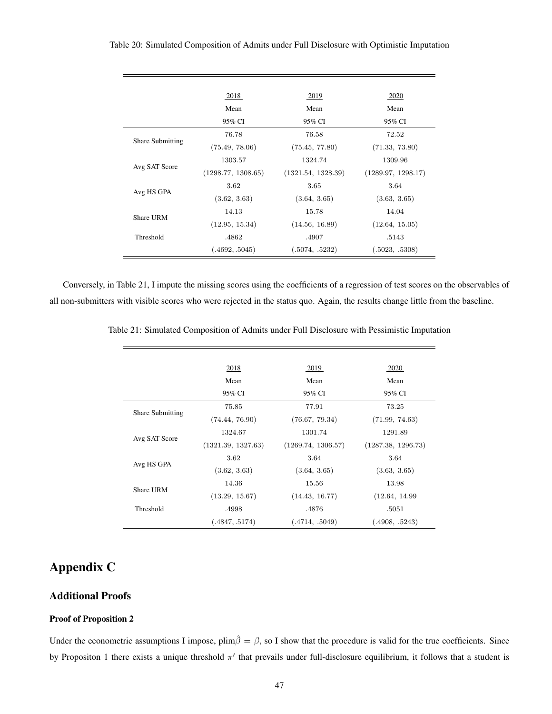| Table 20: Simulated Composition of Admits under Full Disclosure with Optimistic Imputation |
|--------------------------------------------------------------------------------------------|
|--------------------------------------------------------------------------------------------|

|                         | 2018               | 2019               | 2020               |
|-------------------------|--------------------|--------------------|--------------------|
|                         | Mean               | Mean               | Mean               |
|                         | 95% CI             | 95% CI             | 95% CI             |
| <b>Share Submitting</b> | 76.78              | 76.58              | 72.52              |
|                         | (75.49, 78.06)     | (75.45, 77.80)     | (71.33, 73.80)     |
| Avg SAT Score           | 1303.57            | 1324.74            | 1309.96            |
|                         | (1298.77, 1308.65) | (1321.54, 1328.39) | (1289.97, 1298.17) |
|                         | 3.62               | 3.65               | 3.64               |
| Avg HS GPA              | (3.62, 3.63)       | (3.64, 3.65)       | (3.63, 3.65)       |
| Share URM               | 14.13              | 15.78              | 14.04              |
|                         | (12.95, 15.34)     | (14.56, 16.89)     | (12.64, 15.05)     |
| Threshold               | .4862              | .4907              | .5143              |
|                         | (.4692, .5045)     | (.5074, .5232)     | (.5023, .5308)     |

Conversely, in Table 21, I impute the missing scores using the coefficients of a regression of test scores on the observables of all non-submitters with visible scores who were rejected in the status quo. Again, the results change little from the baseline.

|                         | 2018               | 2019               | 2020               |
|-------------------------|--------------------|--------------------|--------------------|
|                         | Mean               | Mean               | Mean               |
|                         | 95% CI             | 95% CI             | 95% CI             |
| <b>Share Submitting</b> | 75.85              | 77.91              | 73.25              |
|                         | (74.44, 76.90)     | (76.67, 79.34)     | (71.99, 74.63)     |
| Avg SAT Score           | 1324.67            | 1301.74            | 1291.89            |
|                         | (1321.39, 1327.63) | (1269.74, 1306.57) | (1287.38, 1296.73) |
|                         | 3.62               | 3.64               | 3.64               |
| Avg HS GPA              | (3.62, 3.63)       | (3.64, 3.65)       | (3.63, 3.65)       |
| Share URM               | 14.36              | 15.56              | 13.98              |
|                         | (13.29, 15.67)     | (14.43, 16.77)     | (12.64, 14.99)     |
| Threshold               | .4998              | .4876              | .5051              |
|                         | (.4847, .5174)     | (.4714, .5049)     | (.4908, .5243)     |

Table 21: Simulated Composition of Admits under Full Disclosure with Pessimistic Imputation

## <span id="page-47-0"></span>Appendix C

## Additional Proofs

### Proof of Proposition 2

Under the econometric assumptions I impose,  $\text{plim}\hat{\beta} = \beta$ , so I show that the procedure is valid for the true coefficients. Since by Propositon 1 there exists a unique threshold  $\pi'$  that prevails under full-disclosure equilibrium, it follows that a student is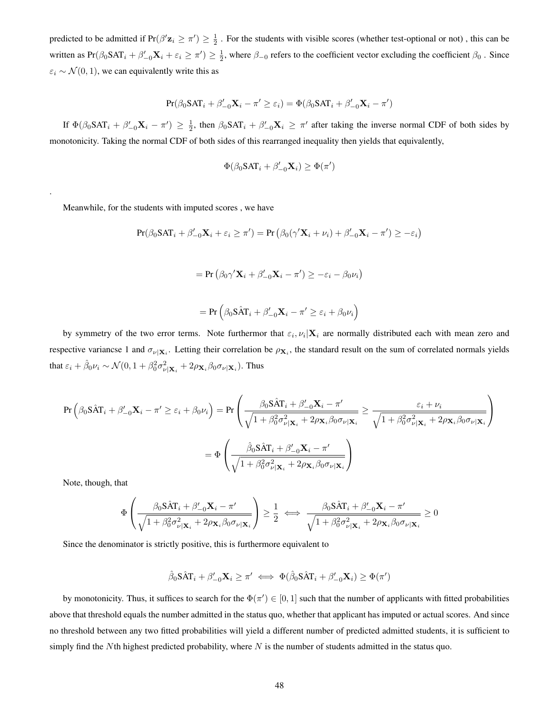predicted to be admitted if  $Pr(\beta' \mathbf{z}_i \geq \pi') \geq \frac{1}{2}$ . For the students with visible scores (whether test-optional or not), this can be written as  $Pr(\beta_0 SAT_i + \beta'_{-0} \mathbf{X}_i + \varepsilon_i \ge \pi') \ge \frac{1}{2}$ , where  $\beta_{-0}$  refers to the coefficient vector excluding the coefficient  $\beta_0$ . Since  $\varepsilon_i \sim \mathcal{N}(0, 1)$ , we can equivalently write this as

$$
Pr(\beta_0 SAT_i + \beta'_{-0} \mathbf{X}_i - \pi' \ge \varepsilon_i) = \Phi(\beta_0 SAT_i + \beta'_{-0} \mathbf{X}_i - \pi')
$$

If  $\Phi(\beta_0\text{SAT}_i + \beta'_{-0}\mathbf{X}_i - \pi') \geq \frac{1}{2}$ , then  $\beta_0\text{SAT}_i + \beta'_{-0}\mathbf{X}_i \geq \pi'$  after taking the inverse normal CDF of both sides by monotonicity. Taking the normal CDF of both sides of this rearranged inequality then yields that equivalently,

$$
\Phi(\beta_0 \mathbf{SAT}_i + \beta'_{-0} \mathbf{X}_i) \ge \Phi(\pi')
$$

Meanwhile, for the students with imputed scores , we have

$$
Pr(\beta_0 \text{SAT}_i + \beta'_{-0} \mathbf{X}_i + \varepsilon_i \ge \pi') = Pr(\beta_0(\gamma' \mathbf{X}_i + \nu_i) + \beta'_{-0} \mathbf{X}_i - \pi') \ge -\varepsilon_i)
$$

$$
= \Pr(\beta_0 \gamma' \mathbf{X}_i + \beta'_{-0} \mathbf{X}_i - \pi') \ge -\varepsilon_i - \beta_0 \nu_i)
$$

$$
= \Pr(\beta_0 S \hat{A} T_i + \beta'_{-0} \mathbf{X}_i - \pi' \ge \varepsilon_i + \beta_0 \nu_i)
$$

by symmetry of the two error terms. Note furthermor that  $\varepsilon_i$ ,  $v_i|\mathbf{X}_i$  are normally distributed each with mean zero and respective variancse 1 and  $\sigma_{\nu|X_i}$ . Letting their correlation be  $\rho_{X_i}$ , the standard result on the sum of correlated normals yields that  $\varepsilon_i + \hat{\beta}_0 \nu_i \sim \mathcal{N}(0, 1 + \beta_0^2 \sigma_{\nu | \mathbf{X}_i}^2 + 2\rho_{\mathbf{X}_i} \beta_0 \sigma_{\nu | \mathbf{X}_i})$ . Thus

$$
\Pr\left(\beta_0 \hat{\mathbf{S}} \hat{\mathbf{A}} \mathbf{T}_i + \beta'_{-0} \mathbf{X}_i - \pi' \ge \varepsilon_i + \beta_0 \nu_i\right) = \Pr\left(\frac{\beta_0 \hat{\mathbf{S}} \hat{\mathbf{A}} \mathbf{T}_i + \beta'_{-0} \mathbf{X}_i - \pi'}{\sqrt{1 + \beta_0^2 \sigma_{\nu_1 \mathbf{X}_i}^2 + 2\rho_{\mathbf{X}_i} \beta_0 \sigma_{\nu_1 \mathbf{X}_i}}} \ge \frac{\varepsilon_i + \nu_i}{\sqrt{1 + \beta_0^2 \sigma_{\nu_1 \mathbf{X}_i}^2 + 2\rho_{\mathbf{X}_i} \beta_0 \sigma_{\nu_1 \mathbf{X}_i}}}\right)
$$

$$
= \Phi\left(\frac{\hat{\beta}_0 \hat{\mathbf{S}} \hat{\mathbf{A}} \mathbf{T}_i + \beta'_{-0} \mathbf{X}_i - \pi'}{\sqrt{1 + \beta_0^2 \sigma_{\nu_1 \mathbf{X}_i}^2 + 2\rho_{\mathbf{X}_i} \beta_0 \sigma_{\nu_1 \mathbf{X}_i}}}\right)
$$

Note, though, that

.

$$
\Phi\left(\frac{\beta_0 \hat{S} \hat{A} T_i + \beta'_{-0} \mathbf{X}_i - \pi'}{\sqrt{1 + \beta_0^2 \sigma_{\nu_1 \mathbf{X}_i}^2 + 2\rho_{\mathbf{X}_i} \beta_0 \sigma_{\nu_1 \mathbf{X}_i}}}\right) \ge \frac{1}{2} \iff \frac{\beta_0 \hat{S} \hat{A} T_i + \beta'_{-0} \mathbf{X}_i - \pi'}{\sqrt{1 + \beta_0^2 \sigma_{\nu_1 \mathbf{X}_i}^2 + 2\rho_{\mathbf{X}_i} \beta_0 \sigma_{\nu_1 \mathbf{X}_i}}}\ge 0
$$

Since the denominator is strictly positive, this is furthermore equivalent to

$$
\hat{\beta}_0\mathbf{S}\hat{\mathbf{A}}\mathbf{T}_i + \beta_{-0}'\mathbf{X}_i \geq \pi' \iff \Phi(\hat{\beta}_0\mathbf{S}\hat{\mathbf{A}}\mathbf{T}_i + \beta_{-0}'\mathbf{X}_i) \geq \Phi(\pi')
$$

by monotonicity. Thus, it suffices to search for the  $\Phi(\pi') \in [0, 1]$  such that the number of applicants with fitted probabilities above that threshold equals the number admitted in the status quo, whether that applicant has imputed or actual scores. And since no threshold between any two fitted probabilities will yield a different number of predicted admitted students, it is sufficient to simply find the Nth highest predicted probability, where  $N$  is the number of students admitted in the status quo.